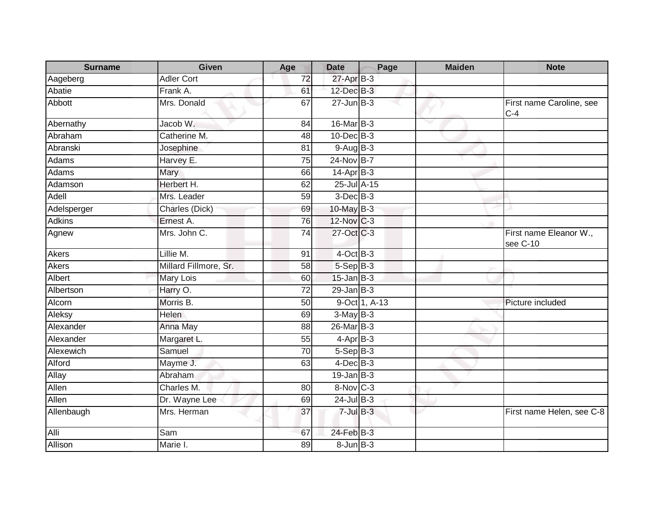| <b>Surname</b> | <b>Given</b>          | Age             | <b>Date</b>      | Page          | <b>Maiden</b> | <b>Note</b>                        |
|----------------|-----------------------|-----------------|------------------|---------------|---------------|------------------------------------|
| Aageberg       | <b>Adler Cort</b>     | 72              | 27-Apr B-3       |               |               |                                    |
| Abatie         | Frank A.              | 61              | $12$ -Dec $B-3$  |               |               |                                    |
| Abbott         | Mrs. Donald           | 67              | $27 - Jun$ $B-3$ |               |               | First name Caroline, see<br>$C-4$  |
| Abernathy      | Jacob W.              | 84              | 16-Mar B-3       |               |               |                                    |
| Abraham        | Catherine M.          | 48              | 10-Dec B-3       |               |               |                                    |
| Abranski       | Josephine             | 81              | $9-Auq$ B-3      |               |               |                                    |
| Adams          | Harvey E.             | 75              | 24-Nov B-7       |               |               |                                    |
| Adams          | Mary                  | 66              | $14$ -Apr $B-3$  |               |               |                                    |
| Adamson        | Herbert H.            | 62              | 25-Jul A-15      |               |               |                                    |
| Adell          | Mrs. Leader           | 59              | $3$ -Dec $B-3$   |               |               |                                    |
| Adelsperger    | Charles (Dick)        | 69              | 10-May B-3       |               |               |                                    |
| <b>Adkins</b>  | Ernest A.             | $\overline{76}$ | 12-Nov C-3       |               |               |                                    |
| Agnew          | Mrs. John C.          | 74              | 27-Oct C-3       |               |               | First name Eleanor W.,<br>see C-10 |
| <b>Akers</b>   | Lillie M.             | 91              | $4$ -Oct B-3     |               |               |                                    |
| <b>Akers</b>   | Millard Fillmore, Sr. | 58              | $5-Sep$ B-3      |               |               |                                    |
| Albert         | <b>Mary Lois</b>      | 60              | $15$ -Jan B-3    |               |               |                                    |
| Albertson      | Harry O.              | 72              | $29$ -Jan $B-3$  |               |               |                                    |
| Alcorn         | Morris B.             | 50              |                  | 9-Oct 1, A-13 |               | Picture included                   |
| Aleksy         | <b>Helen</b>          | 69              | $3-May$ B-3      |               |               |                                    |
| Alexander      | Anna May              | 88              | 26-Mar B-3       |               |               |                                    |
| Alexander      | Margaret L.           | 55              | $4-Apr$ B-3      |               |               |                                    |
| Alexewich      | Samuel                | 70              | $5-Sep$ B-3      |               |               |                                    |
| Alford         | Mayme J.              | 63              | $4$ -Dec $B$ -3  |               |               |                                    |
| Allay          | Abraham               |                 | $19$ -Jan B-3    |               |               |                                    |
| Allen          | Charles M.            | 80              | 8-Nov C-3        |               |               |                                    |
| Allen          | Dr. Wayne Lee         | 69              | $24$ -Jul B-3    |               |               |                                    |
| Allenbaugh     | Mrs. Herman           | 37              | $7$ -Jul $B-3$   |               |               | First name Helen, see C-8          |
| Alli           | Sam                   | 67              | 24-Feb B-3       |               |               |                                    |
| Allison        | Marie I.              | 89              | $8 - Jun$ B-3    |               |               |                                    |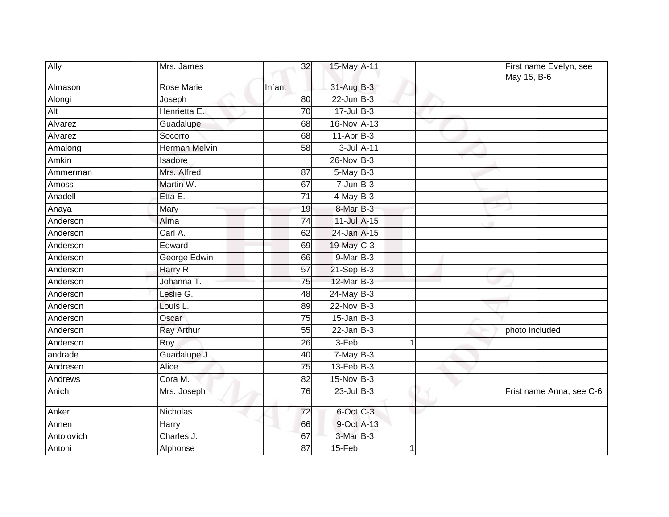| Ally       | Mrs. James        | 32              | 15-May A-11                |   |              | First name Evelyn, see<br>May 15, B-6 |
|------------|-------------------|-----------------|----------------------------|---|--------------|---------------------------------------|
| Almason    | <b>Rose Marie</b> | Infant          | 31-Aug B-3                 |   |              |                                       |
| Alongi     | Joseph            | 80              | $22$ -Jun $B-3$            |   |              |                                       |
| Alt        | Henrietta E.      | 70              | $17 -$ Jul B-3             |   |              |                                       |
| Alvarez    | Guadalupe         | 68              | 16-Nov A-13                |   | $\checkmark$ |                                       |
| Alvarez    | Socorro           | 68              | $11-Apr$ B-3               |   |              |                                       |
| Amalong    | Herman Melvin     | 58              | 3-Jul A-11                 |   |              |                                       |
| Amkin      | Isadore           |                 | 26-Nov B-3                 |   |              |                                       |
| Ammerman   | Mrs. Alfred       | 87              | $5$ -May B-3               |   |              |                                       |
| Amoss      | Martin W.         | 67              | $7 - Jun$ B-3              |   |              |                                       |
| Anadell    | Etta E.           | $\overline{71}$ | $4$ -May B-3               |   |              |                                       |
| Anaya      | Mary              | 19              | 8-Mar B-3                  |   |              |                                       |
| Anderson   | Alma              | 74              | 11-Jul A-15                |   |              |                                       |
| Anderson   | Carl A.           | 62              | 24-Jan A-15                |   |              |                                       |
| Anderson   | Edward            | 69              | 19-May C-3                 |   |              |                                       |
| Anderson   | George Edwin      | 66              | $9$ -Mar $\overline{B}$ -3 |   |              |                                       |
| Anderson   | Harry R.          | 57              | $21-Sep$ B-3               |   |              |                                       |
| Anderson   | Johanna T.        | 75              | 12-Mar B-3                 |   |              |                                       |
| Anderson   | Leslie G.         | 48              | $24$ -May B-3              |   |              |                                       |
| Anderson   | Louis L.          | 89              | 22-Nov B-3                 |   |              |                                       |
| Anderson   | Oscar             | 75              | $15 - Jan$ $B-3$           |   |              |                                       |
| Anderson   | Ray Arthur        | 55              | $22$ -Jan B-3              |   |              | photo included                        |
| Anderson   | Roy               | 26              | 3-Feb                      |   |              |                                       |
| andrade    | Guadalupe J.      | 40              | $7-MayB-3$                 |   |              |                                       |
| Andresen   | <b>Alice</b>      | $\overline{75}$ | $13$ -Feb $B-3$            |   |              |                                       |
| Andrews    | Cora M.           | 82              | 15-Nov B-3                 |   |              |                                       |
| Anich      | Mrs. Joseph       | 76              | $23$ -Jul $B-3$            |   |              | Frist name Anna, see C-6              |
| Anker      | Nicholas          | 72              | 6-Oct C-3                  |   |              |                                       |
| Annen      | Harry             | 66              | 9-Oct A-13                 |   |              |                                       |
| Antolovich | Charles J.        | 67              | 3-Mar B-3                  |   |              |                                       |
| Antoni     | Alphonse          | 87              | 15-Feb                     | 1 |              |                                       |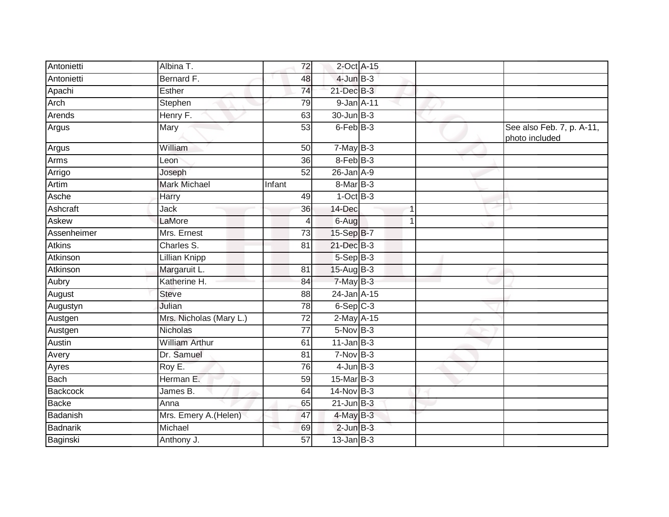| Antonietti      | Albina T.               | 72              | 2-Oct A-15      |  |                                             |
|-----------------|-------------------------|-----------------|-----------------|--|---------------------------------------------|
| Antonietti      | Bernard F.              | 48              | $4$ -Jun $B-3$  |  |                                             |
| Apachi          | Esther                  | 74              | $21$ -Dec $B-3$ |  |                                             |
| Arch            | Stephen                 | 79              | 9-Jan A-11      |  |                                             |
| Arends          | Henry F.                | 63              | 30-Jun B-3      |  |                                             |
| Argus           | Mary                    | 53              | 6-Feb B-3       |  | See also Feb. 7, p. A-11,<br>photo included |
| Argus           | William                 | 50              | $7-MayB-3$      |  |                                             |
| Arms            | Leon                    | 36              | $8-FebB-3$      |  |                                             |
| Arrigo          | Joseph                  | 52              | $26$ -Jan $A-9$ |  |                                             |
| Artim           | <b>Mark Michael</b>     | Infant          | 8-Mar B-3       |  |                                             |
| Asche           | Harry                   | 49              | $1-OctB-3$      |  |                                             |
| Ashcraft        | Jack                    | 36              | 14-Dec          |  |                                             |
| Askew           | LaMore                  | 4               | 6-Aug           |  |                                             |
| Assenheimer     | Mrs. Ernest             | 73              | 15-Sep B-7      |  |                                             |
| <b>Atkins</b>   | Charles S.              | 81              | 21-Dec B-3      |  |                                             |
| Atkinson        | <b>Lillian Knipp</b>    |                 | $5-Sep$ B-3     |  |                                             |
| Atkinson        | Margaruit L.            | 81              | 15-Aug B-3      |  |                                             |
| Aubry           | Katherine H.            | 84              | 7-May B-3       |  |                                             |
| August          | <b>Steve</b>            | 88              | 24-Jan A-15     |  |                                             |
| Augustyn        | Julian                  | 78              | $6-Sep$ $C-3$   |  |                                             |
| Austgen         | Mrs. Nicholas (Mary L.) | 72              | 2-May A-15      |  |                                             |
| Austgen         | <b>Nicholas</b>         | $\overline{77}$ | $5-Nov$ B-3     |  |                                             |
| Austin          | <b>William Arthur</b>   | 61              | $11$ -Jan $B-3$ |  |                                             |
| Avery           | Dr. Samuel              | 81              | $7-NovB-3$      |  |                                             |
| Ayres           | Roy E.                  | 76              | $4$ -Jun $B-3$  |  |                                             |
| Bach            | Herman E.               | 59              | 15-Mar B-3      |  |                                             |
| <b>Backcock</b> | James B.                | 64              | 14-Nov B-3      |  |                                             |
| <b>Backe</b>    | Anna                    | 65              | $21$ -Jun B-3   |  |                                             |
| Badanish        | Mrs. Emery A.(Helen)    | 47              | 4-May B-3       |  |                                             |
| Badnarik        | Michael                 | 69              | $2$ -Jun $B-3$  |  |                                             |
| Baginski        | Anthony J.              | 57              | $13$ -Jan $B-3$ |  |                                             |
|                 |                         |                 |                 |  |                                             |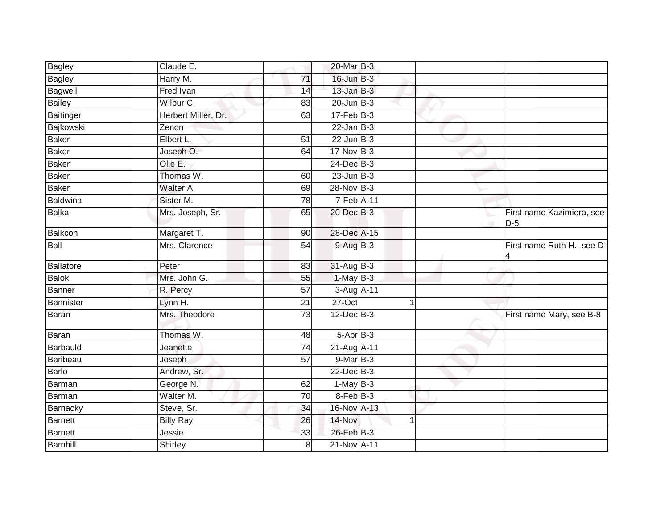| Bagley          | Claude E.           |                 | 20-Mar B-3                 |             |                                    |
|-----------------|---------------------|-----------------|----------------------------|-------------|------------------------------------|
| Bagley          | Harry M.            | 71              | 16-Jun B-3                 |             |                                    |
| Bagwell         | <b>Fred Ivan</b>    | 14              | $13$ -Jan $B-3$            |             |                                    |
| <b>Bailey</b>   | Wilbur C.           | 83              | $20$ -Jun $B-3$            |             |                                    |
| Baitinger       | Herbert Miller, Dr. | 63              | $17 - Feb$ $B-3$           |             |                                    |
| Bajkowski       | Zenon               |                 | $22$ -Jan B-3              |             |                                    |
| Baker           | Elbert L.           | 51              | $22$ -Jun $B-3$            |             |                                    |
| Baker           | Joseph O.           | 64              | 17-Nov B-3                 |             |                                    |
| <b>Baker</b>    | Olie E.             |                 | $24$ -Dec $B-3$            |             |                                    |
| Baker           | Thomas W.           | 60              | $23$ -Jun $B-3$            |             |                                    |
| <b>Baker</b>    | Walter A.           | 69              | 28-Nov B-3                 |             |                                    |
| <b>Baldwina</b> | Sister M.           | 78              | 7-Feb A-11                 |             |                                    |
| Balka           | Mrs. Joseph, Sr.    | 65              | 20-Dec B-3                 |             | First name Kazimiera, see<br>$D-5$ |
| Balkcon         | Margaret T.         | 90              | 28-Dec A-15                |             |                                    |
| Ball            | Mrs. Clarence       | 54              | $9-AugB-3$                 |             | First name Ruth H., see D-<br>4    |
| Ballatore       | Peter               | 83              | $31$ -AugB-3               |             |                                    |
| <b>Balok</b>    | Mrs. John G.        | 55              | $1-MayB-3$                 |             |                                    |
| Banner          | R. Percy            | 57              | 3-Aug A-11                 |             |                                    |
| Bannister       | Lynn H.             | $\overline{21}$ | 27-Oct                     | -1          |                                    |
| Baran           | Mrs. Theodore       | $\overline{73}$ | $12$ -Dec $B-3$            |             | First name Mary, see B-8           |
| Baran           | Thomas W.           | 48              | $5-AprB-3$                 |             |                                    |
| Barbauld        | Jeanette            | 74              | 21-Aug A-11                |             |                                    |
| Baribeau        | Joseph              | $\overline{57}$ | $9$ -Mar $\overline{B}$ -3 |             |                                    |
| <b>Barlo</b>    | Andrew, Sr.         |                 | 22-Dec B-3                 |             |                                    |
| Barman          | George N.           | 62              | $1-MayB-3$                 |             |                                    |
| Barman          | Walter M.           | 70              | 8-Feb B-3                  |             |                                    |
| Barnacky        | Steve, Sr.          | 34              | 16-Nov A-13                |             |                                    |
| Barnett         | <b>Billy Ray</b>    | 26              | 14-Nov                     | $\mathbf 1$ |                                    |
| Barnett         | Jessie              | 33              | 26-Feb B-3                 |             |                                    |
| <b>Barnhill</b> | Shirley             | 8               | 21-Nov A-11                |             |                                    |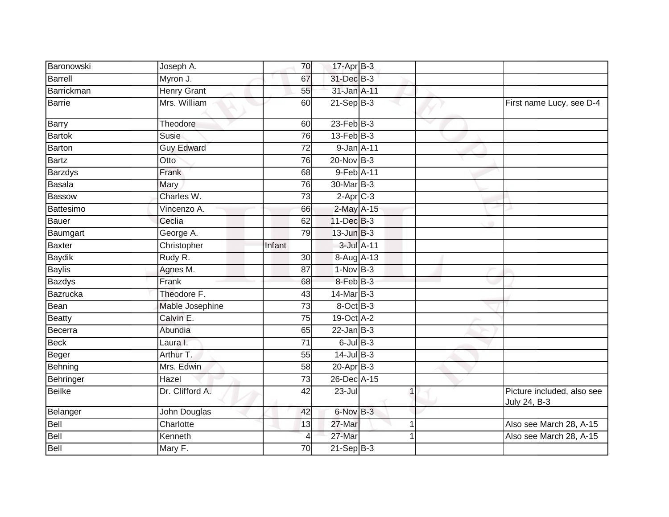| Baronowski    | Joseph A.          | 70              | $17$ -Apr $B-3$ |              |   |                                            |
|---------------|--------------------|-----------------|-----------------|--------------|---|--------------------------------------------|
| Barrell       | Myron J.           | 67              | 31-Dec B-3      |              |   |                                            |
| Barrickman    | <b>Henry Grant</b> | 55              | 31-Jan A-11     |              |   |                                            |
| <b>Barrie</b> | Mrs. William       | 60              | $21$ -Sep B-3   |              |   | First name Lucy, see D-4                   |
| Barry         | Theodore           | 60              | $23$ -Feb $B-3$ |              | v |                                            |
| <b>Bartok</b> | Susie              | 76              | $13$ -Feb $B-3$ |              |   |                                            |
| <b>Barton</b> | <b>Guy Edward</b>  | 72              | 9-Jan A-11      |              |   |                                            |
| <b>Bartz</b>  | Otto               | 76              | $20$ -Nov $B-3$ |              |   |                                            |
| Barzdys       | Frank              | 68              | 9-Feb A-11      |              |   |                                            |
| Basala        | <b>Mary</b>        | 76              | 30-Mar B-3      |              |   |                                            |
| <b>Bassow</b> | Charles W.         | 73              | $2$ -Apr $C-3$  |              |   |                                            |
| Battesimo     | Vincenzo A.        | 66              | 2-May A-15      |              |   |                                            |
| Bauer         | Ceclia             | 62              | 11-Dec B-3      |              |   |                                            |
| Baumgart      | George A.          | 79              | $13$ -Jun $B-3$ |              |   |                                            |
| <b>Baxter</b> | Christopher        | Infant          | 3-Jul A-11      |              |   |                                            |
| <b>Baydik</b> | Rudy R.            | 30              | 8-Aug A-13      |              |   |                                            |
| <b>Baylis</b> | Agnes M.           | 87              | $1-Nov$ B-3     |              |   |                                            |
| <b>Bazdys</b> | Frank              | 68              | 8-Feb B-3       |              |   |                                            |
| Bazrucka      | Theodore F.        | 43              | 14-Mar B-3      |              |   |                                            |
| Bean          | Mable Josephine    | $\overline{73}$ | 8-Oct B-3       |              |   |                                            |
| <b>Beatty</b> | Calvin E.          | 75              | 19-Oct A-2      |              |   |                                            |
| Becerra       | Abundia            | 65              | $22$ -Jan B-3   |              |   |                                            |
| <b>Beck</b>   | Laura I.           | 71              | $6$ -Jul $B-3$  |              |   |                                            |
| Beger         | Arthur T.          | 55              | $14$ -Jul B-3   |              |   |                                            |
| Behning       | Mrs. Edwin         | 58              | 20-Apr B-3      |              |   |                                            |
| Behringer     | Hazel              | $\overline{73}$ | 26-Dec A-15     |              |   |                                            |
| <b>Beilke</b> | Dr. Clifford A.    | 42              | $23 -$ Jul      | $\mathbf{1}$ |   | Picture included, also see<br>July 24, B-3 |
| Belanger      | John Douglas       | 42              | 6-Nov B-3       |              |   |                                            |
| Bell          | Charlotte          | 13              | 27-Mar          | 1            |   | Also see March 28, A-15                    |
| Bell          | Kenneth            | 4               | 27-Mar          |              |   | Also see March 28, A-15                    |
| Bell          | Mary F.            | 70              | $21-Sep$ B-3    |              |   |                                            |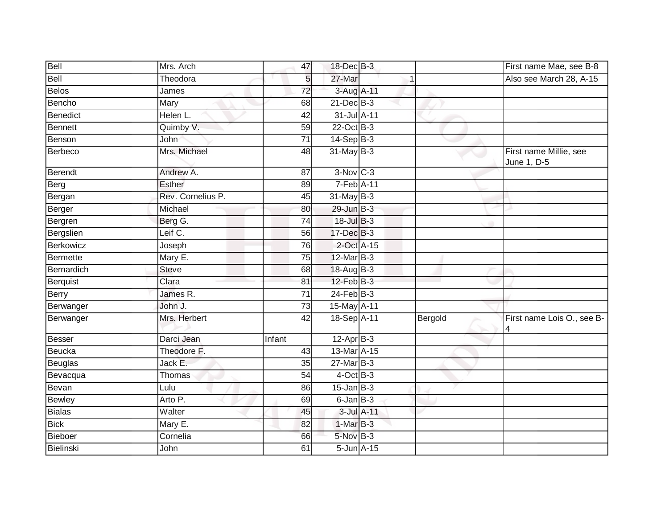| Bell            | Mrs. Arch         | 47              | 18-Dec B-3       |         | First name Mae, see B-8               |
|-----------------|-------------------|-----------------|------------------|---------|---------------------------------------|
| Bell            | Theodora          | 5               | 27-Mar           |         | Also see March 28, A-15               |
| <b>Belos</b>    | James             | $\overline{72}$ | 3-Aug A-11       |         |                                       |
| Bencho          | Mary              | 68              | 21-Dec B-3       |         |                                       |
| Benedict        | Helen L.          | $\overline{42}$ | 31-Jul A-11      |         |                                       |
| <b>Bennett</b>  | Quimby V.         | 59              | 22-Oct B-3       |         |                                       |
| Benson          | John              | 71              | 14-Sep B-3       |         |                                       |
| <b>Berbeco</b>  | Mrs. Michael      | 48              | 31-May B-3       |         | First name Millie, see<br>June 1, D-5 |
| <b>Berendt</b>  | Andrew A.         | 87              | $3-Nov$ $C-3$    |         |                                       |
| Berg            | <b>Esther</b>     | 89              | 7-Feb A-11       |         |                                       |
| Bergan          | Rev. Cornelius P. | 45              | $31$ -May B-3    |         |                                       |
| Berger          | Michael           | 80              | 29-Jun B-3       |         |                                       |
| Bergren         | Berg G.           | $\overline{74}$ | $18$ -Jul $B-3$  |         |                                       |
| Bergslien       | Leif C.           | 56              | 17-Dec B-3       |         |                                       |
| Berkowicz       | Joseph            | 76              | 2-Oct A-15       |         |                                       |
| <b>Bermette</b> | Mary E.           | $\overline{75}$ | 12-Mar B-3       |         |                                       |
| Bernardich      | <b>Steve</b>      | 68              | 18-Aug B-3       |         |                                       |
| <b>Berquist</b> | Clara             | 81              | $12$ -Feb $B-3$  |         |                                       |
| Berry           | James R.          | $\overline{71}$ | $24$ -Feb $B-3$  |         |                                       |
| Berwanger       | John J.           | $\overline{73}$ | 15-May A-11      |         |                                       |
| Berwanger       | Mrs. Herbert      | $\overline{42}$ | 18-Sep A-11      | Bergold | First name Lois O., see B-<br>4       |
| <b>Besser</b>   | Darci Jean        | Infant          | $12-AprB-3$      |         |                                       |
| Beucka          | Theodore F.       | 43              | 13-Mar A-15      |         |                                       |
| <b>Beuglas</b>  | Jack E.           | 35              | 27-Mar B-3       |         |                                       |
| Bevacqua        | Thomas            | 54              | $4$ -Oct $B-3$   |         |                                       |
| Bevan           | Lulu              | 86              | $15$ -Jan $B-3$  |         |                                       |
| <b>Bewley</b>   | Arto P.           | 69              | $6$ -Jan $B$ -3  |         |                                       |
| <b>Bialas</b>   | Walter            | 45              | 3-Jul A-11       |         |                                       |
| <b>Bick</b>     | Mary E.           | 82              | 1-Mar B-3        |         |                                       |
| Bieboer         | Cornelia          | 66              | 5-Nov B-3        |         |                                       |
| Bielinski       | John              | 61              | $5$ -Jun $A$ -15 |         |                                       |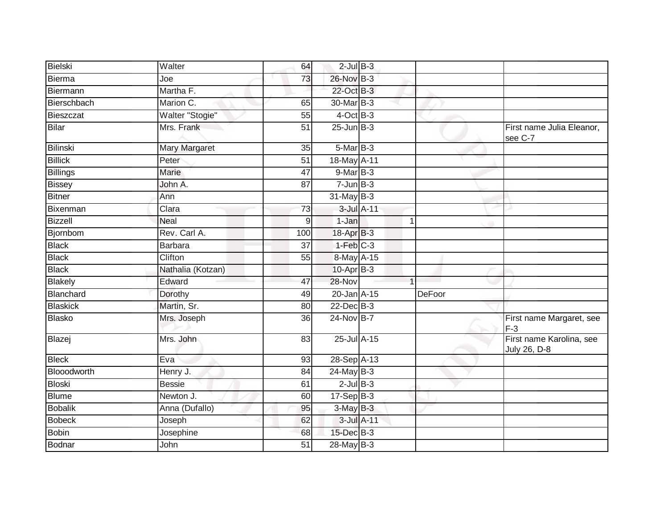| Bielski         | Walter            | 64              | $2$ -Jul $B-3$  |            |   |               |                                          |
|-----------------|-------------------|-----------------|-----------------|------------|---|---------------|------------------------------------------|
| Bierma          | Joe               | 73              | 26-Nov B-3      |            |   |               |                                          |
| Biermann        | Martha F.         |                 | 22-Oct B-3      |            |   |               |                                          |
| Bierschbach     | Marion C.         | 65              | 30-Mar B-3      |            |   |               |                                          |
| Bieszczat       | Walter "Stogie"   | 55              | $4$ -Oct B-3    |            |   |               |                                          |
| Bilar           | Mrs. Frank        | 51              | $25$ -Jun $B-3$ |            |   |               | First name Julia Eleanor,<br>see C-7     |
| Bilinski        | Mary Margaret     | 35              | $5-MarB-3$      |            |   |               |                                          |
| <b>Billick</b>  | Peter             | $\overline{51}$ | 18-May A-11     |            |   |               |                                          |
| <b>Billings</b> | Marie             | 47              | $9$ -Mar $B-3$  |            |   |               |                                          |
| <b>Bissey</b>   | John A.           | 87              | $7 - Jun$ B-3   |            |   |               |                                          |
| Bitner          | Ann               |                 | $31$ -May B-3   |            |   |               |                                          |
| Bixenman        | Clara             | 73              |                 | 3-Jul A-11 |   |               |                                          |
| <b>Bizzell</b>  | <b>Neal</b>       | 9               | 1-Jan           |            | 1 |               |                                          |
| Bjornbom        | Rev. Carl A.      | 100             | 18-Apr B-3      |            |   |               |                                          |
| <b>Black</b>    | Barbara           | $\overline{37}$ | $1-Feb$ $C-3$   |            |   |               |                                          |
| <b>Black</b>    | Clifton           | 55              | 8-May A-15      |            |   |               |                                          |
| <b>Black</b>    | Nathalia (Kotzan) |                 | 10-Apr B-3      |            |   |               |                                          |
| Blakely         | Edward            | 47              | 28-Nov          |            |   |               |                                          |
| Blanchard       | Dorothy           | 49              | 20-Jan A-15     |            |   | <b>DeFoor</b> |                                          |
| <b>Blaskick</b> | Martin, Sr.       | 80              | $22$ -Dec $B-3$ |            |   |               |                                          |
| Blasko          | Mrs. Joseph       | 36              | 24-Nov B-7      |            |   |               | First name Margaret, see<br>$F-3$        |
| Blazej          | Mrs. John         | 83              | 25-Jul A-15     |            |   |               | First name Karolina, see<br>July 26, D-8 |
| <b>Bleck</b>    | Eva               | $\overline{93}$ | 28-Sep A-13     |            |   |               |                                          |
| Blooodworth     | Henry J.          | 84              | $24$ -May B-3   |            |   |               |                                          |
| Bloski          | <b>Bessie</b>     | 61              | $2$ -Jul $B-3$  |            |   |               |                                          |
| <b>Blume</b>    | Newton J.         | 60              | $17-Sep$ B-3    |            |   |               |                                          |
| <b>Bobalik</b>  | Anna (Dufallo)    | 95              | $3-MayB-3$      |            |   |               |                                          |
| <b>Bobeck</b>   | Joseph            | 62              |                 | 3-Jul A-11 |   |               |                                          |
| <b>Bobin</b>    | Josephine         | 68              | 15-Dec B-3      |            |   |               |                                          |
| Bodnar          | <b>John</b>       | $\overline{51}$ | $28$ -May B-3   |            |   |               |                                          |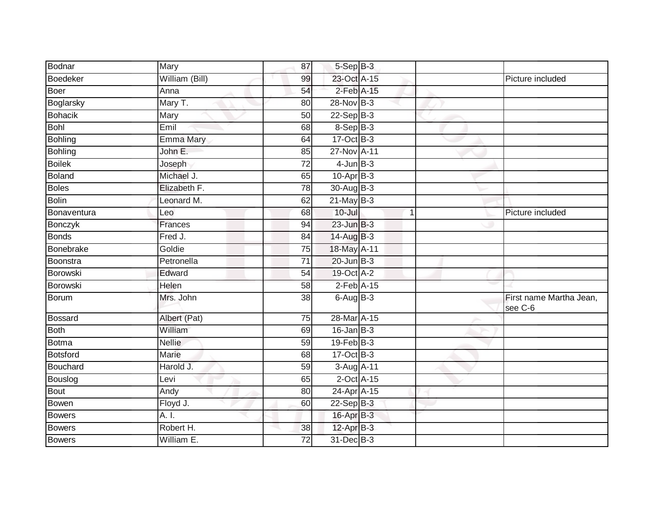| Bodnar         | Mary             | 87              | $5-$ Sep $B-3$    |              |                                    |
|----------------|------------------|-----------------|-------------------|--------------|------------------------------------|
| Boedeker       | William (Bill)   | 99              | 23-Oct A-15       |              | Picture included                   |
| Boer           | Anna             | 54              | $2$ -Feb $A-15$   |              |                                    |
| Boglarsky      | Mary T.          | 80              | 28-Nov B-3        |              |                                    |
| Bohacik        | Mary             | $\overline{50}$ | $22-Sep$ B-3      |              |                                    |
| <b>Bohl</b>    | Emil             | 68              | 8-Sep B-3         |              |                                    |
| <b>Bohling</b> | <b>Emma Mary</b> | 64              | $17-Oct$ B-3      |              |                                    |
| Bohling        | John E.          | 85              | 27-Nov A-11       |              |                                    |
| <b>Boilek</b>  | Joseph           | 72              | $4$ -Jun $B-3$    |              |                                    |
| <b>Boland</b>  | Michael J.       | 65              | $10-Apr$ B-3      |              |                                    |
| <b>Boles</b>   | Elizabeth F.     | 78              | 30-Aug B-3        |              |                                    |
| Bolin          | Leonard M.       | 62              | $21$ -May B-3     |              |                                    |
| Bonaventura    | Leo              | 68              | $10 -$ Jul        | $\mathbf{1}$ | Picture included                   |
| Bonczyk        | Frances          | 94              | $23$ -Jun $B-3$   |              |                                    |
| <b>Bonds</b>   | Fred J.          | 84              | 14-Aug B-3        |              |                                    |
| Bonebrake      | Goldie           | 75              | 18-May A-11       |              |                                    |
| Boonstra       | Petronella       | 71              | $20$ -Jun $B-3$   |              |                                    |
| Borowski       | Edward           | 54              | 19-Oct A-2        |              |                                    |
| Borowski       | Helen            | 58              | $2$ -Feb $A-15$   |              |                                    |
| Borum          | Mrs. John        | 38              | $6$ -Aug $B-3$    |              | First name Martha Jean,<br>see C-6 |
| <b>Bossard</b> | Albert (Pat)     | 75              | 28-Mar A-15       |              |                                    |
| Both           | William          | 69              | $16$ -Jan $B-3$   |              |                                    |
| <b>Botma</b>   | <b>Nellie</b>    | 59              | $19$ -Feb $ B-3 $ |              |                                    |
| Botsford       | Marie            | 68              | 17-Oct B-3        |              |                                    |
| Bouchard       | Harold J.        | 59              | 3-Aug A-11        |              |                                    |
| Bouslog        | Levi             | 65              | $2$ -Oct $A-15$   |              |                                    |
| Bout           | Andy             | 80              | 24-Apr A-15       |              |                                    |
| Bowen          | Floyd J.         | 60              | 22-Sep B-3        |              |                                    |
| <b>Bowers</b>  | A. I.            |                 | 16-Apr B-3        |              |                                    |
| Bowers         | Robert H.        | 38              | 12-Apr B-3        |              |                                    |
| <b>Bowers</b>  | William E.       | 72              | 31-Dec B-3        |              |                                    |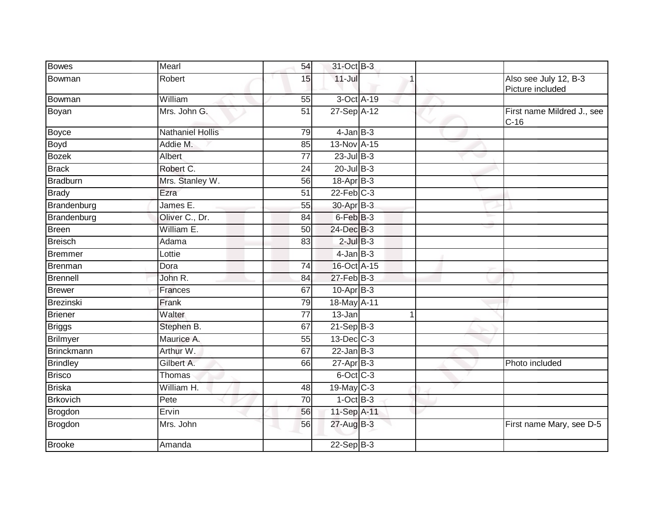| <b>Bowes</b>     | Mearl                   | 54              | 31-Oct B-3      |                |                                           |
|------------------|-------------------------|-----------------|-----------------|----------------|-------------------------------------------|
| Bowman           | Robert                  | 15              | $11$ -Jul       |                | Also see July 12, B-3<br>Picture included |
| Bowman           | William                 | 55              | 3-Oct A-19      |                |                                           |
| Boyan            | Mrs. John G.            | 51              | 27-Sep A-12     |                | First name Mildred J., see<br>$C-16$      |
| <b>Boyce</b>     | <b>Nathaniel Hollis</b> | 79              | $4$ -Jan $B-3$  |                |                                           |
| <b>Boyd</b>      | Addie M.                | 85              | 13-Nov A-15     |                |                                           |
| <b>Bozek</b>     | <b>Albert</b>           | 77              | $23$ -Jul B-3   |                |                                           |
| <b>Brack</b>     | Robert C.               | $\overline{24}$ | $20$ -Jul B-3   |                |                                           |
| <b>Bradburn</b>  | Mrs. Stanley W.         | 56              | 18-Apr B-3      |                |                                           |
| <b>Brady</b>     | Ezra                    | $\overline{51}$ | $22$ -Feb $C-3$ |                |                                           |
| Brandenburg      | James E.                | 55              | 30-Apr B-3      |                |                                           |
| Brandenburg      | Oliver C., Dr.          | 84              | $6$ -Feb $B-3$  |                |                                           |
| <b>Breen</b>     | William E.              | 50              | 24-Dec B-3      |                |                                           |
| <b>Breisch</b>   | Adama                   | 83              | $2$ -Jul $B-3$  |                |                                           |
| <b>Bremmer</b>   | Lottie                  |                 | $4$ -Jan $B-3$  |                |                                           |
| Brenman          | Dora                    | 74              | 16-Oct A-15     |                |                                           |
| <b>Brennell</b>  | John R.                 | 84              | $27$ -Feb $B-3$ |                |                                           |
| <b>Brewer</b>    | Frances                 | 67              | $10-AprB-3$     |                |                                           |
| <b>Brezinski</b> | Frank                   | 79              | 18-May A-11     |                |                                           |
| <b>Briener</b>   | Walter                  | $\overline{77}$ | $13 - Jan$      | $\overline{1}$ |                                           |
| <b>Briggs</b>    | Stephen B.              | 67              | $21-Sep$ B-3    |                |                                           |
| <b>Brilmyer</b>  | Maurice A.              | 55              | $13$ -Dec $C-3$ |                |                                           |
| Brinckmann       | Arthur W.               | 67              | $22$ -Jan B-3   |                |                                           |
| <b>Brindley</b>  | Gilbert A.              | 66              | $27$ -Apr $B-3$ |                | Photo included                            |
| <b>Brisco</b>    | Thomas                  |                 | $6$ -Oct $C$ -3 |                |                                           |
| <b>Briska</b>    | William H.              | 48              | $19$ -May C-3   |                |                                           |
| <b>Brkovich</b>  | Pete                    | 70              | $1-Oct$ B-3     |                |                                           |
| Brogdon          | Ervin                   | 56              | 11-Sep A-11     |                |                                           |
| <b>Brogdon</b>   | Mrs. John               | 56              | 27-Aug B-3      |                | First name Mary, see D-5                  |
| <b>Brooke</b>    | Amanda                  |                 | $22-Sep$ B-3    |                |                                           |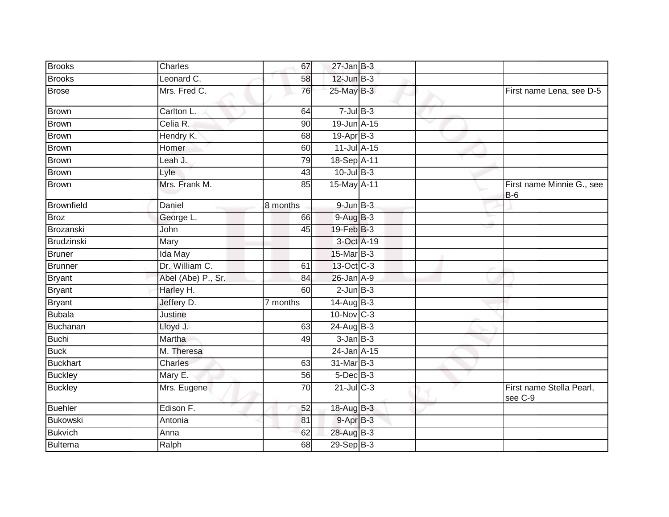| <b>Brooks</b>     | Charles            | 67       | $27 - Jan$ $B-3$  |  |                                     |
|-------------------|--------------------|----------|-------------------|--|-------------------------------------|
| <b>Brooks</b>     | Leonard C.         | 58       | $12$ -Jun $B-3$   |  |                                     |
| <b>Brose</b>      | Mrs. Fred C.       | 76       | $25$ -May $B-3$   |  | First name Lena, see D-5            |
| <b>Brown</b>      | Carlton L.         | 64       | $7$ -Jul $B-3$    |  |                                     |
| <b>Brown</b>      | Celia R.           | 90       | 19-Jun A-15       |  |                                     |
| <b>Brown</b>      | Hendry K.          | 68       | 19-Apr B-3        |  |                                     |
| <b>Brown</b>      | Homer              | 60       | 11-Jul A-15       |  |                                     |
| <b>Brown</b>      | Leah J.            | 79       | 18-Sep A-11       |  |                                     |
| <b>Brown</b>      | Lyle               | 43       | $10$ -Jul B-3     |  |                                     |
| <b>Brown</b>      | Mrs. Frank M.      | 85       | 15-May A-11       |  | First name Minnie G., see<br>$B-6$  |
| <b>Brownfield</b> | Daniel             | 8 months | $9$ -Jun $B-3$    |  |                                     |
| <b>Broz</b>       | George L.          | 66       | $9-AugB-3$        |  |                                     |
| Brozanski         | John               | 45       | 19-Feb B-3        |  |                                     |
| Brudzinski        | Mary               |          | 3-Oct A-19        |  |                                     |
| <b>Bruner</b>     | Ida May            |          | 15-Mar B-3        |  |                                     |
| <b>Brunner</b>    | Dr. William C.     | 61       | 13-Oct C-3        |  |                                     |
| <b>Bryant</b>     | Abel (Abe) P., Sr. | 84       | 26-Jan A-9        |  |                                     |
| <b>Bryant</b>     | Harley H.          | 60       | $2$ -Jun $B-3$    |  |                                     |
| <b>Bryant</b>     | Jeffery D.         | 7 months | $14$ -Aug $B-3$   |  |                                     |
| <b>Bubala</b>     | Justine            |          | $10$ -Nov $ C-3 $ |  |                                     |
| Buchanan          | Lloyd J.           | 63       | $24$ -Aug B-3     |  |                                     |
| <b>Buchi</b>      | Martha             | 49       | $3$ -Jan $B-3$    |  |                                     |
| <b>Buck</b>       | M. Theresa         |          | 24-Jan A-15       |  |                                     |
| <b>Buckhart</b>   | Charles            | 63       | 31-Mar B-3        |  |                                     |
| <b>Buckley</b>    | Mary E.            | 56       | $5$ -Dec $B$ -3   |  |                                     |
| <b>Buckley</b>    | Mrs. Eugene        | 70       | $21$ -JulC-3      |  | First name Stella Pearl,<br>see C-9 |
| <b>Buehler</b>    | Edison F.          | 52       | 18-Aug B-3        |  |                                     |
| <b>Bukowski</b>   | Antonia            | 81       | $9-AprB-3$        |  |                                     |
| <b>Bukvich</b>    | Anna               | 62       | 28-Aug B-3        |  |                                     |
| <b>Bultema</b>    | Ralph              | 68       | $29-Sep$ B-3      |  |                                     |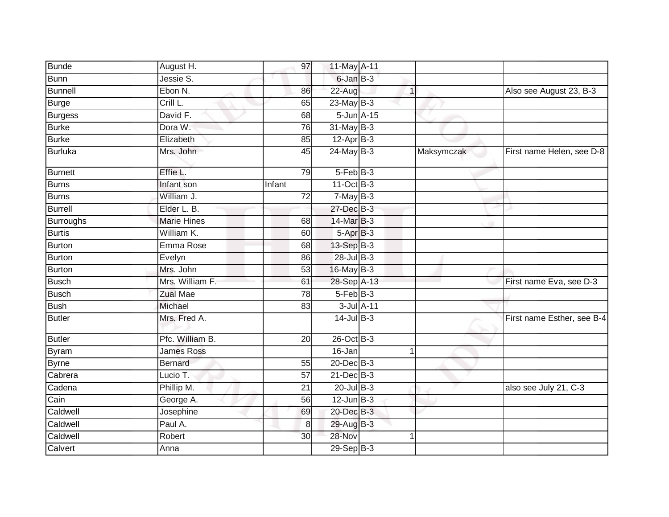| <b>Bunde</b>                | August H.          | 97              | 11-May A-11        |              |            |                            |
|-----------------------------|--------------------|-----------------|--------------------|--------------|------------|----------------------------|
| <b>Bunn</b>                 | Jessie S.          |                 | 6-Jan B-3          |              |            |                            |
| <b>Bunnell</b>              | Ebon N.            | 86              | 22-Aug             | $\mathbf{1}$ |            | Also see August 23, B-3    |
| <b>Burge</b>                | Crill L.           | 65              | $23$ -May B-3      |              |            |                            |
| <b>Burgess</b>              | David F.           | 68              | $5 - Jun$ $A - 15$ |              |            |                            |
| <b>Burke</b>                | Dora W.            | 76              | 31-May B-3         |              |            |                            |
| <b>Burke</b>                | Elizabeth          | 85              | $12-Apr$ B-3       |              |            |                            |
| <b>Burluka</b>              | Mrs. John          | 45              | $24$ -May B-3      |              | Maksymczak | First name Helen, see D-8  |
| <b>Burnett</b>              | Effie L.           | 79              | $5-FebB-3$         |              |            |                            |
| <b>Burns</b>                | Infant son         | Infant          | 11-Oct B-3         |              |            |                            |
| <b>Burns</b>                | William J.         | 72              | $7-MayB-3$         |              |            |                            |
| <b>Burrell</b>              | Elder L. B.        |                 | 27-Dec B-3         |              |            |                            |
| <b>Burroughs</b>            | <b>Marie Hines</b> | 68              | 14-Mar B-3         |              |            |                            |
| <b>Burtis</b>               | William K.         | 60              | $5-AprB-3$         |              |            |                            |
| Burton                      | Emma Rose          | 68              | 13-Sep B-3         |              |            |                            |
| <b>Burton</b>               | Evelyn             | 86              | $28$ -Jul B-3      |              |            |                            |
| <b>Burton</b>               | Mrs. John          | 53              | 16-May B-3         |              |            |                            |
| <b>Busch</b>                | Mrs. William F.    | 61              | 28-Sep A-13        |              |            | First name Eva, see D-3    |
| <b>Busch</b>                | <b>Zual Mae</b>    | 78              | 5-Feb B-3          |              |            |                            |
| <b>Bush</b>                 | Michael            | 83              | $3$ -Jul $A-11$    |              |            |                            |
| <b>Butler</b>               | Mrs. Fred A.       |                 | $14$ -Jul B-3      |              |            | First name Esther, see B-4 |
| <b>Butler</b>               | Pfc. William B.    | 20              | 26-Oct B-3         |              |            |                            |
| Byram                       | <b>James Ross</b>  |                 | 16-Jan             |              |            |                            |
| <b>Byrne</b>                | <b>Bernard</b>     | 55              | 20-Dec B-3         |              |            |                            |
| Cabrera                     | Lucio T.           | $\overline{57}$ | $21$ -Dec $B-3$    |              |            |                            |
| Cadena                      | Phillip M.         | 21              | $20$ -Jul $B-3$    |              |            | also see July 21, C-3      |
| $\overline{\mathrm{C}}$ ain | George A.          | 56              | $12$ -Jun $B-3$    |              |            |                            |
| Caldwell                    | Josephine          | 69              | 20-Dec B-3         |              |            |                            |
| Caldwell                    | Paul A.            | 8               | 29-Aug B-3         |              |            |                            |
| Caldwell                    | Robert             | 30              | 28-Nov             |              |            |                            |
| Calvert                     | Anna               |                 | $29-Sep$ B-3       |              |            |                            |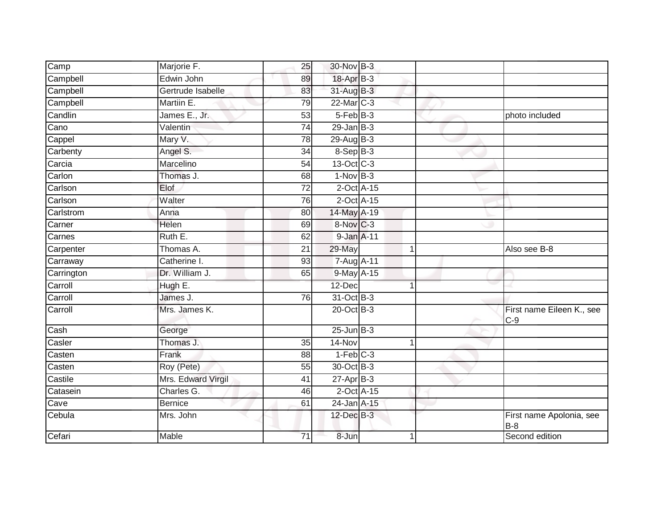| $\overline{\text{Camp}}$ | Marjorie F.        | 25              | 30-Nov B-3                 |                |                                    |
|--------------------------|--------------------|-----------------|----------------------------|----------------|------------------------------------|
| Campbell                 | Edwin John         | 89              | 18-Apr B-3                 |                |                                    |
| Campbell                 | Gertrude Isabelle  | 83              | 31-Aug B-3                 |                |                                    |
| Campbell                 | Martiin E.         | 79              | 22-Mar C-3                 |                |                                    |
| Candlin                  | James E., Jr.      | 53              | $5-FebB-3$                 |                | photo included                     |
| Cano                     | Valentin           | 74              | $29$ -Jan B-3              |                |                                    |
| Cappel                   | Mary V.            | 78              | 29-Aug B-3                 |                |                                    |
| Carbenty                 | Angel S.           | 34              | 8-Sep B-3                  |                |                                    |
| Carcia                   | Marcelino          | 54              | 13-Oct C-3                 |                |                                    |
| Carlon                   | Thomas J.          | 68              | $1-Nov$ B-3                |                |                                    |
| Carlson                  | Elof               | $\overline{72}$ | $2$ -Oct $A$ -15           |                |                                    |
| Carlson                  | Walter             | 76              | $2$ -Oct A-15              |                |                                    |
| Carlstrom                | Anna               | 80              | 14-May A-19                |                |                                    |
| Carner                   | Helen              | 69              | 8-Nov C-3                  |                |                                    |
| Carnes                   | Ruth E.            | 62              | 9-Jan A-11                 |                |                                    |
| Carpenter                | Thomas A.          | 21              | 29-May                     | $\overline{1}$ | Also see B-8                       |
| Carraway                 | Catherine I.       | 93              | 7-Aug A-11                 |                |                                    |
| Carrington               | Dr. William J.     | 65              | 9-May A-15                 |                |                                    |
| Carroll                  | Hugh E.            |                 | 12-Dec                     |                |                                    |
| Carroll                  | James J.           | 76              | 31-Oct B-3                 |                |                                    |
| Carroll                  | Mrs. James K.      |                 | 20-Oct B-3                 |                | First name Eileen K., see<br>$C-9$ |
| $\overline{\text{Cash}}$ | George             |                 | $25$ -Jun $B-3$            |                |                                    |
| Casler                   | Thomas J.          | 35              | 14-Nov                     |                |                                    |
| Casten                   | Frank              | 88              | $1-Feb$ <sub>C-3</sub>     |                |                                    |
| Casten                   | Roy (Pete)         | 55              | 30-Oct B-3                 |                |                                    |
| Castile                  | Mrs. Edward Virgil | 41              | $27$ -Apr $B-3$            |                |                                    |
| Catasein                 | Charles G.         | 46              | $2$ -Oct $\overline{A-15}$ |                |                                    |
| Cave                     | <b>Bernice</b>     | 61              | 24-Jan A-15                |                |                                    |
| Cebula                   | Mrs. John          |                 | 12-Dec B-3                 |                | First name Apolonia, see<br>$B-8$  |
| Cefari                   | Mable              | $\overline{71}$ | $8 - Jun$                  | 1              | Second edition                     |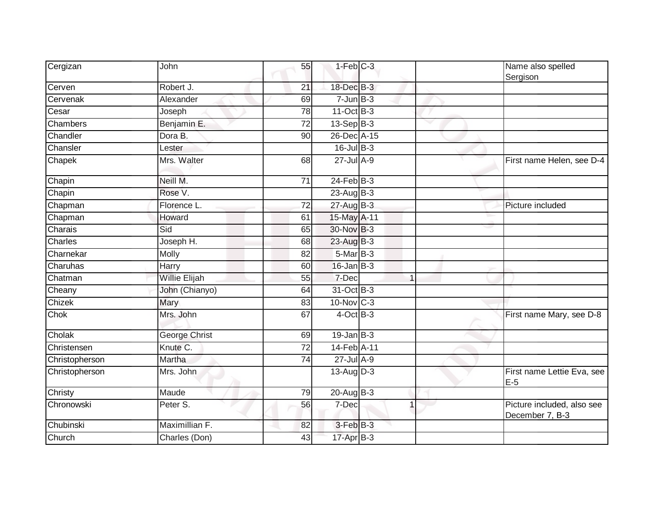| Cergizan       | John                 | 55              | $1-Feb$ $C-3$   |                | Name also spelled<br>Sergison                 |
|----------------|----------------------|-----------------|-----------------|----------------|-----------------------------------------------|
| Cerven         | Robert J.            | 21              | 18-Dec B-3      |                |                                               |
| Cervenak       | Alexander            | 69              | $7 - Jun$ B-3   |                |                                               |
| Cesar          | Joseph               | 78              | 11-Oct B-3      |                |                                               |
| Chambers       | Benjamin E.          | $\overline{72}$ | 13-Sep B-3      |                |                                               |
| Chandler       | Dora B.              | 90              | 26-Dec A-15     |                |                                               |
| Chansler       | Lester               |                 | 16-Jul B-3      |                |                                               |
| Chapek         | Mrs. Walter          | 68              | 27-Jul A-9      |                | First name Helen, see D-4                     |
| Chapin         | Neill M.             | 71              | $24$ -Feb $B-3$ |                |                                               |
| Chapin         | Rose <sub>V</sub> .  |                 | 23-Aug B-3      |                |                                               |
| Chapman        | Florence L.          | 72              | 27-Aug B-3      |                | Picture included                              |
| Chapman        | Howard               | 61              | 15-May A-11     |                |                                               |
| Charais        | Sid                  | 65              | 30-Nov B-3      |                |                                               |
| Charles        | Joseph H.            | 68              | $23$ -Aug $B-3$ |                |                                               |
| Charnekar      | Molly                | 82              | $5-MarB-3$      |                |                                               |
| Charuhas       | Harry                | 60              | $16$ -Jan $B-3$ |                |                                               |
| Chatman        | <b>Willie Elijah</b> | 55              | 7-Dec           |                |                                               |
| Cheany         | John (Chianyo)       | 64              | 31-Oct B-3      |                |                                               |
| Chizek         | Mary                 | 83              | 10-Nov C-3      |                |                                               |
| Chok           | Mrs. John            | 67              | $4$ -Oct B-3    |                | First name Mary, see D-8                      |
| Cholak         | <b>George Christ</b> | 69              | $19$ -Jan B-3   |                |                                               |
| Christensen    | Knute <sub>C</sub> . | 72              | 14-Feb A-11     |                |                                               |
| Christopherson | Martha               | $\overline{74}$ | $27$ -Jul $A-9$ |                |                                               |
| Christopherson | Mrs. John            |                 | 13-Aug D-3      |                | First name Lettie Eva, see<br>$E-5$           |
| Christy        | Maude                | 79              | $20$ -Aug B-3   |                |                                               |
| Chronowski     | Peter S.             | 56              | 7-Dec           | $\overline{1}$ | Picture included, also see<br>December 7, B-3 |
| Chubinski      | Maximillian F.       | 82              | 3-Feb B-3       |                |                                               |
| Church         | Charles (Don)        | 43              | $17$ -Apr $B-3$ |                |                                               |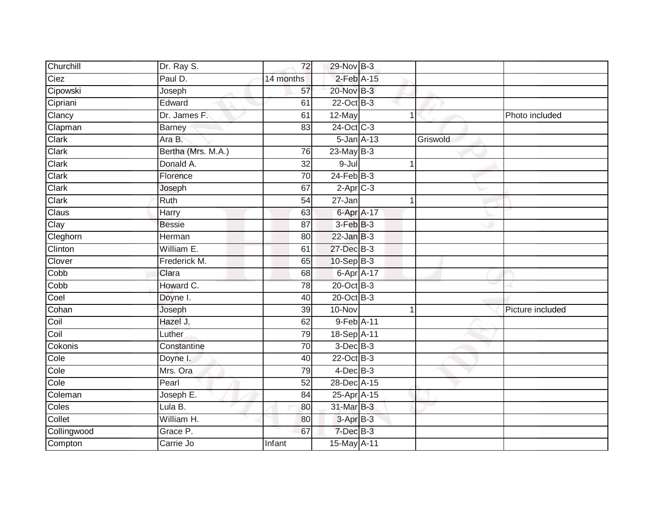| Churchill   | Dr. Ray S.         | 72        | 29-Nov B-3      |                  |          |                  |
|-------------|--------------------|-----------|-----------------|------------------|----------|------------------|
| Ciez        | Paul D.            | 14 months | $2$ -Feb $A-15$ |                  |          |                  |
| Cipowski    | Joseph             | 57        | 20-Nov B-3      |                  |          |                  |
| Cipriani    | Edward             | 61        | 22-Oct B-3      |                  |          |                  |
| Clancy      | Dr. James F.       | 61        | 12-May          |                  |          | Photo included   |
| Clapman     | <b>Barney</b>      | 83        | 24-Oct C-3      |                  |          |                  |
| Clark       | Ara B.             |           |                 | $5 - Jan A - 13$ | Griswold |                  |
| Clark       | Bertha (Mrs. M.A.) | 76        | $23$ -May $B-3$ |                  |          |                  |
| Clark       | Donald A.          | 32        | $9 -$ Jul       |                  |          |                  |
| Clark       | Florence           | 70        | $24$ -Feb $B-3$ |                  |          |                  |
| Clark       | Joseph             | 67        | $2-Aprc-3$      |                  |          |                  |
| Clark       | Ruth               | 54        | 27-Jan          |                  | 1        |                  |
| Claus       | Harry              | 63        |                 | 6-Apr A-17       |          |                  |
| Clay        | <b>Bessie</b>      | 87        | $3-FebB-3$      |                  |          |                  |
| Cleghorn    | Herman             | 80        | $22$ -Jan $B-3$ |                  |          |                  |
| Clinton     | William E.         | 61        | 27-Dec B-3      |                  |          |                  |
| Clover      | Frederick M.       | 65        | $10-Sep$ B-3    |                  |          |                  |
| Copp        | Clara              | 68        |                 | 6-Apr A-17       |          |                  |
| Cobb        | Howard C.          | 78        | 20-Oct B-3      |                  |          |                  |
| Coel        | Doyne I.           | 40        | 20-Oct B-3      |                  |          |                  |
| Cohan       | Joseph             | 39        | $10 - Nov$      |                  |          | Picture included |
| Coil        | Hazel J.           | 62        | 9-Feb A-11      |                  |          |                  |
| Coil        | Luther             | 79        | 18-Sep A-11     |                  |          |                  |
| Cokonis     | Constantine        | 70        | $3$ -Dec $B-3$  |                  |          |                  |
| Cole        | Doyne I.           | 40        | 22-Oct B-3      |                  |          |                  |
| Cole        | Mrs. Ora           | 79        | $4$ -Dec $B$ -3 |                  |          |                  |
| Cole        | Pearl              | 52        | 28-Dec A-15     |                  |          |                  |
| Coleman     | Joseph $E$ .       | 84        | 25-Apr A-15     |                  |          |                  |
| Coles       | Lula B.            | 80        | 31-Mar B-3      |                  |          |                  |
| Collet      | William H.         | 80        | 3-Apr B-3       |                  |          |                  |
| Collingwood | Grace P.           | 67        | $7$ -Dec $B-3$  |                  |          |                  |
| Compton     | Carrie Jo          | Infant    | 15-May A-11     |                  |          |                  |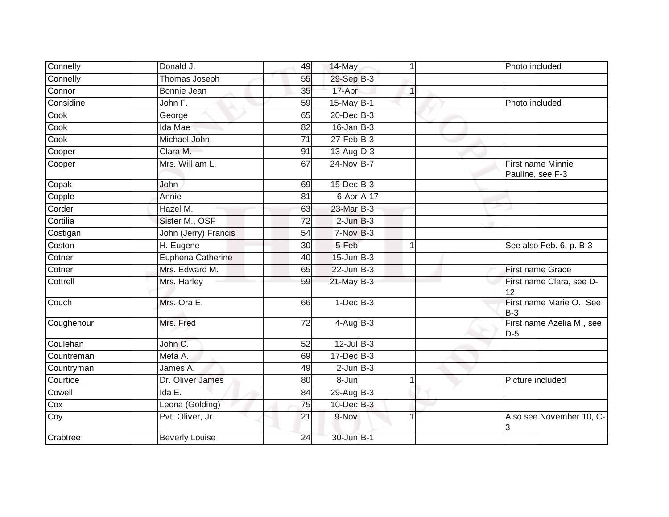| Connelly   | Donald J.             | 49 | 14-May           |             | Photo included                        |
|------------|-----------------------|----|------------------|-------------|---------------------------------------|
| Connelly   | Thomas Joseph         | 55 | 29-Sep B-3       |             |                                       |
| Connor     | Bonnie Jean           | 35 | 17-Apr           | $\mathbf 1$ |                                       |
| Considine  | John F.               | 59 | 15-May B-1       |             | Photo included                        |
| Cook       | George                | 65 | $20$ -Dec $B-3$  |             |                                       |
| Cook       | Ida Mae               | 82 | $16$ -Jan $B-3$  |             |                                       |
| Cook       | Michael John          | 71 | $27$ -Feb $B-3$  |             |                                       |
| Cooper     | Clara M.              | 91 | $13$ -Aug D-3    |             |                                       |
| Cooper     | Mrs. William L.       | 67 | 24-Nov B-7       |             | First name Minnie<br>Pauline, see F-3 |
| Copak      | John                  | 69 | $15$ -Dec $B$ -3 |             |                                       |
| Copple     | Annie                 | 81 | 6-Apr $A$ -17    |             |                                       |
| Corder     | Hazel M.              | 63 | 23-Mar B-3       |             |                                       |
| Cortilia   | Sister M., OSF        | 72 | $2$ -Jun $B-3$   |             |                                       |
| Costigan   | John (Jerry) Francis  | 54 | 7-Nov B-3        |             |                                       |
| Coston     | H. Eugene             | 30 | 5-Feb            | 1           | See also Feb. 6, p. B-3               |
| Cotner     | Euphena Catherine     | 40 | $15$ -Jun $B-3$  |             |                                       |
| Cotner     | Mrs. Edward M.        | 65 | $22$ -Jun $B-3$  |             | <b>First name Grace</b>               |
| Cottrell   | Mrs. Harley           | 59 | $21$ -May B-3    |             | First name Clara, see D-<br>12        |
| Couch      | Mrs. Ora E.           | 66 | $1-Dec$ B-3      |             | First name Marie O., See<br>$B-3$     |
| Coughenour | Mrs. Fred             | 72 | $4-AugB-3$       |             | First name Azelia M., see<br>$D-5$    |
| Coulehan   | John C.               | 52 | $12$ -Jul $B-3$  |             |                                       |
| Countreman | Meta A.               | 69 | 17-Dec B-3       |             |                                       |
| Countryman | James A.              | 49 | $2$ -Jun $B-3$   |             |                                       |
| Courtice   | Dr. Oliver James      | 80 | 8-Jun            |             | Picture included                      |
| Cowell     | Ida E.                | 84 | 29-Aug B-3       |             |                                       |
| Cox        | Leona (Golding)       | 75 | 10-Dec B-3       |             |                                       |
| Coy        | Pvt. Oliver, Jr.      | 21 | 9-Nov            |             | Also see November 10, C-<br>3         |
| Crabtree   | <b>Beverly Louise</b> | 24 | 30-Jun B-1       |             |                                       |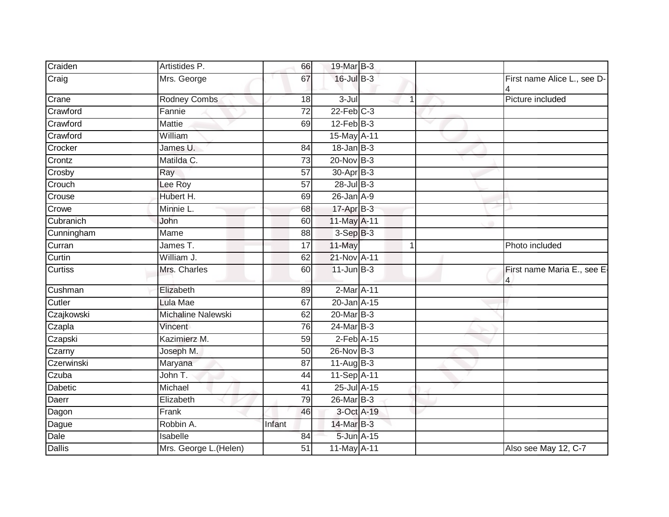| Craiden        | Artistides P.          | 66              | 19-Mar B-3       |   |                                  |
|----------------|------------------------|-----------------|------------------|---|----------------------------------|
| Craig          | Mrs. George            | 67              | 16-Jul B-3       |   | First name Alice L., see D-      |
| Crane          | <b>Rodney Combs</b>    | 18              | $3 -$ Jul        | 1 | Picture included                 |
| Crawford       | Fannie                 | 72              | $22$ -Feb $C-3$  |   |                                  |
| Crawford       | <b>Mattie</b>          | 69              | $12$ -Feb $B-3$  | v |                                  |
| Crawford       | William                |                 | 15-May A-11      |   |                                  |
| Crocker        | James U.               | 84              | $18$ -Jan B-3    |   |                                  |
| Crontz         | Matilda C.             | 73              | 20-Nov B-3       |   |                                  |
| Crosby         | Ray                    | 57              | 30-Apr B-3       |   |                                  |
| Crouch         | Lee Roy                | 57              | 28-Jul B-3       |   |                                  |
| Crouse         | Hubert H.              | 69              | $26$ -Jan $A-9$  |   |                                  |
| Crowe          | Minnie L.              | 68              | 17-Apr B-3       |   |                                  |
| Cubranich      | John                   | 60              | 11-May A-11      |   |                                  |
| Cunningham     | Mame                   | 88              | $3-Sep$ $B-3$    |   |                                  |
| Curran         | James T.               | 17              | 11-May           | 1 | Photo included                   |
| Curtin         | William J.             | 62              | 21-Nov A-11      |   |                                  |
| <b>Curtiss</b> | Mrs. Charles           | 60              | $11$ -Jun $B-3$  |   | First name Maria E., see E-<br>4 |
| Cushman        | Elizabeth              | 89              | 2-Mar A-11       |   |                                  |
| Cutler         | Lula Mae               | 67              | 20-Jan A-15      |   |                                  |
| Czajkowski     | Michaline Nalewski     | 62              | 20-Mar B-3       |   |                                  |
| Czapla         | Vincent                | 76              | 24-Mar B-3       |   |                                  |
| Czapski        | Kazimierz M.           | 59              | $2$ -Feb $A-15$  |   |                                  |
| Czarny         | Joseph M.              | 50              | 26-Nov B-3       |   |                                  |
| Czerwinski     | Maryana                | $\overline{87}$ | $11-Aug$ B-3     |   |                                  |
| Czuba          | John T.                | 44              | 11-Sep A-11      |   |                                  |
| Dabetic        | Michael                | 41              | $25$ -Jul $A-15$ |   |                                  |
| Daerr          | Elizabeth              | 79              | 26-Mar B-3       |   |                                  |
| Dagon          | Frank                  | 46              | 3-Oct A-19       |   |                                  |
| Dague          | Robbin A.              | Infant          | 14-Mar B-3       |   |                                  |
| Dale           | Isabelle               | 84              | 5-Jun A-15       |   |                                  |
| <b>Dallis</b>  | Mrs. George L. (Helen) | 51              | 11-May A-11      |   | Also see May 12, C-7             |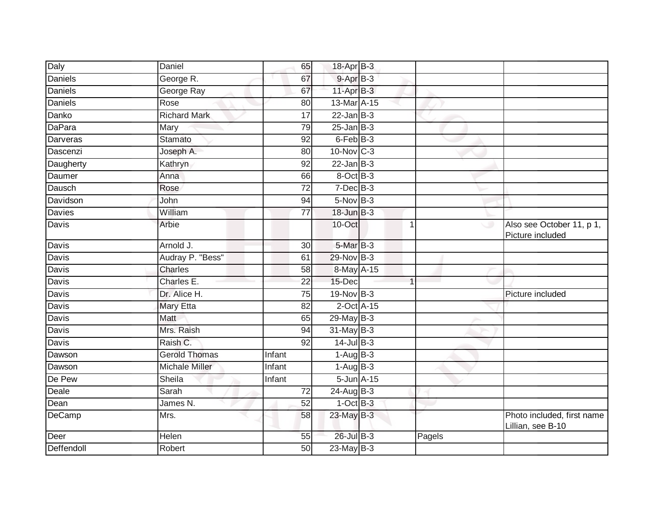| Daly           | Daniel                | 65              | 18-Apr B-3      |                 |        |                                                 |
|----------------|-----------------------|-----------------|-----------------|-----------------|--------|-------------------------------------------------|
| <b>Daniels</b> | George R.             | 67              | 9-Apr B-3       |                 |        |                                                 |
| <b>Daniels</b> | George Ray            | 67              | $11-AprB-3$     |                 |        |                                                 |
| Daniels        | Rose                  | 80              | 13-Mar A-15     |                 |        |                                                 |
| Danko          | <b>Richard Mark</b>   | $\overline{17}$ | $22$ -Jan B-3   |                 |        |                                                 |
| DaPara         | Mary                  | $\overline{79}$ | $25$ -Jan B-3   |                 |        |                                                 |
| Darveras       | <b>Stamato</b>        | 92              | $6$ -Feb $B-3$  |                 |        |                                                 |
| Dascenzi       | Joseph A.             | 80              | $10$ -Nov $C-3$ |                 |        |                                                 |
| Daugherty      | Kathryn               | 92              | $22$ -Jan B-3   |                 |        |                                                 |
| Daumer         | Anna                  | 66              | 8-Oct B-3       |                 |        |                                                 |
| Dausch         | Rose                  | 72              | $7$ -Dec $B-3$  |                 |        |                                                 |
| Davidson       | John                  | 94              | $5-Nov$ B-3     |                 |        |                                                 |
| Davies         | William               | 77              | $18$ -Jun $B-3$ |                 |        |                                                 |
| Davis          | Arbie                 |                 | 10-Oct          |                 | -1     | Also see October 11, p 1,<br>Picture included   |
| Davis          | Arnold J.             | 30              | 5-Mar B-3       |                 |        |                                                 |
| Davis          | Audray P. "Bess"      | 61              | 29-Nov B-3      |                 |        |                                                 |
| Davis          | Charles               | 58              | 8-May A-15      |                 |        |                                                 |
| <b>Davis</b>   | Charles E.            | 22              | 15-Dec          |                 | 1      |                                                 |
| Davis          | Dr. Alice H.          | 75              | 19-Nov B-3      |                 |        | Picture included                                |
| <b>Davis</b>   | <b>Mary Etta</b>      | $\overline{82}$ |                 | $2$ -Oct $A-15$ |        |                                                 |
| Davis          | Matt                  | 65              | $29$ -May B-3   |                 |        |                                                 |
| Davis          | Mrs. Raish            | 94              | $31$ -May B-3   |                 |        |                                                 |
| <b>Davis</b>   | Raish C.              | 92              | $14$ -Jul B-3   |                 |        |                                                 |
| Dawson         | <b>Gerold Thomas</b>  | Infant          | $1-AugB-3$      |                 |        |                                                 |
| Dawson         | <b>Michale Miller</b> | <b>Infant</b>   | $1-Aug$ B-3     |                 |        |                                                 |
| De Pew         | Sheila                | Infant          | 5-Jun A-15      |                 |        |                                                 |
| Deale          | Sarah                 | $\overline{72}$ | $24$ -Aug B-3   |                 |        |                                                 |
| Dean           | James N.              | 52              | $1-OctB-3$      |                 |        |                                                 |
| DeCamp         | Mrs.                  | 58              | 23-May B-3      |                 |        | Photo included, first name<br>Lillian, see B-10 |
| Deer           | Helen                 | 55              | 26-Jul B-3      |                 | Pagels |                                                 |
| Deffendoll     | Robert                | 50              | $23$ -May B-3   |                 |        |                                                 |
|                |                       |                 |                 |                 |        |                                                 |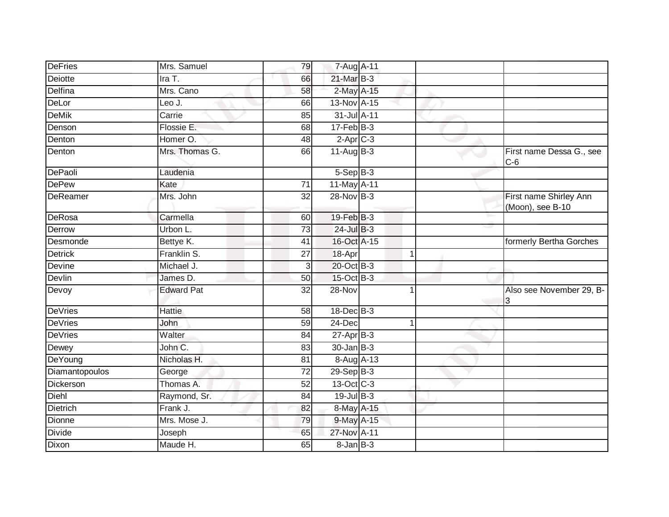| <b>DeFries</b>  | Mrs. Samuel       | 79                      | 7-Aug A-11        |              |                                            |
|-----------------|-------------------|-------------------------|-------------------|--------------|--------------------------------------------|
| Deiotte         | Ira T.            | 66                      | 21-Mar B-3        |              |                                            |
| Delfina         | Mrs. Cano         | 58                      | 2-May A-15        |              |                                            |
| DeLor           | Leo J.            | 66                      | 13-Nov A-15       |              |                                            |
| <b>DeMik</b>    | Carrie            | 85                      | 31-Jul A-11       |              |                                            |
| Denson          | Flossie E.        | 68                      | $17 - Feb$ $B-3$  |              |                                            |
| Denton          | Homer O.          | 48                      | $2-AprC-3$        |              |                                            |
| Denton          | Mrs. Thomas G.    | 66                      | $11-Aug$ B-3      |              | First name Dessa G., see<br>$C-6$          |
| DePaoli         | Laudenia          |                         | $5-Sep$ $B-3$     |              |                                            |
| <b>DePew</b>    | Kate              | 71                      | 11-May A-11       |              |                                            |
| DeReamer        | Mrs. John         | 32                      | 28-Nov B-3        |              | First name Shirley Ann<br>(Moon), see B-10 |
| DeRosa          | Carmella          | 60                      | 19-Feb B-3        |              |                                            |
| Derrow          | Urbon L.          | $\overline{73}$         | 24-Jul B-3        |              |                                            |
| Desmonde        | Bettye K.         | 41                      | 16-Oct A-15       |              | formerly Bertha Gorches                    |
| <b>Detrick</b>  | Franklin S.       | 27                      | 18-Apr            | $\mathbf{1}$ |                                            |
| Devine          | Michael J.        | $\overline{\mathbf{3}}$ | 20-Oct B-3        |              |                                            |
| Devlin          | James D.          | 50                      | 15-Oct B-3        |              |                                            |
| Devoy           | <b>Edward Pat</b> | 32                      | 28-Nov            | 1            | Also see November 29, B-<br>3              |
| <b>DeVries</b>  | <b>Hattie</b>     | 58                      | 18-Dec B-3        |              |                                            |
| <b>DeVries</b>  | John              | 59                      | $24$ -Dec         | $\mathbf{1}$ |                                            |
| <b>DeVries</b>  | Walter            | 84                      | $27 - Apr$ B-3    |              |                                            |
| Dewey           | John C.           | 83                      | $30 - Jan$ $B-3$  |              |                                            |
| DeYoung         | Nicholas H.       | $\overline{81}$         | 8-Aug A-13        |              |                                            |
| Diamantopoulos  | George            | $\overline{72}$         | $29-Sep$ B-3      |              |                                            |
| Dickerson       | Thomas A.         | 52                      | 13-Oct C-3        |              |                                            |
| Diehl           | Raymond, Sr.      | 84                      | $19$ -Jul $B-3$   |              |                                            |
| <b>Dietrich</b> | Frank J.          | 82                      | 8-May A-15        |              |                                            |
| Dionne          | Mrs. Mose J.      | 79                      | 9-May A-15        |              |                                            |
| Divide          | Joseph            | 65                      | 27-Nov A-11       |              |                                            |
| Dixon           | Maude H.          | 65                      | $8 - Jan$ $B - 3$ |              |                                            |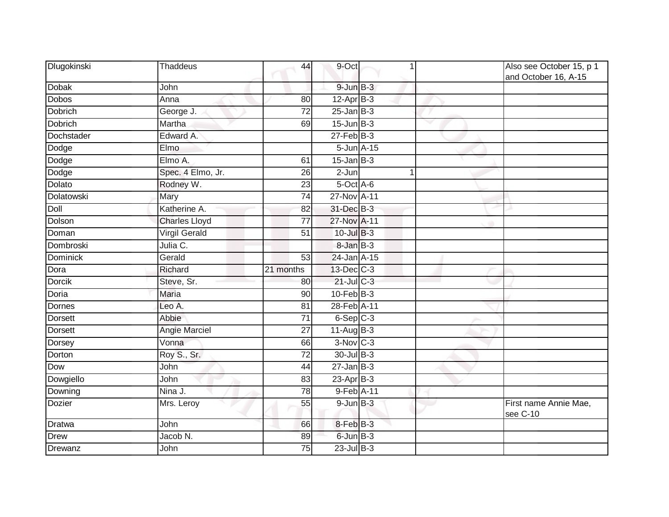| Dlugokinski    | <b>Thaddeus</b>      | 44              | 9-Oct              | 1           | Also see October 15, p 1<br>and October 16, A-15 |
|----------------|----------------------|-----------------|--------------------|-------------|--------------------------------------------------|
| <b>Dobak</b>   | John                 |                 | $9$ -Jun $B$ -3    |             |                                                  |
| <b>Dobos</b>   | Anna                 | 80              | $12-Apr$ B-3       |             |                                                  |
| Dobrich        | George J.            | 72              | $25$ -Jan $B-3$    |             |                                                  |
| Dobrich        | Martha               | 69              | $15$ -Jun $B-3$    |             |                                                  |
| Dochstader     | Edward A.            |                 | $27$ -Feb $B-3$    |             |                                                  |
| Dodge          | Elmo                 |                 | $5 - Jun$ $A - 15$ |             |                                                  |
| Dodge          | Elmo A.              | 61              | $15$ -Jan B-3      |             |                                                  |
| Dodge          | Spec. 4 Elmo, Jr.    | 26              | 2-Jun              | $\mathbf 1$ |                                                  |
| Dolato         | Rodney W.            | 23              | 5-Oct A-6          |             |                                                  |
| Dolatowski     | Mary                 | 74              | 27-Nov A-11        |             |                                                  |
| Doll           | Katherine A.         | 82              | 31-Dec B-3         |             |                                                  |
| Dolson         | <b>Charles Lloyd</b> | $\overline{77}$ | 27-Nov A-11        |             |                                                  |
| Doman          | <b>Virgil Gerald</b> | 51              | 10-Jul B-3         |             |                                                  |
| Dombroski      | Julia C.             |                 | 8-Jan B-3          |             |                                                  |
| Dominick       | Gerald               | 53              | 24-Jan A-15        |             |                                                  |
| Dora           | Richard              | 21 months       | 13-Dec C-3         |             |                                                  |
| <b>Dorcik</b>  | Steve, Sr.           | 80              | 21-Jul C-3         |             |                                                  |
| Doria          | <b>Maria</b>         | 90              | 10-Feb B-3         |             |                                                  |
| <b>Dornes</b>  | Leo A.               | $\overline{81}$ | 28-Feb A-11        |             |                                                  |
| Dorsett        | Abbie                | $\overline{71}$ | $6-Sep$ $C-3$      |             |                                                  |
| <b>Dorsett</b> | Angie Marciel        | 27              | $11-Aug$ B-3       |             |                                                  |
| Dorsey         | Vonna                | 66              | $3-Nov$ C-3        |             |                                                  |
| Dorton         | Roy S., Sr.          | 72              | 30-Jul B-3         |             |                                                  |
| Dow            | John                 | 44              | $27$ -Jan B-3      |             |                                                  |
| Dowgiello      | John                 | 83              | $23$ -Apr $B-3$    |             |                                                  |
| Downing        | Nina J.              | $\overline{78}$ | 9-Feb A-11         |             |                                                  |
| <b>Dozier</b>  | Mrs. Leroy           | 55              | $9$ -Jun $B-3$     |             | First name Annie Mae,<br>see C-10                |
| Dratwa         | John                 | 66              | 8-Feb B-3          |             |                                                  |
| <b>Drew</b>    | Jacob N.             | 89              | 6-Jun B-3          |             |                                                  |
| Drewanz        | John                 | 75              | $23$ -Jul $B-3$    |             |                                                  |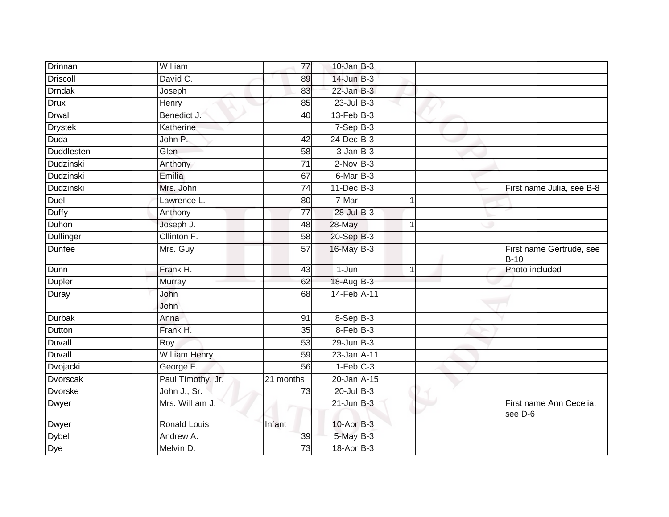| Drinnan         | William              | 77              | $10$ -Jan $B-3$            |              |                                         |
|-----------------|----------------------|-----------------|----------------------------|--------------|-----------------------------------------|
| <b>Driscoll</b> | David C.             | 89              | $14$ -Jun $B-3$            |              |                                         |
| <b>Drndak</b>   | Joseph               | 83              | $22$ -Jan B-3              |              |                                         |
| Drux            | Henry                | 85              | $23$ -Jul B-3              |              |                                         |
| <b>Drwal</b>    | Benedict J.          | $\overline{40}$ | $13$ -Feb $ B-3 $          |              |                                         |
| <b>Drystek</b>  | Katherine            |                 | $7-Sep$ B-3                |              |                                         |
| Duda            | John P.              | 42              | 24-Dec B-3                 |              |                                         |
| Duddlesten      | Glen                 | 58              | $3$ -Jan $B-3$             |              |                                         |
| Dudzinski       | Anthony              | 71              | $2$ -Nov $B-3$             |              |                                         |
| Dudzinski       | Emilia               | 67              | $6$ -Mar $\overline{B}$ -3 |              |                                         |
| Dudzinski       | Mrs. John            | $\overline{74}$ | $11$ -Dec $B-3$            |              | First name Julia, see B-8               |
| Duell           | Lawrence L.          | 80              | 7-Mar                      | 1            |                                         |
| <b>Duffy</b>    | Anthony              | $\overline{77}$ | $28$ -Jul B-3              |              |                                         |
| Duhon           | Joseph J.            | 48              | 28-May                     | $\mathbf{1}$ |                                         |
| Dullinger       | Cllinton F.          | 58              | 20-Sep B-3                 |              |                                         |
| Dunfee          | Mrs. Guy             | $\overline{57}$ | 16-May B-3                 |              | First name Gertrude, see<br><b>B-10</b> |
| Dunn            | Frank H.             | 43              | 1-Jun                      | $\mathbf{1}$ | Photo included                          |
| <b>Dupler</b>   | Murray               | 62              | 18-Aug B-3                 |              |                                         |
| Duray           | John<br>John         | 68              | 14-Feb A-11                |              |                                         |
| Durbak          | Anna                 | 91              | $8-$ Sep $ B-3 $           |              |                                         |
| Dutton          | Frank H.             | 35              | 8-Feb B-3                  |              |                                         |
| Duvall          | Roy                  | 53              | $29$ -Jun $B-3$            |              |                                         |
| Duvall          | <b>William Henry</b> | $\overline{59}$ | 23-Jan A-11                |              |                                         |
| Dvojacki        | George F.            | $\overline{56}$ | $1-Feb$ $C-3$              |              |                                         |
| Dvorscak        | Paul Timothy, Jr.    | 21 months       | 20-Jan A-15                |              |                                         |
| <b>Dvorske</b>  | John J., Sr.         | $\overline{73}$ | $20$ -Jul B-3              |              |                                         |
| <b>Dwyer</b>    | Mrs. William J.      |                 | $21$ -Jun $B-3$            |              | First name Ann Cecelia,<br>see D-6      |
| <b>Dwyer</b>    | <b>Ronald Louis</b>  | Infant          | 10-Apr B-3                 |              |                                         |
| <b>Dybel</b>    | Andrew A.            | 39              | 5-May B-3                  |              |                                         |
| Dye             | Melvin D.            | 73              | 18-Apr B-3                 |              |                                         |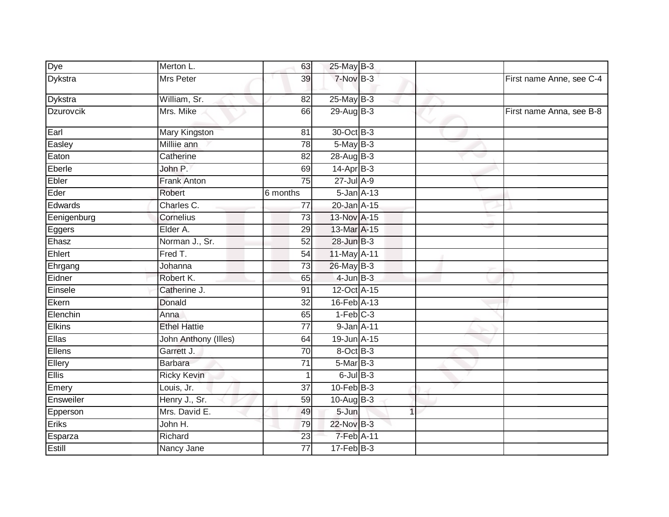| Merton L.            | 63              |           |             |                                                                                                                                                                                                                                                                                                                                                                                                                                                                                     |                          |
|----------------------|-----------------|-----------|-------------|-------------------------------------------------------------------------------------------------------------------------------------------------------------------------------------------------------------------------------------------------------------------------------------------------------------------------------------------------------------------------------------------------------------------------------------------------------------------------------------|--------------------------|
| <b>Mrs Peter</b>     | 39              |           |             |                                                                                                                                                                                                                                                                                                                                                                                                                                                                                     | First name Anne, see C-4 |
| William, Sr.         | 82              |           |             |                                                                                                                                                                                                                                                                                                                                                                                                                                                                                     |                          |
| Mrs. Mike            | 66              |           |             |                                                                                                                                                                                                                                                                                                                                                                                                                                                                                     | First name Anna, see B-8 |
| Mary Kingston        | 81              |           |             |                                                                                                                                                                                                                                                                                                                                                                                                                                                                                     |                          |
| Milliie ann          | $\overline{78}$ |           |             |                                                                                                                                                                                                                                                                                                                                                                                                                                                                                     |                          |
| Catherine            | 82              |           |             |                                                                                                                                                                                                                                                                                                                                                                                                                                                                                     |                          |
| John P.              | 69              |           |             |                                                                                                                                                                                                                                                                                                                                                                                                                                                                                     |                          |
| <b>Frank Anton</b>   | 75              |           |             |                                                                                                                                                                                                                                                                                                                                                                                                                                                                                     |                          |
| Robert               | 6 months        |           |             |                                                                                                                                                                                                                                                                                                                                                                                                                                                                                     |                          |
| Charles C.           | 77              |           |             |                                                                                                                                                                                                                                                                                                                                                                                                                                                                                     |                          |
| Cornelius            | 73              |           |             |                                                                                                                                                                                                                                                                                                                                                                                                                                                                                     |                          |
| Elder A.             | 29              |           |             |                                                                                                                                                                                                                                                                                                                                                                                                                                                                                     |                          |
| Norman J., Sr.       | 52              |           |             |                                                                                                                                                                                                                                                                                                                                                                                                                                                                                     |                          |
| Fred T.              | 54              |           |             |                                                                                                                                                                                                                                                                                                                                                                                                                                                                                     |                          |
| Johanna              | 73              |           |             |                                                                                                                                                                                                                                                                                                                                                                                                                                                                                     |                          |
| Robert K.            | 65              |           |             |                                                                                                                                                                                                                                                                                                                                                                                                                                                                                     |                          |
| Catherine J.         | 91              |           |             |                                                                                                                                                                                                                                                                                                                                                                                                                                                                                     |                          |
| Donald               | 32              |           |             |                                                                                                                                                                                                                                                                                                                                                                                                                                                                                     |                          |
| Anna                 | 65              |           |             |                                                                                                                                                                                                                                                                                                                                                                                                                                                                                     |                          |
| <b>Ethel Hattie</b>  | 77              |           |             |                                                                                                                                                                                                                                                                                                                                                                                                                                                                                     |                          |
| John Anthony (Illes) | 64              |           |             |                                                                                                                                                                                                                                                                                                                                                                                                                                                                                     |                          |
| Garrett J.           | 70              |           |             |                                                                                                                                                                                                                                                                                                                                                                                                                                                                                     |                          |
| <b>Barbara</b>       | $\overline{71}$ |           |             |                                                                                                                                                                                                                                                                                                                                                                                                                                                                                     |                          |
| <b>Ricky Kevin</b>   | $\mathbf{1}$    |           |             |                                                                                                                                                                                                                                                                                                                                                                                                                                                                                     |                          |
| Louis, Jr.           | 37              |           |             |                                                                                                                                                                                                                                                                                                                                                                                                                                                                                     |                          |
| Henry J., Sr.        | $\overline{59}$ |           |             |                                                                                                                                                                                                                                                                                                                                                                                                                                                                                     |                          |
| Mrs. David E.        | 49              | $5 - Jun$ | $\mathbf 1$ |                                                                                                                                                                                                                                                                                                                                                                                                                                                                                     |                          |
| John H.              | 79              |           |             |                                                                                                                                                                                                                                                                                                                                                                                                                                                                                     |                          |
| Richard              | 23              |           |             |                                                                                                                                                                                                                                                                                                                                                                                                                                                                                     |                          |
| Nancy Jane           | $\overline{77}$ |           |             |                                                                                                                                                                                                                                                                                                                                                                                                                                                                                     |                          |
|                      |                 |           |             | 25-May B-3<br>$7-Nov$ B-3<br>$25$ -May B-3<br>$29-AugB-3$<br>30-Oct B-3<br>$5$ -May $B-3$<br>28-Aug B-3<br>$14-Apr$ B-3<br>$27 -$ Jul A-9<br>$5$ -Jan $A-13$<br>20-Jan A-15<br>13-Nov A-15<br>13-Mar A-15<br>28-Jun B-3<br>11-May A-11<br>26-May B-3<br>$4$ -Jun $B-3$<br>12-Oct A-15<br>16-Feb A-13<br>$1-Feb$ $C-3$<br>$9$ -Jan $A$ -11<br>19-Jun A-15<br>8-Oct B-3<br>5-Mar B-3<br>$6$ -Jul $B-3$<br>$10$ -Feb $B-3$<br>10-Aug $B-3$<br>22-Nov B-3<br>7-Feb A-11<br>$17-Feb$ B-3 |                          |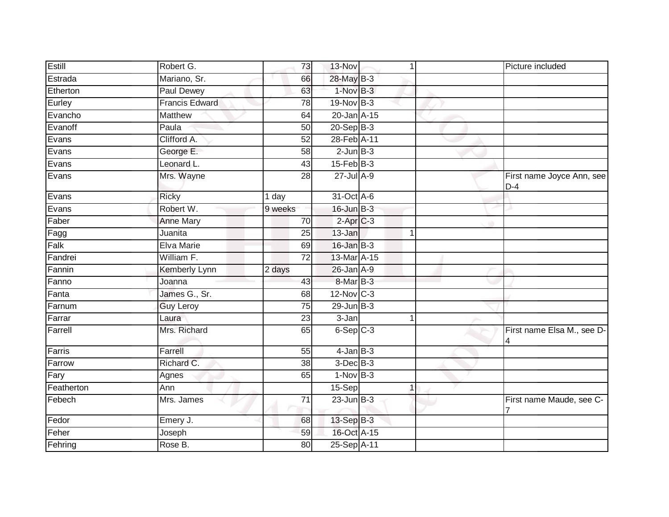| Estill     | Robert G.             | 73              | 13-Nov            | 1              | Picture included                   |
|------------|-----------------------|-----------------|-------------------|----------------|------------------------------------|
| Estrada    | Mariano, Sr.          | 66              | 28-May B-3        |                |                                    |
| Etherton   | <b>Paul Dewey</b>     | 63              | 1-Nov B-3         |                |                                    |
| Eurley     | <b>Francis Edward</b> | 78              | 19-Nov B-3        |                |                                    |
| Evancho    | <b>Matthew</b>        | 64              | $20$ -Jan $A-15$  |                |                                    |
| Evanoff    | Paula                 | 50              | $20 - Sep$ B-3    |                |                                    |
| Evans      | Clifford A.           | $\overline{52}$ | 28-Feb A-11       |                |                                    |
| Evans      | George E.             | 58              | $2$ -Jun $B-3$    |                |                                    |
| Evans      | Leonard L.            | 43              | $15$ -Feb $B-3$   |                |                                    |
| Evans      | Mrs. Wayne            | $\overline{28}$ | $27$ -Jul $A-9$   |                | First name Joyce Ann, see<br>$D-4$ |
| Evans      | <b>Ricky</b>          | 1 day           | 31-Oct A-6        |                |                                    |
| Evans      | Robert W.             | 9 weeks         | $16$ -Jun $B-3$   |                |                                    |
| Faber      | <b>Anne Mary</b>      | $\overline{70}$ | $2-AprC-3$        |                |                                    |
| Fagg       | Juanita               | 25              | 13-Jan            | 1              |                                    |
| Falk       | Elva Marie            | 69              | 16-Jan B-3        |                |                                    |
| Fandrei    | William F.            | 72              | 13-Mar A-15       |                |                                    |
| Fannin     | Kemberly Lynn         | 2 days          | 26-Jan A-9        |                |                                    |
| Fanno      | Joanna                | 43              | 8-Mar B-3         |                |                                    |
| Fanta      | James G., Sr.         | 68              | $12$ -Nov $ C-3 $ |                |                                    |
| Farnum     | <b>Guy Leroy</b>      | 75              | $29$ -Jun $B-3$   |                |                                    |
| Farrar     | Laura                 | 23              | 3-Jan             | 1              |                                    |
| Farrell    | Mrs. Richard          | 65              | $6-Sep$ $C-3$     |                | First name Elsa M., see D-<br>4    |
| Farris     | Farrell               | 55              | $4$ -Jan $B-3$    |                |                                    |
| Farrow     | Richard C.            | 38              | $3$ -Dec $B$ -3   |                |                                    |
| Fary       | Agnes                 | 65              | $1-Nov$ B-3       |                |                                    |
| Featherton | Ann                   |                 | 15-Sep            | $\overline{1}$ |                                    |
| Febech     | Mrs. James            | 71              | $23$ -Jun $B-3$   |                | First name Maude, see C-           |
| Fedor      | Emery J.              | 68              | 13-Sep B-3        |                |                                    |
| Feher      | Joseph                | 59              | 16-Oct A-15       |                |                                    |
| Fehring    | Rose B.               | 80              | 25-Sep A-11       |                |                                    |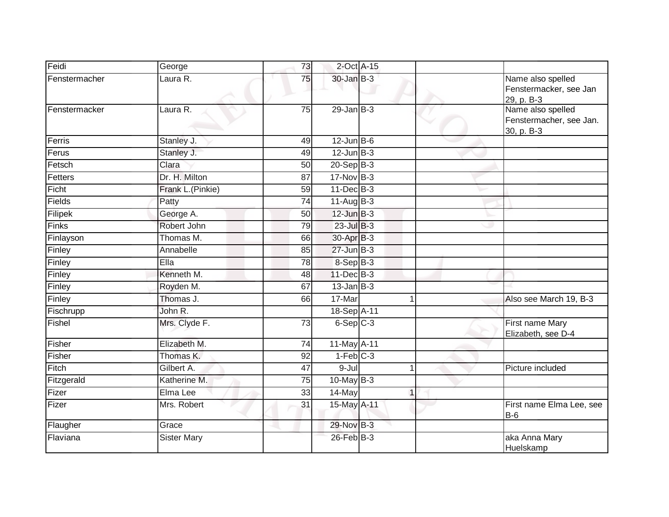| Feidi         | George             | 73              | 2-Oct A-15       |              |                                                            |
|---------------|--------------------|-----------------|------------------|--------------|------------------------------------------------------------|
| Fenstermacher | Laura R.           | 75              | 30-Jan B-3       |              | Name also spelled<br>Fenstermacker, see Jan<br>29, p. B-3  |
| Fenstermacker | Laura R.           | 75              | $29$ -Jan B-3    |              | Name also spelled<br>Fenstermacher, see Jan.<br>30, p. B-3 |
| Ferris        | Stanley J.         | 49              | $12$ -Jun $B$ -6 |              |                                                            |
| Ferus         | Stanley J.         | 49              | $12$ -Jun $B-3$  |              |                                                            |
| Fetsch        | Clara              | 50              | 20-Sep B-3       |              |                                                            |
| Fetters       | Dr. H. Milton      | 87              | 17-Nov B-3       |              |                                                            |
| Ficht         | Frank L.(Pinkie)   | 59              | $11 - Dec$ B-3   |              |                                                            |
| Fields        | Patty              | 74              | $11-AugB-3$      |              |                                                            |
| Filipek       | George A.          | 50              | $12$ -Jun $B-3$  |              |                                                            |
| Finks         | Robert John        | 79              | $23$ -Jul B-3    |              |                                                            |
| Finlayson     | Thomas M.          | 66              | 30-Apr B-3       |              |                                                            |
| Finley        | Annabelle          | 85              | $27$ -Jun $B-3$  |              |                                                            |
| Finley        | Ella               | 78              | $8-Sep$ B-3      |              |                                                            |
| Finley        | Kenneth M.         | 48              | $11$ -Dec $B-3$  |              |                                                            |
| Finley        | Royden M.          | 67              | $13$ -Jan $B-3$  |              |                                                            |
| Finley        | Thomas J.          | 66              | 17-Mar           |              | Also see March 19, B-3                                     |
| Fischrupp     | John R.            |                 | 18-Sep A-11      |              |                                                            |
| Fishel        | Mrs. Clyde F.      | 73              | $6-Sep$ $C-3$    |              | First name Mary<br>Elizabeth, see D-4                      |
| Fisher        | Elizabeth M.       | $\overline{74}$ | 11-May A-11      |              |                                                            |
| Fisher        | Thomas K.          | 92              | $1-Feb$ C-3      |              |                                                            |
| Fitch         | Gilbert A.         | 47              | $9 -$ Jul        | $\mathbf{1}$ | Picture included                                           |
| Fitzgerald    | Katherine M.       | 75              | $10$ -May $B-3$  |              |                                                            |
| Fizer         | Elma Lee           | 33              | 14-May           | $\mathbf{1}$ |                                                            |
| Fizer         | Mrs. Robert        | 31              | 15-May A-11      |              | First name Elma Lee, see<br><b>B-6</b>                     |
| Flaugher      | Grace              |                 | 29-Nov B-3       |              |                                                            |
| Flaviana      | <b>Sister Mary</b> |                 | 26-Feb B-3       |              | aka Anna Mary<br>Huelskamp                                 |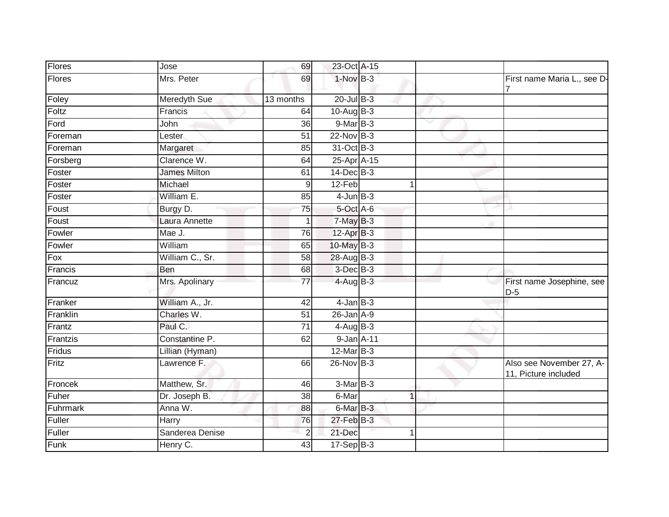| Flores        | Jose                | 69              | 23-Oct A-15      |    |              |                                                  |
|---------------|---------------------|-----------------|------------------|----|--------------|--------------------------------------------------|
| <b>Flores</b> | Mrs. Peter          | 69              | $1-Nov$ B-3      |    |              | First name Maria L., see D-                      |
| Foley         | <b>Meredyth Sue</b> | 13 months       | $20$ -Jul $B-3$  |    |              |                                                  |
| Foltz         | Francis             | 64              | $10-Aug$ B-3     |    |              |                                                  |
| Ford          | John                | 36              | $9-MarB-3$       |    |              |                                                  |
| Foreman       | Lester              | 51              | $22$ -Nov $B-3$  |    |              |                                                  |
| Foreman       | Margaret            | 85              | 31-Oct B-3       |    |              |                                                  |
| Forsberg      | Clarence W.         | 64              | 25-Apr A-15      |    |              |                                                  |
| Foster        | <b>James Milton</b> | 61              | $14$ -Dec $B-3$  |    |              |                                                  |
| Foster        | Michael             | 9               | 12-Feb           |    |              |                                                  |
| Foster        | William E.          | 85              | $4$ -Jun $B-3$   |    |              |                                                  |
| Foust         | Burgy D.            | $\overline{75}$ | 5-Oct A-6        |    |              |                                                  |
| Foust         | Laura Annette       |                 | $7$ -May $B-3$   |    |              |                                                  |
| Fowler        | Mae J.              | 76              | $12-AprB-3$      |    |              |                                                  |
| Fowler        | William             | 65              | 10-May B-3       |    |              |                                                  |
| Fox           | William C., Sr.     | 58              | 28-Aug B-3       |    |              |                                                  |
| Francis       | Ben                 | 68              | $3$ -Dec $B-3$   |    |              |                                                  |
| Francuz       | Mrs. Apolinary      | 77              | $4-AugB-3$       |    |              | First name Josephine, see<br>$D-5$               |
| Franker       | William A., Jr.     | 42              | $4$ -Jan $B-3$   |    |              |                                                  |
| Franklin      | Charles W.          | $\overline{51}$ | $26$ -Jan $A-9$  |    |              |                                                  |
| Frantz        | Paul C.             | 71              | $4-AugB-3$       |    |              |                                                  |
| Frantzis      | Constantine P.      | 62              | $9$ -Jan $A$ -11 |    |              |                                                  |
| Fridus        | Lillian (Hyman)     |                 | 12-Mar B-3       |    |              |                                                  |
| Fritz         | Lawrence F.         | 66              | 26-Nov B-3       |    |              | Also see November 27, A-<br>11, Picture included |
| Froncek       | Matthew, Sr.        | 46              | $3-MarB-3$       |    |              |                                                  |
| Fuher         | Dr. Joseph B.       | 38              | 6-Mar            |    | $\mathbf{1}$ |                                                  |
| Fuhrmark      | Anna W.             | 88              | 6-Mar B-3        |    |              |                                                  |
| Fuller        | Harry               | 76              | $27$ -Feb $B-3$  |    |              |                                                  |
| Fuller        | Sanderea Denise     | $\overline{2}$  | 21-Dec           | -1 |              |                                                  |
| Funk          | Henry C.            | 43              | $17-Sep$ B-3     |    |              |                                                  |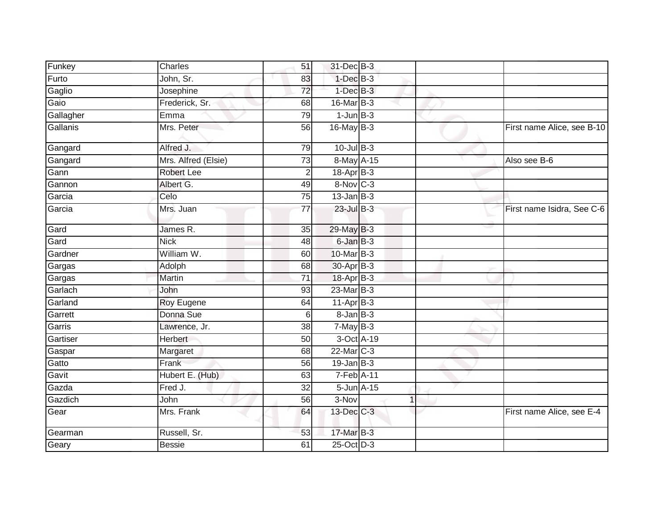| Funkey    | Charles             | 51              | 31-Dec B-3       |                |                            |
|-----------|---------------------|-----------------|------------------|----------------|----------------------------|
| Furto     | John, Sr.           | 83              | $1$ -Dec $B-3$   |                |                            |
| Gaglio    | Josephine           | $\overline{72}$ | $1$ -Dec $B-3$   |                |                            |
| Gaio      | Frederick, Sr.      | 68              | $16$ -Mar $B-3$  |                |                            |
| Gallagher | Emma                | 79              | $1$ -Jun $B-3$   |                |                            |
| Gallanis  | Mrs. Peter          | 56              | 16-May B-3       |                | First name Alice, see B-10 |
| Gangard   | Alfred J.           | 79              | $10$ -Jul $B-3$  |                |                            |
| Gangard   | Mrs. Alfred (Elsie) | $\overline{73}$ | 8-May A-15       |                | Also see B-6               |
| Gann      | <b>Robert Lee</b>   | 2               | 18-Apr B-3       |                |                            |
| Gannon    | Albert G.           | 49              | 8-Nov C-3        |                |                            |
| Garcia    | Celo                | 75              | $13$ -Jan $B-3$  |                |                            |
| Garcia    | Mrs. Juan           | $\overline{77}$ | 23-Jul B-3       |                | First name Isidra, See C-6 |
| Gard      | James R.            | $\overline{35}$ | 29-May B-3       |                |                            |
| Gard      | <b>Nick</b>         | 48              | 6-Jan B-3        |                |                            |
| Gardner   | William W.          | 60              | 10-Mar B-3       |                |                            |
| Gargas    | Adolph              | 68              | 30-Apr B-3       |                |                            |
| Gargas    | <b>Martin</b>       | $\overline{71}$ | 18-Apr B-3       |                |                            |
| Garlach   | John                | 93              | 23-Mar B-3       |                |                            |
| Garland   | Roy Eugene          | 64              | $11-Apr$ B-3     |                |                            |
| Garrett   | Donna Sue           | 6               | $8 - JanB - 3$   |                |                            |
| Garris    | Lawrence, Jr.       | 38              | $7-MayB-3$       |                |                            |
| Gartiser  | <b>Herbert</b>      | 50              | 3-Oct A-19       |                |                            |
| Gaspar    | Margaret            | 68              | 22-Mar C-3       |                |                            |
| Gatto     | Frank               | 56              | $19$ -Jan B-3    |                |                            |
| Gavit     | Hubert E. (Hub)     | 63              | $7-Feb$ A-11     |                |                            |
| Gazda     | Fred J.             | 32              | $5$ -Jun $A$ -15 |                |                            |
| Gazdich   | John                | 56              | 3-Nov            | $\overline{1}$ |                            |
| Gear      | Mrs. Frank          | 64              | 13-Dec C-3       |                | First name Alice, see E-4  |
| Gearman   | Russell, Sr.        | 53              | 17-Mar B-3       |                |                            |
| Geary     | <b>Bessie</b>       | 61              | 25-Oct D-3       |                |                            |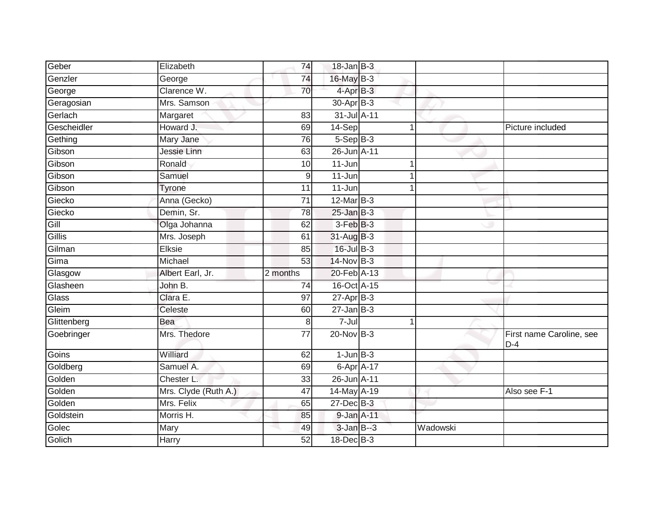| Elizabeth            | 74             |            |             |                                                                                                                                                                                                                                                                                                                                                                                                           |                                   |
|----------------------|----------------|------------|-------------|-----------------------------------------------------------------------------------------------------------------------------------------------------------------------------------------------------------------------------------------------------------------------------------------------------------------------------------------------------------------------------------------------------------|-----------------------------------|
| George               | 74             |            |             |                                                                                                                                                                                                                                                                                                                                                                                                           |                                   |
| Clarence W.          | 70             |            |             |                                                                                                                                                                                                                                                                                                                                                                                                           |                                   |
| Mrs. Samson          |                |            |             |                                                                                                                                                                                                                                                                                                                                                                                                           |                                   |
| Margaret             | 83             |            |             |                                                                                                                                                                                                                                                                                                                                                                                                           |                                   |
| Howard J.            | 69             | 14-Sep     | 1           |                                                                                                                                                                                                                                                                                                                                                                                                           | Picture included                  |
| Mary Jane            | 76             |            |             |                                                                                                                                                                                                                                                                                                                                                                                                           |                                   |
| Jessie Linn          | 63             |            |             |                                                                                                                                                                                                                                                                                                                                                                                                           |                                   |
| Ronald               | 10             | 11-Jun     |             |                                                                                                                                                                                                                                                                                                                                                                                                           |                                   |
| Samuel               | 9              | $11 - Jun$ |             |                                                                                                                                                                                                                                                                                                                                                                                                           |                                   |
| Tyrone               | 11             | $11 - Jun$ |             |                                                                                                                                                                                                                                                                                                                                                                                                           |                                   |
| Anna (Gecko)         | 71             |            |             |                                                                                                                                                                                                                                                                                                                                                                                                           |                                   |
| Demin, Sr.           | 78             |            |             |                                                                                                                                                                                                                                                                                                                                                                                                           |                                   |
| Olga Johanna         | 62             |            |             |                                                                                                                                                                                                                                                                                                                                                                                                           |                                   |
| Mrs. Joseph          | 61             |            |             |                                                                                                                                                                                                                                                                                                                                                                                                           |                                   |
| Elksie               | 85             |            |             |                                                                                                                                                                                                                                                                                                                                                                                                           |                                   |
| Michael              | 53             |            |             |                                                                                                                                                                                                                                                                                                                                                                                                           |                                   |
| Albert Earl, Jr.     | 2 months       |            |             |                                                                                                                                                                                                                                                                                                                                                                                                           |                                   |
| John B.              | 74             |            |             |                                                                                                                                                                                                                                                                                                                                                                                                           |                                   |
| Clara E.             | 97             |            |             |                                                                                                                                                                                                                                                                                                                                                                                                           |                                   |
| Celeste              | 60             |            |             |                                                                                                                                                                                                                                                                                                                                                                                                           |                                   |
| Bea                  | 8 <sup>1</sup> | 7-Jul      | $\mathbf 1$ |                                                                                                                                                                                                                                                                                                                                                                                                           |                                   |
| Mrs. Thedore         | 77             |            |             |                                                                                                                                                                                                                                                                                                                                                                                                           | First name Caroline, see<br>$D-4$ |
| Williard             | 62             |            |             |                                                                                                                                                                                                                                                                                                                                                                                                           |                                   |
| Samuel A.            | 69             |            |             |                                                                                                                                                                                                                                                                                                                                                                                                           |                                   |
| Chester L.           | 33             |            |             |                                                                                                                                                                                                                                                                                                                                                                                                           |                                   |
| Mrs. Clyde (Ruth A.) | 47             |            |             |                                                                                                                                                                                                                                                                                                                                                                                                           | Also see F-1                      |
| Mrs. Felix           | 65             |            |             |                                                                                                                                                                                                                                                                                                                                                                                                           |                                   |
| Morris H.            | 85             |            |             |                                                                                                                                                                                                                                                                                                                                                                                                           |                                   |
| Mary                 | 49             |            |             | Wadowski                                                                                                                                                                                                                                                                                                                                                                                                  |                                   |
| Harry                | 52             |            |             |                                                                                                                                                                                                                                                                                                                                                                                                           |                                   |
|                      |                |            |             | 18-Jan B-3<br>16-May B-3<br>4-Apr B-3<br>30-Apr B-3<br>31-Jul A-11<br>$5-Sep$ B-3<br>26-Jun A-11<br>12-Mar B-3<br>$25 - Jan$ $B-3$<br>$3-FebB-3$<br>31-Aug B-3<br>16-Jul B-3<br>$14$ -Nov B-3<br>20-Feb A-13<br>16-Oct A-15<br>$27$ -Apr $B-3$<br>$27 - Jan$ B-3<br>$20$ -Nov $B-3$<br>$1$ -Jun $B-3$<br>6-Apr A-17<br>26-Jun A-11<br>14-May A-19<br>27-Dec B-3<br>9-Jan A-11<br>3-Jan B--3<br>18-Dec B-3 |                                   |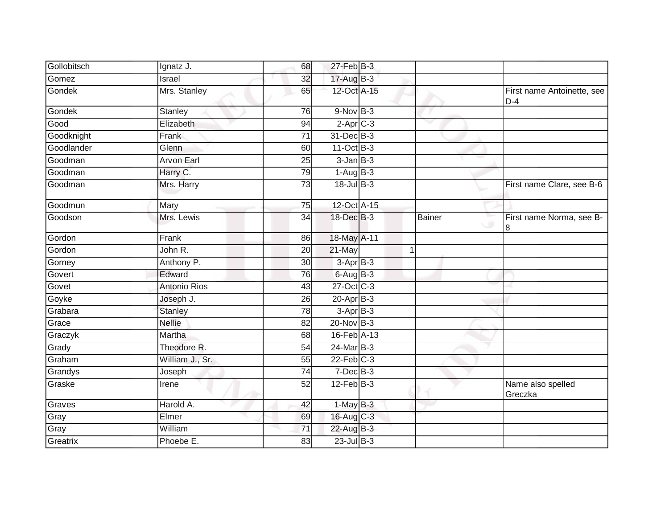| Gollobitsch | Ignatz J.           | 68              | $27$ -Feb $B-3$        |               |                                     |
|-------------|---------------------|-----------------|------------------------|---------------|-------------------------------------|
| Gomez       | Israel              | 32              | 17-Aug B-3             |               |                                     |
| Gondek      | Mrs. Stanley        | 65              | 12-Oct A-15            |               | First name Antoinette, see<br>$D-4$ |
| Gondek      | <b>Stanley</b>      | 76              | $9-NovB-3$             |               |                                     |
| Good        | Elizabeth           | 94              | $2-Apr$ <sub>C-3</sub> |               |                                     |
| Goodknight  | Frank               | $\overline{71}$ | 31-Dec B-3             |               |                                     |
| Goodlander  | Glenn               | 60              | $11-Oct$ B-3           |               |                                     |
| Goodman     | <b>Arvon Earl</b>   | $\overline{25}$ | $3$ -Jan $B-3$         |               |                                     |
| Goodman     | Harry C.            | 79              | $1-AugB-3$             |               |                                     |
| Goodman     | Mrs. Harry          | 73              | $18 -$ Jul $B - 3$     |               | First name Clare, see B-6           |
| Goodmun     | Mary                | 75              | 12-Oct A-15            |               |                                     |
| Goodson     | Mrs. Lewis          | $\overline{34}$ | 18-Dec B-3             | <b>Bainer</b> | First name Norma, see B-<br>8       |
| Gordon      | Frank               | 86              | 18-May A-11            |               |                                     |
| Gordon      | John R.             | 20              | 21-May                 | 1             |                                     |
| Gorney      | Anthony P.          | 30              | $3 - AprB - 3$         |               |                                     |
| Govert      | Edward              | 76              | $6$ -Aug $B-3$         |               |                                     |
| Govet       | <b>Antonio Rios</b> | 43              | 27-Oct C-3             |               |                                     |
| Goyke       | Joseph J.           | $\overline{26}$ | $20 - Apr$ B-3         |               |                                     |
| Grabara     | <b>Stanley</b>      | 78              | $3-Apr$ B-3            |               |                                     |
| Grace       | <b>Nellie</b>       | 82              | $20$ -Nov $B-3$        |               |                                     |
| Graczyk     | Martha              | 68              | 16-Feb A-13            |               |                                     |
| Grady       | Theodore R.         | 54              | 24-Mar B-3             |               |                                     |
| Graham      | William J., Sr.     | 55              | $22$ -Feb $C-3$        |               |                                     |
| Grandys     | Joseph              | 74              | $7$ -Dec $B-3$         |               |                                     |
| Graske      | Irene               | 52              | $12$ -Feb $B-3$        |               | Name also spelled<br>Greczka        |
| Graves      | Harold A.           | 42              | $1-MayB-3$             |               |                                     |
| Gray        | Elmer               | 69              | 16-Aug C-3             |               |                                     |
| Gray        | William             | $\overline{71}$ | 22-Aug B-3             |               |                                     |
| Greatrix    | Phoebe E.           | 83              | $23$ -Jul B-3          |               |                                     |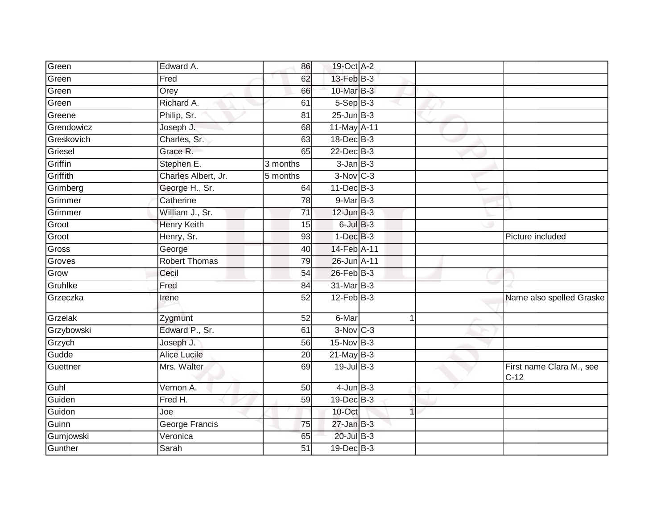| Green      | Edward A.             | 86              | 19-Oct A-2             |             |                                    |
|------------|-----------------------|-----------------|------------------------|-------------|------------------------------------|
| Green      | Fred                  | 62              | 13-Feb B-3             |             |                                    |
| Green      | Orey                  | 66              | $10$ -Mar $B-3$        |             |                                    |
| Green      | Richard A.            | 61              | $5-Sep$ B-3            |             |                                    |
| Greene     | Philip, Sr.           | $\overline{81}$ | $25$ -Jun $B-3$        |             |                                    |
| Grendowicz | Joseph J.             | 68              | 11-May A-11            |             |                                    |
| Greskovich | Charles, Sr.          | 63              | 18-Dec B-3             |             |                                    |
| Griesel    | Grace R.              | 65              | 22-Dec B-3             |             |                                    |
| Griffin    | Stephen E.            | 3 months        | $3$ -Jan $B-3$         |             |                                    |
| Griffith   | Charles Albert, Jr.   | 5 months        | $3-Nov$ <sub>C-3</sub> |             |                                    |
| Grimberg   | George H., Sr.        | 64              | 11-Dec B-3             |             |                                    |
| Grimmer    | Catherine             | 78              | $9-Mar$ B-3            |             |                                    |
| Grimmer    | William J., Sr.       | 71              | $12$ -Jun $B-3$        |             |                                    |
| Groot      | <b>Henry Keith</b>    | 15              | $6$ -Jul $B-3$         |             |                                    |
| Groot      | Henry, Sr.            | $\overline{93}$ | $1-Dec$ $B-3$          |             | Picture included                   |
| Gross      | George                | 40              | 14-Feb A-11            |             |                                    |
| Groves     | <b>Robert Thomas</b>  | 79              | 26-Jun A-11            |             |                                    |
| Grow       | Cecil                 | 54              | 26-Feb B-3             |             |                                    |
| Gruhlke    | Fred                  | 84              | 31-Mar B-3             |             |                                    |
| Grzeczka   | Irene                 | $\overline{52}$ | $12$ -Feb $B-3$        |             | Name also spelled Graske           |
| Grzelak    | Zygmunt               | 52              | 6-Mar                  | $\mathbf 1$ |                                    |
| Grzybowski | Edward P., Sr.        | 61              | $3-Nov$ C-3            |             |                                    |
| Grzych     | Joseph J.             | $\overline{56}$ | 15-Nov B-3             |             |                                    |
| Gudde      | <b>Alice Lucile</b>   | 20              | $21$ -May B-3          |             |                                    |
| Guettner   | Mrs. Walter           | 69              | 19-Jul B-3             |             | First name Clara M., see<br>$C-12$ |
| Guhl       | Vernon A.             | 50              | $4$ -Jun $B-3$         |             |                                    |
| Guiden     | Fred H.               | 59              | 19-Dec B-3             |             |                                    |
| Guidon     | Joe                   |                 | 10-Oct                 | 1           |                                    |
| Guinn      | <b>George Francis</b> | 75              | $27 - Jan$ $B-3$       |             |                                    |
| Gumjowski  | Veronica              | 65              | 20-Jul B-3             |             |                                    |
| Gunther    | Sarah                 | 51              | $19$ -Dec $B - 3$      |             |                                    |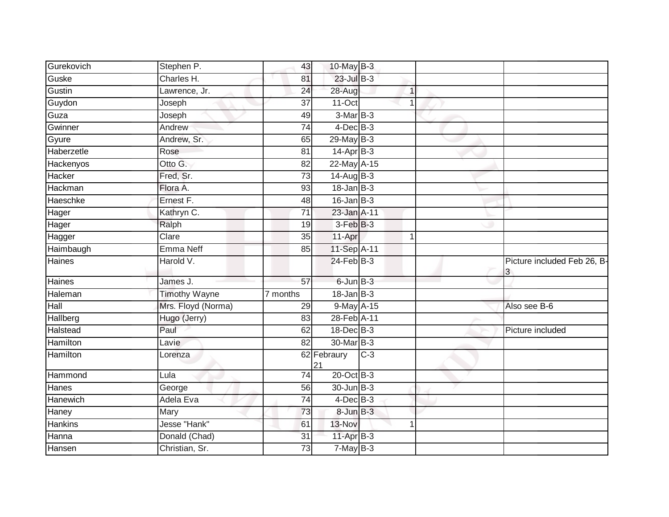| Gurekovich | Stephen P.           | 43              | 10-May B-3        |       |             |                                  |
|------------|----------------------|-----------------|-------------------|-------|-------------|----------------------------------|
| Guske      | Charles H.           | 81              | 23-Jul B-3        |       |             |                                  |
| Gustin     | Lawrence, Jr.        | $\overline{24}$ | 28-Aug            |       | $\mathbf 1$ |                                  |
| Guydon     | Joseph               | 37              | 11-Oct            |       | 1           |                                  |
| Guza       | Joseph               | 49              | $3-MarB-3$        |       |             |                                  |
| Gwinner    | Andrew               | 74              | $4$ -Dec $B$ -3   |       |             |                                  |
| Gyure      | Andrew, Sr.          | 65              | $29$ -May B-3     |       |             |                                  |
| Haberzetle | Rose                 | 81              | 14-Apr B-3        |       |             |                                  |
| Hackenyos  | Otto G.              | 82              | 22-May A-15       |       |             |                                  |
| Hacker     | Fred, Sr.            | $\overline{73}$ | $14$ -Aug B-3     |       |             |                                  |
| Hackman    | Flora A.             | 93              | $18$ -Jan $B-3$   |       |             |                                  |
| Haeschke   | Ernest F.            | 48              | $16$ -Jan B-3     |       |             |                                  |
| Hager      | Kathryn C.           | 71              | 23-Jan A-11       |       |             |                                  |
| Hager      | Ralph                | 19              | $3-Feb$ $B-3$     |       |             |                                  |
| Hagger     | Clare                | $\overline{35}$ | 11-Apr            |       | 1           |                                  |
| Haimbaugh  | Emma Neff            | 85              | 11-Sep A-11       |       |             |                                  |
| Haines     | Harold V.            |                 | 24-Feb B-3        |       |             | Picture included Feb 26, B-<br>3 |
| Haines     | James J.             | 57              | $6$ -Jun $B-3$    |       |             |                                  |
| Haleman    | <b>Timothy Wayne</b> | 7 months        | $18$ -Jan $B-3$   |       |             |                                  |
| Hall       | Mrs. Floyd (Norma)   | 29              | 9-May A-15        |       |             | Also see B-6                     |
| Hallberg   | Hugo (Jerry)         | 83              | 28-Feb A-11       |       |             |                                  |
| Halstead   | Paul                 | 62              | $18$ -Dec $B-3$   |       |             | Picture included                 |
| Hamilton   | Lavie                | 82              | 30-Mar B-3        |       |             |                                  |
| Hamilton   | Lorenza              |                 | 62 Febraury<br>21 | $C-3$ |             |                                  |
| Hammond    | Lula                 | $\overline{74}$ | 20-Oct B-3        |       |             |                                  |
| Hanes      | George               | 56              | 30-Jun B-3        |       |             |                                  |
| Hanewich   | Adela Eva            | $\overline{74}$ | $4$ -Dec $B-3$    |       |             |                                  |
| Haney      | Mary                 | 73              | $8$ -Jun $B-3$    |       |             |                                  |
| Hankins    | Jesse "Hank"         | 61              | 13-Nov            |       | 1           |                                  |
| Hanna      | Donald (Chad)        | 31              | 11-Apr B-3        |       |             |                                  |
| Hansen     | Christian, Sr.       | 73              | $7$ -May B-3      |       |             |                                  |
|            |                      |                 |                   |       |             |                                  |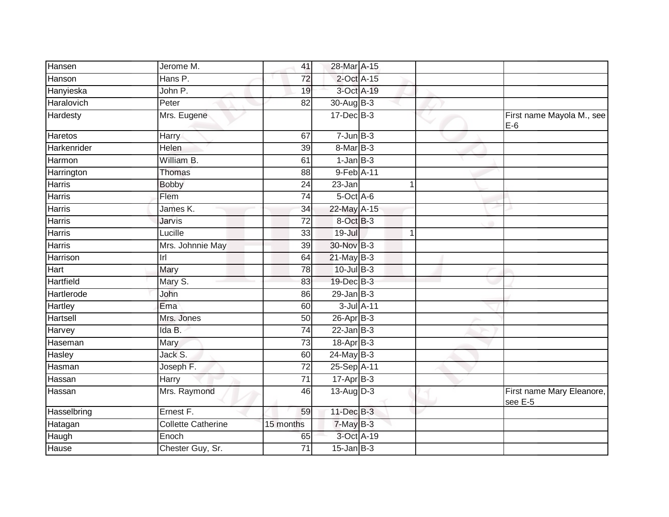| Hansen<br>Jerome M.                  | 41              | 28-Mar A-15                            |             |                                      |
|--------------------------------------|-----------------|----------------------------------------|-------------|--------------------------------------|
| Hanson<br>Hans $\overline{P}$ .      | 72              | 2-Oct A-15                             |             |                                      |
| Hanyieska<br>John P.                 | 19              | 3-Oct A-19                             |             |                                      |
| Haralovich<br>Peter                  | 82              | 30-Aug B-3                             |             |                                      |
| Hardesty<br>Mrs. Eugene              |                 | $17 - Dec$ B-3                         |             | First name Mayola M., see<br>$E-6$   |
| Haretos<br>Harry                     | 67              | $7 - Jun$ B-3                          |             |                                      |
| Harkenrider<br>Helen                 | 39              | 8-Mar B-3                              |             |                                      |
| Harmon<br>William B.                 | 61              | $1-Jan$ B-3                            |             |                                      |
| Harrington<br>Thomas                 | 88              | 9-Feb A-11                             |             |                                      |
| <b>Harris</b><br><b>Bobby</b>        | 24              | 23-Jan                                 |             |                                      |
| <b>Harris</b><br>Flem                | 74              | $5$ -Oct $A$ -6                        |             |                                      |
| James K.<br>Harris                   | 34              | 22-May A-15                            |             |                                      |
| <b>Harris</b><br>Jarvis              | $\overline{72}$ | 8-Oct B-3                              |             |                                      |
| Lucille<br><b>Harris</b>             | 33              | $19 -$ Jul                             | $\mathbf 1$ |                                      |
| Mrs. Johnnie May<br><b>Harris</b>    | $\overline{39}$ | 30-Nov B-3                             |             |                                      |
| Harrison<br> r                       | 64              | $21$ -May B-3                          |             |                                      |
| Mary<br>Hart                         | 78              | $10$ -Jul $B-3$                        |             |                                      |
| Hartfield<br>Mary S.                 | 83              | 19-Dec B-3                             |             |                                      |
| Hartlerode<br>John                   | 86              | $29$ -Jan $B-3$                        |             |                                      |
| <b>Hartley</b><br>Ema                | 60              | $3$ -Jul $A-11$                        |             |                                      |
| Hartsell<br>Mrs. Jones               | 50              | $26$ -Apr $B-3$                        |             |                                      |
| Ida B.<br>Harvey                     | 74              | $22$ -Jan B-3                          |             |                                      |
| Haseman<br>Mary                      | 73              | 18-Apr B-3                             |             |                                      |
| Jack S.<br>Hasley                    | 60              | $24$ -May B-3                          |             |                                      |
| Hasman<br>Joseph F.                  | 72              | 25-Sep A-11                            |             |                                      |
| Hassan<br>Harry                      | $\overline{71}$ | $\overline{17}$ -Apr $\overline{B}$ -3 |             |                                      |
| Mrs. Raymond<br>Hassan               | 46              | $13-Aug$ D-3                           |             | First name Mary Eleanore,<br>see E-5 |
| Ernest F.<br>Hasselbring             | 59              | 11-Dec B-3                             |             |                                      |
| Hatagan<br><b>Collette Catherine</b> | 15 months       | 7-May B-3                              |             |                                      |
| Haugh<br>Enoch                       | 65              | 3-Oct A-19                             |             |                                      |
| Hause<br>Chester Guy, Sr.            | 71              | $15$ -Jan $B-3$                        |             |                                      |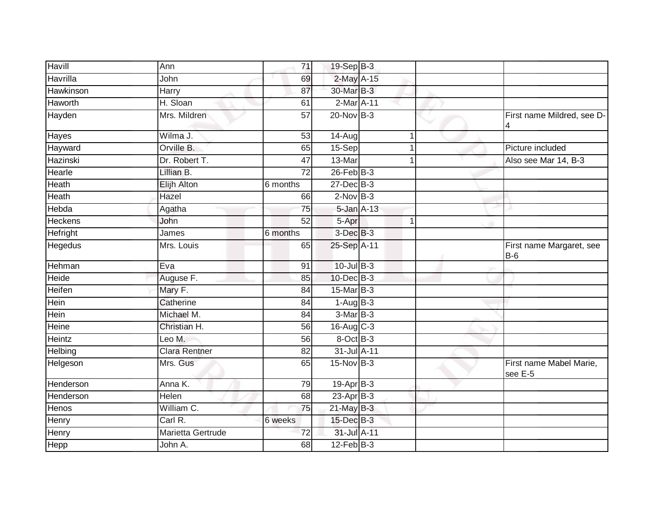| Havill         | Ann                  | 71              | 19-Sep B-3      |   |                                    |
|----------------|----------------------|-----------------|-----------------|---|------------------------------------|
| Havrilla       | John                 | 69              | 2-May A-15      |   |                                    |
| Hawkinson      | Harry                | 87              | 30-Mar B-3      |   |                                    |
| Haworth        | H. Sloan             | 61              | $2-Mar2A-11$    |   |                                    |
| Hayden         | Mrs. Mildren         | 57              | $20$ -Nov $B-3$ |   | First name Mildred, see D-<br>4    |
| Hayes          | Wilma J.             | 53              | 14-Aug          | 1 |                                    |
| Hayward        | Orville B.           | 65              | 15-Sep          | 1 | Picture included                   |
| Hazinski       | Dr. Robert T.        | 47              | 13-Mar          |   | Also see Mar 14, B-3               |
| Hearle         | Lillian B.           | 72              | $26$ -Feb $B-3$ |   |                                    |
| Heath          | Elijh Alton          | 6 months        | 27-Dec B-3      |   |                                    |
| Heath          | Hazel                | 66              | $2$ -Nov $B-3$  |   |                                    |
| Hebda          | Agatha               | 75              | 5-Jan A-13      |   |                                    |
| <b>Heckens</b> | John                 | $\overline{52}$ | 5-Apr           | 1 |                                    |
| Hefright       | James                | 6 months        | $3$ -Dec $B-3$  |   |                                    |
| Hegedus        | Mrs. Louis           | 65              | 25-Sep A-11     |   | First name Margaret, see<br>$B-6$  |
| Hehman         | Eva                  | 91              | 10-Jul B-3      |   |                                    |
| Heide          | Auguse F.            | 85              | 10-Dec B-3      |   |                                    |
| <b>Heifen</b>  | Mary F.              | 84              | 15-Mar B-3      |   |                                    |
| Hein           | Catherine            | 84              | $1-Aug$ B-3     |   |                                    |
| Hein           | Michael M.           | $\overline{84}$ | $3-MarB-3$      |   |                                    |
| Heine          | Christian H.         | 56              | $16-Aug$ C-3    |   |                                    |
| Heintz         | Leo M.               | 56              | 8-Oct B-3       |   |                                    |
| Helbing        | <b>Clara Rentner</b> | 82              | 31-Jul A-11     |   |                                    |
| Helgeson       | Mrs. Gus             | 65              | 15-Nov B-3      |   | First name Mabel Marie,<br>see E-5 |
| Henderson      | Anna K.              | 79              | 19-Apr B-3      |   |                                    |
| Henderson      | Helen                | 68              | $23$ -Apr $B-3$ |   |                                    |
| Henos          | William C.           | 75              | 21-May B-3      |   |                                    |
| Henry          | Carl R.              | 6 weeks         | 15-Dec B-3      |   |                                    |
| <b>Henry</b>   | Marietta Gertrude    | 72              | 31-Jul A-11     |   |                                    |
| Hepp           | John A.              | 68              | $12$ -Feb $B-3$ |   |                                    |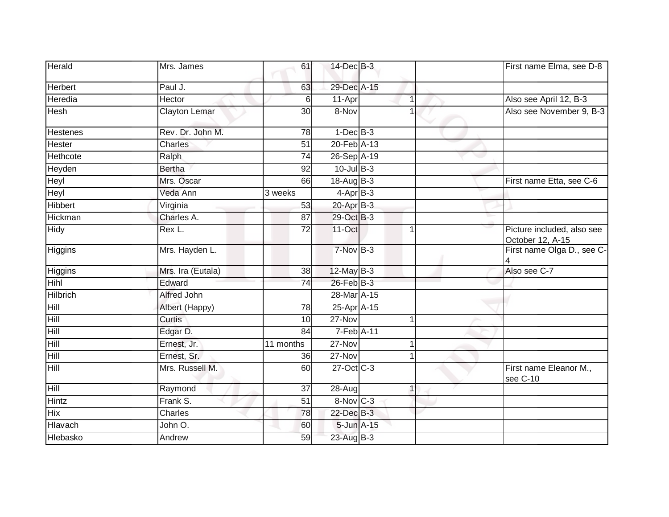| Herald          | Mrs. James           | 61              | 14-Dec B-3      |                |   | First name Elma, see D-8                       |
|-----------------|----------------------|-----------------|-----------------|----------------|---|------------------------------------------------|
| Herbert         | Paul J.              | 63              | 29-Dec A-15     |                |   |                                                |
| Heredia         | Hector               | 6               | $11-Apr$        | $\overline{1}$ |   | Also see April 12, B-3                         |
| Hesh            | <b>Clayton Lemar</b> | 30              | 8-Nov           |                |   | Also see November 9, B-3                       |
| <b>Hestenes</b> | Rev. Dr. John M.     | 78              | $1-Dec$ B-3     |                |   |                                                |
| Hester          | Charles              | $\overline{51}$ | 20-Feb A-13     |                |   |                                                |
| Hethcote        | Ralph                | $\overline{74}$ | 26-Sep A-19     |                | w |                                                |
| Heyden          | <b>Bertha</b>        | $\overline{92}$ | $10$ -Jul B-3   |                |   |                                                |
| Heyl            | Mrs. Oscar           | 66              | 18-Aug B-3      |                |   | First name Etta, see C-6                       |
| Heyl            | Veda Ann             | 3 weeks         | $4-AprB-3$      |                |   |                                                |
| Hibbert         | Virginia             | 53              | 20-Apr B-3      |                |   |                                                |
| Hickman         | Charles A.           | 87              | 29-Oct B-3      |                |   |                                                |
| Hidy            | Rex L.               | $\overline{72}$ | 11-Oct          | 1              |   | Picture included, also see<br>October 12, A-15 |
| Higgins         | Mrs. Hayden L.       |                 | 7-Nov B-3       |                |   | First name Olga D., see C-                     |
| Higgins         | Mrs. Ira (Eutala)    | 38              | $12$ -May B-3   |                |   | Also see C-7                                   |
| <b>Hihl</b>     | Edward               | 74              | $26$ -Feb $B-3$ |                |   |                                                |
| <b>Hilbrich</b> | Alfred John          |                 | 28-Mar A-15     |                |   |                                                |
| Hill            | Albert (Happy)       | 78              | 25-Apr A-15     |                |   |                                                |
| Hill            | Curtis               | 10              | 27-Nov          | 1              |   |                                                |
| Hill            | Edgar D.             | 84              | 7-Feb A-11      |                |   |                                                |
| Hill            | Ernest, Jr.          | 11 months       | 27-Nov          |                |   |                                                |
| Hill            | Ernest, Sr.          | 36              | 27-Nov          | 1              |   |                                                |
| Hill            | Mrs. Russell M.      | 60              | 27-Oct C-3      |                |   | First name Eleanor M.,<br>see C-10             |
| Hill            | Raymond              | 37              | 28-Aug          | 1              |   |                                                |
| <b>Hintz</b>    | Frank S.             | $\overline{51}$ | 8-Nov C-3       |                |   |                                                |
| Hix             | Charles              | 78              | 22-Dec B-3      |                |   |                                                |
| Hlavach         | John O.              | 60              | 5-Jun A-15      |                |   |                                                |
| Hlebasko        | Andrew               | 59              | 23-Aug B-3      |                |   |                                                |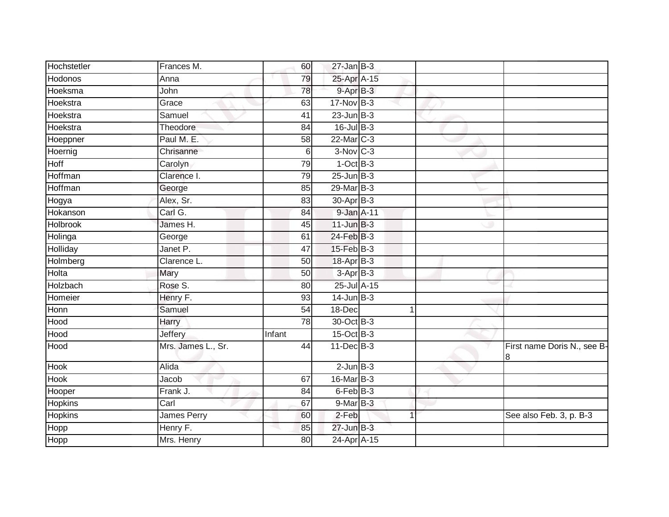| Hochstetler | Frances M.         | 60              | $27$ -Jan B-3   |  |                                  |
|-------------|--------------------|-----------------|-----------------|--|----------------------------------|
| Hodonos     | Anna               | 79              | 25-Apr A-15     |  |                                  |
| Hoeksma     | John               | 78              | 9-Apr B-3       |  |                                  |
| Hoekstra    | Grace              | 63              | 17-Nov B-3      |  |                                  |
| Hoekstra    | Samuel             | $\overline{41}$ | $23$ -Jun $B-3$ |  |                                  |
| Hoekstra    | Theodore           | 84              | $16$ -Jul B-3   |  |                                  |
| Hoeppner    | Paul M. E.         | 58              | 22-Mar C-3      |  |                                  |
| Hoernig     | Chrisanne          | 6               | $3-Nov$ $C-3$   |  |                                  |
| Hoff        | Carolyn            | 79              | $1$ -Oct $B-3$  |  |                                  |
| Hoffman     | Clarence I.        | 79              | $25$ -Jun $B-3$ |  |                                  |
| Hoffman     | George             | 85              | 29-Mar B-3      |  |                                  |
| Hogya       | Alex, Sr.          | 83              | $30-Apr$ B-3    |  |                                  |
| Hokanson    | Carl G.            | 84              | 9-Jan A-11      |  |                                  |
| Holbrook    | James H.           | 45              | $11$ -Jun $B-3$ |  |                                  |
| Holinga     | George             | 61              | 24-Feb B-3      |  |                                  |
| Holliday    | Janet P.           | 47              | $15$ -Feb $B-3$ |  |                                  |
| Holmberg    | Clarence L.        | 50              | 18-Apr B-3      |  |                                  |
| Holta       | Mary               | 50              | $3-Apr$ B-3     |  |                                  |
| Holzbach    | Rose S.            | 80              | 25-Jul A-15     |  |                                  |
| Homeier     | Henry F.           | 93              | $14$ -Jun $B-3$ |  |                                  |
| Honn        | Samuel             | 54              | 18-Dec          |  |                                  |
| Hood        | Harry              | $\overline{78}$ | 30-Oct B-3      |  |                                  |
| Hood        | <b>Jeffery</b>     | Infant          | 15-Oct B-3      |  |                                  |
| Hood        | Mrs. James L., Sr. | 44              | $11$ -Dec $B-3$ |  | First name Doris N., see B-<br>8 |
| Hook        | Alida              |                 | $2$ -Jun $B-3$  |  |                                  |
| Hook        | Jacob              | 67              | 16-Mar B-3      |  |                                  |
| Hooper      | Frank J.           | 84              | 6-Feb B-3       |  |                                  |
| Hopkins     | Carl               | 67              | $9$ -Mar B-3    |  |                                  |
| Hopkins     | James Perry        | 60              | 2-Feb           |  | See also Feb. 3, p. B-3          |
| Hopp        | Henry F.           | 85              | $27$ -Jun $B-3$ |  |                                  |
| Hopp        | Mrs. Henry         | 80              | 24-Apr A-15     |  |                                  |
|             |                    |                 |                 |  |                                  |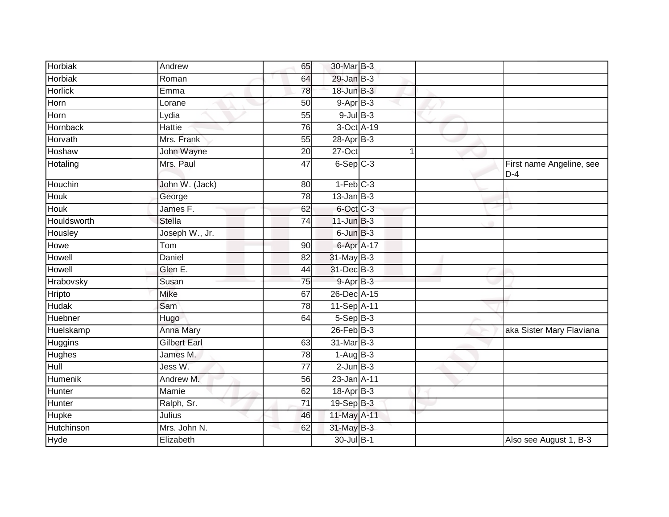| Horbiak         | Andrew              | 65              | 30-Mar B-3             |   |                                   |
|-----------------|---------------------|-----------------|------------------------|---|-----------------------------------|
| Horbiak         | Roman               | 64              | $29$ -Jan B-3          |   |                                   |
| <b>Horlick</b>  | Emma                | 78              | 18-Jun B-3             |   |                                   |
| Horn            | Lorane              | 50              | $9-Apr$ B-3            |   |                                   |
| Horn            | Lydia               | 55              | $9$ -Jul $B$ -3        |   |                                   |
| <b>Hornback</b> | Hattie              | 76              | 3-Oct A-19             |   |                                   |
| Horvath         | Mrs. Frank          | 55              | 28-Apr B-3             |   |                                   |
| Hoshaw          | John Wayne          | 20              | 27-Oct                 | 1 |                                   |
| Hotaling        | Mrs. Paul           | 47              | $6-Sep$ $C-3$          |   | First name Angeline, see<br>$D-4$ |
| Houchin         | John W. (Jack)      | 80              | $1-Feb$ <sub>C-3</sub> |   |                                   |
| Houk            | George              | 78              | $13$ -Jan $B-3$        |   |                                   |
| <b>Houk</b>     | James F.            | 62              | 6-Oct C-3              |   |                                   |
| Houldsworth     | <b>Stella</b>       | $\overline{74}$ | $11$ -Jun $B-3$        |   |                                   |
| Housley         | Joseph W., Jr.      |                 | 6-Jun B-3              |   |                                   |
| Howe            | Tom                 | 90              | 6-Apr A-17             |   |                                   |
| Howell          | Daniel              | 82              | $31$ -May B-3          |   |                                   |
| Howell          | Glen E.             | 44              | 31-Dec B-3             |   |                                   |
| Hrabovsky       | Susan               | 75              | $9-AprB-3$             |   |                                   |
| Hripto          | Mike                | 67              | 26-Dec A-15            |   |                                   |
| <b>Hudak</b>    | Sam                 | 78              | 11-Sep A-11            |   |                                   |
| Huebner         | Hugo                | 64              | $5-Sep$ B-3            |   |                                   |
| Huelskamp       | Anna Mary           |                 | $26$ -Feb $B-3$        |   | aka Sister Mary Flaviana          |
| <b>Huggins</b>  | <b>Gilbert Earl</b> | 63              | 31-Mar B-3             |   |                                   |
| Hughes          | James M.            | 78              | $1-Aug$ B-3            |   |                                   |
| Hull            | Jess W.             | $\overline{77}$ | $2$ -Jun $B-3$         |   |                                   |
| Humenik         | Andrew M.           | 56              | 23-Jan A-11            |   |                                   |
| Hunter          | Mamie               | 62              | $18-Apr$ B-3           |   |                                   |
| Hunter          | Ralph, Sr.          | 71              | 19-Sep B-3             |   |                                   |
| Hupke           | Julius              | 46              | 11-May A-11            |   |                                   |
| Hutchinson      | Mrs. John N.        | 62              | 31-May B-3             |   |                                   |
| Hyde            | Elizabeth           |                 | 30-Jul B-1             |   | Also see August 1, B-3            |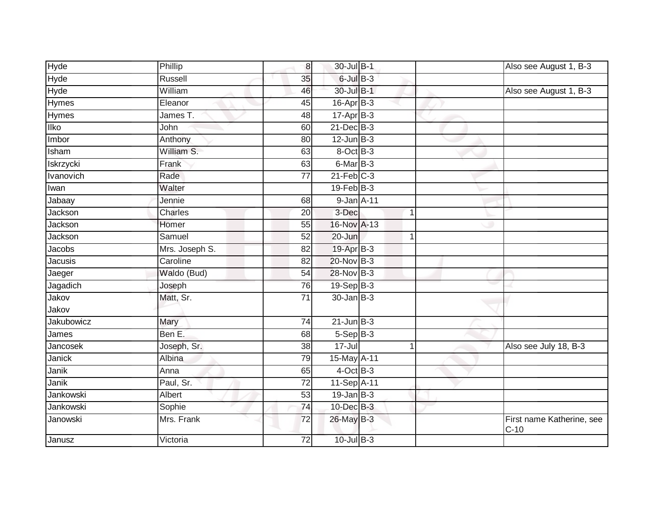| Hyde         | Phillip        | $\boldsymbol{8}$ | 30-Jul B-1        |   | Also see August 1, B-3              |
|--------------|----------------|------------------|-------------------|---|-------------------------------------|
| Hyde         | Russell        | 35               | $6$ -Jul $B-3$    |   |                                     |
| <b>Hyde</b>  | William        | 46               | 30-Jul B-1        |   | Also see August 1, B-3              |
| Hymes        | Eleanor        | 45               | $16$ -Apr $B-3$   |   |                                     |
| <b>Hymes</b> | James T.       | 48               | $17-Apr$ B-3      |   |                                     |
| <b>Ilko</b>  | John           | 60               | $21$ -Dec $B-3$   |   |                                     |
| Imbor        | Anthony        | 80               | $12$ -Jun $B-3$   |   |                                     |
| Isham        | William S.     | 63               | 8-Oct B-3         |   |                                     |
| Iskrzycki    | Frank          | 63               | 6-Mar B-3         |   |                                     |
| Ivanovich    | Rade           | $\overline{77}$  | $21$ -Feb $C-3$   |   |                                     |
| Iwan         | Walter         |                  | $19$ -Feb $ B-3 $ |   |                                     |
| Jabaay       | Jennie         | 68               | 9-Jan A-11        |   |                                     |
| Jackson      | Charles        | 20               | 3-Dec             | 1 |                                     |
| Jackson      | Homer          | 55               | 16-Nov A-13       |   |                                     |
| Jackson      | Samuel         | 52               | 20-Jun            |   |                                     |
| Jacobs       | Mrs. Joseph S. | 82               | 19-Apr B-3        |   |                                     |
| Jacusis      | Caroline       | 82               | $20$ -Nov $B-3$   |   |                                     |
| Jaeger       | Waldo (Bud)    | 54               | 28-Nov B-3        |   |                                     |
| Jagadich     | Joseph         | 76               | 19-Sep B-3        |   |                                     |
| Jakov        | Matt, Sr.      | $\overline{71}$  | $30 - Jan$ $B-3$  |   |                                     |
| Jakov        |                |                  |                   |   |                                     |
| Jakubowicz   | Mary           | $\overline{74}$  | $21$ -Jun $B-3$   |   |                                     |
| James        | Ben E.         | 68               | $5-SepB-3$        |   |                                     |
| Jancosek     | Joseph, Sr.    | 38               | 17-Jul            |   | Also see July 18, B-3               |
| Janick       | Albina         | 79               | 15-May A-11       |   |                                     |
| Janik        | Anna           | 65               | $4$ -Oct B-3      |   |                                     |
| Janik        | Paul, Sr.      | $\overline{72}$  | 11-Sep A-11       |   |                                     |
| Jankowski    | Albert         | 53               | $19$ -Jan B-3     |   |                                     |
| Jankowski    | Sophie         | $\overline{74}$  | 10-Dec B-3        |   |                                     |
| Janowski     | Mrs. Frank     | 72               | 26-May B-3        |   | First name Katherine, see<br>$C-10$ |
| Janusz       | Victoria       | 72               | $10$ -Jul $B-3$   |   |                                     |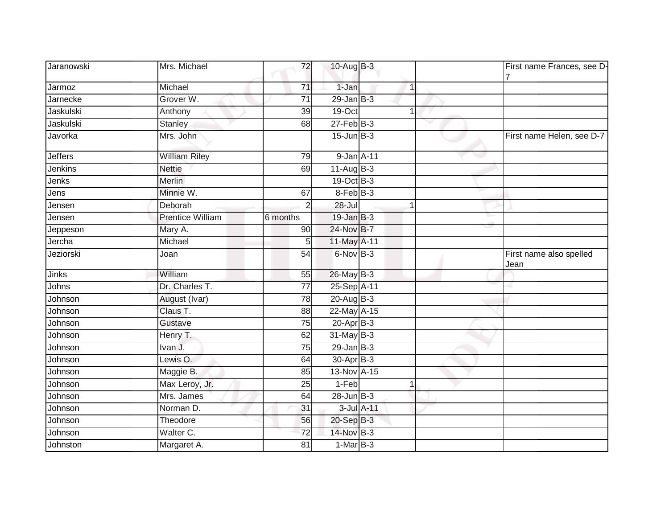| Jaranowski     | Mrs. Michael            | 72              | 10-Aug B-3            |            |                | First name Frances, see D-      |
|----------------|-------------------------|-----------------|-----------------------|------------|----------------|---------------------------------|
| Jarmoz         | Michael                 | 71              | 1-Jan                 |            | $\overline{1}$ |                                 |
| Jarnecke       | Grover W.               | $\overline{71}$ | $29$ -Jan B-3         |            |                |                                 |
| Jaskulski      | Anthony                 | 39              | 19-Oct                |            | 1              |                                 |
| Jaskulski      | Stanley                 | 68              | $27$ -Feb $B-3$       |            |                |                                 |
| Javorka        | Mrs. John               |                 | $15$ -Jun $B-3$       |            |                | First name Helen, see D-7       |
| <b>Jeffers</b> | <b>William Riley</b>    | 79              | 9-Jan A-11            |            |                |                                 |
| <b>Jenkins</b> | <b>Nettie</b>           | 69              | $11-AugB-3$           |            |                |                                 |
| Jenks          | <b>Merlin</b>           |                 | 19-Oct B-3            |            |                |                                 |
| Jens           | Minnie W.               | 67              | 8-Feb B-3             |            |                |                                 |
| Jensen         | Deborah                 | $\overline{2}$  | 28-Jul                |            |                |                                 |
| Jensen         | <b>Prentice William</b> | 6 months        | $19$ -Jan $B-3$       |            |                | ù.                              |
| Jeppeson       | Mary A.                 | 90              | 24-Nov B-7            |            |                |                                 |
| Jercha         | Michael                 | 5               | 11-May A-11           |            |                |                                 |
| Jeziorski      | Joan                    | 54              | 6-Nov B-3             |            |                | First name also spelled<br>Jean |
| <b>Jinks</b>   | William                 | 55              | 26-May B-3            |            |                |                                 |
| Johns          | Dr. Charles T.          | $\overline{77}$ | 25-Sep A-11           |            |                |                                 |
| Johnson        | August (Ivar)           | $\overline{78}$ | $20$ -Aug $B-3$       |            |                |                                 |
| Johnson        | Claus T.                | 88              | 22-May A-15           |            |                |                                 |
| Johnson        | Gustave                 | 75              | 20-Apr B-3            |            |                |                                 |
| Johnson        | Henry T.                | 62              | 31-May B-3            |            |                |                                 |
| Johnson        | Ivan J.                 | $\overline{75}$ | $29$ -Jan B-3         |            |                |                                 |
| Johnson        | Lewis O.                | 64              | 30-Apr <sub>B-3</sub> |            |                |                                 |
| Johnson        | Maggie B.               | 85              | 13-Nov A-15           |            |                |                                 |
| Johnson        | Max Leroy, Jr.          | 25              | 1-Feb                 |            |                |                                 |
| Johnson        | Mrs. James              | 64              | $28$ -Jun $B-3$       |            |                |                                 |
| Johnson        | Norman D.               | 31              |                       | 3-Jul A-11 |                |                                 |
| Johnson        | Theodore                | 56              | 20-Sep B-3            |            |                |                                 |
| Johnson        | Walter C.               | 72              | 14-Nov B-3            |            |                |                                 |
| Johnston       | Margaret A.             | $\overline{81}$ | $1-MarB-3$            |            |                |                                 |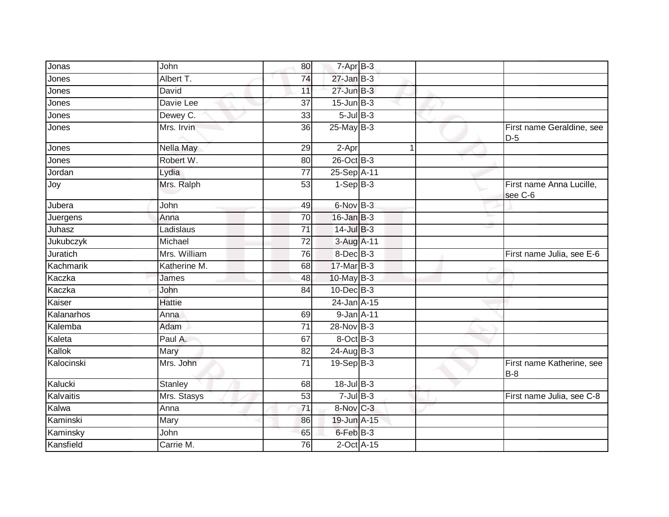| Jonas      | John           | 80              | 7-Apr B-3                  |              |                                     |
|------------|----------------|-----------------|----------------------------|--------------|-------------------------------------|
| Jones      | Albert T.      | 74              | $27 - Jan$ $B-3$           |              |                                     |
| Jones      | David          | 11              | $27 - Jun$ $B-3$           |              |                                     |
| Jones      | Davie Lee      | 37              | $15$ -Jun $B-3$            |              |                                     |
| Jones      | Dewey C.       | 33              | $5$ -Jul $B$ -3            |              |                                     |
| Jones      | Mrs. Irvin     | 36              | $25$ -May B-3              |              | First name Geraldine, see<br>$D-5$  |
| Jones      | Nella May      | 29              | 2-Apr                      | $\mathbf{1}$ |                                     |
| Jones      | Robert W.      | 80              | $26$ -Oct B-3              |              |                                     |
| Jordan     | Lydia          | 77              | 25-Sep A-11                |              |                                     |
| Joy        | Mrs. Ralph     | 53              | $1-Sep$ B-3                |              | First name Anna Lucille,<br>see C-6 |
| Jubera     | John           | 49              | 6-Nov B-3                  |              |                                     |
| Juergens   | Anna           | 70              | $16$ -Jan $B-3$            |              |                                     |
| Juhasz     | Ladislaus      | $\overline{71}$ | $14$ -Jul B-3              |              |                                     |
| Jukubczyk  | Michael        | 72              | 3-Aug A-11                 |              |                                     |
| Juratich   | Mrs. William   | 76              | 8-Dec B-3                  |              | First name Julia, see E-6           |
| Kachmarik  | Katherine M.   | 68              | 17-Mar B-3                 |              |                                     |
| Kaczka     | James          | 48              | 10-May B-3                 |              |                                     |
| Kaczka     | John           | 84              | $10$ -Dec $B-3$            |              |                                     |
| Kaiser     | <b>Hattie</b>  |                 | 24-Jan A-15                |              |                                     |
| Kalanarhos | Anna           | 69              | 9-Jan A-11                 |              |                                     |
| Kalemba    | Adam           | 71              | 28-Nov B-3                 |              |                                     |
| Kaleta     | Paul A.        | 67              | 8-Oct B-3                  |              |                                     |
| Kallok     | Mary           | 82              | 24-Aug B-3                 |              |                                     |
| Kalocinski | Mrs. John      | 71              | $19-SepB-3$                |              | First name Katherine, see<br>$B-8$  |
| Kalucki    | <b>Stanley</b> | 68              | $18 -$ Jul $B - 3$         |              |                                     |
| Kalvaitis  | Mrs. Stasys    | 53              | $7$ -Jul $B-3$             |              | First name Julia, see C-8           |
| Kalwa      | Anna           | 71              | 8-Nov C-3                  |              |                                     |
| Kaminski   | Mary           | 86              | 19-Jun A-15                |              |                                     |
| Kaminsky   | John           | 65              | 6-Feb B-3                  |              |                                     |
| Kansfield  | Carrie M.      | 76              | $2$ -Oct $\overline{A-15}$ |              |                                     |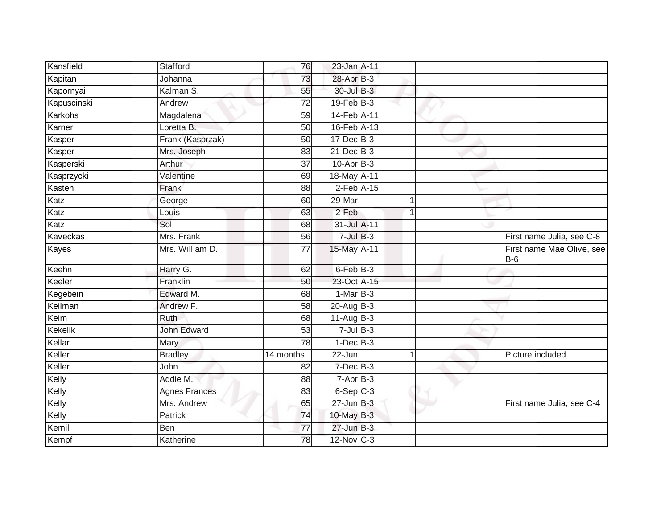| Kansfield   | Stafford             | 76              | 23-Jan A-11            |   |                                    |
|-------------|----------------------|-----------------|------------------------|---|------------------------------------|
|             |                      |                 |                        |   |                                    |
| Kapitan     | Johanna              | 73              | 28-Apr B-3             |   |                                    |
| Kapornyai   | Kalman S.            | 55              | 30-Jul B-3             |   |                                    |
| Kapuscinski | Andrew               | $\overline{72}$ | 19-Feb B-3             |   |                                    |
| Karkohs     | Magdalena            | $\overline{59}$ | 14-Feb <sup>A-11</sup> |   |                                    |
| Karner      | Loretta B.           | 50              | 16-Feb A-13            |   |                                    |
| Kasper      | Frank (Kasprzak)     | 50              | $17 - Dec$ B-3         |   |                                    |
| Kasper      | Mrs. Joseph          | 83              | $21$ -Dec $B-3$        |   |                                    |
| Kasperski   | Arthur               | 37              | $10-Apr$ B-3           |   |                                    |
| Kasprzycki  | Valentine            | 69              | 18-May A-11            |   |                                    |
| Kasten      | Frank                | 88              | $2$ -Feb $A-15$        |   |                                    |
| Katz        | George               | 60              | 29-Mar                 | 1 |                                    |
| Katz        | Louis                | 63              | $2-Feb$                | 1 |                                    |
| Katz        | Sol                  | 68              | 31-Jul A-11            |   |                                    |
| Kaveckas    | Mrs. Frank           | 56              | $7$ -Jul $B-3$         |   | First name Julia, see C-8          |
| Kayes       | Mrs. William D.      | 77              | 15-May A-11            |   | First name Mae Olive, see<br>$B-6$ |
| Keehn       | Harry G.             | 62              | 6-Feb B-3              |   |                                    |
| Keeler      | Franklin             | 50              | 23-Oct A-15            |   |                                    |
| Kegebein    | Edward M.            | 68              | $1-MarB-3$             |   |                                    |
| Keilman     | Andrew F.            | 58              | $20$ -Aug $B-3$        |   |                                    |
| Keim        | Ruth                 | 68              | 11-Aug B-3             |   |                                    |
| Kekelik     | <b>John Edward</b>   | 53              | $7$ -Jul $B-3$         |   |                                    |
| Kellar      | Mary                 | 78              | $1-Dec$ B-3            |   |                                    |
| Keller      | <b>Bradley</b>       | 14 months       | 22-Jun                 |   | Picture included                   |
| Keller      | John                 | 82              | $7$ -Dec $B-3$         |   |                                    |
| Kelly       | Addie M.             | 88              | $7 -$ Apr $B - 3$      |   |                                    |
| Kelly       | <b>Agnes Frances</b> | 83              | $6-Sep$ $C-3$          |   |                                    |
| Kelly       | Mrs. Andrew          | 65              | $27$ -Jun $B-3$        |   | First name Julia, see C-4          |
| Kelly       | Patrick              | 74              | 10-May B-3             |   |                                    |
| Kemil       | Ben                  | 77              | $27$ -Jun $B-3$        |   |                                    |
| Kempf       | Katherine            | 78              | $12$ -Nov $C-3$        |   |                                    |
|             |                      |                 |                        |   |                                    |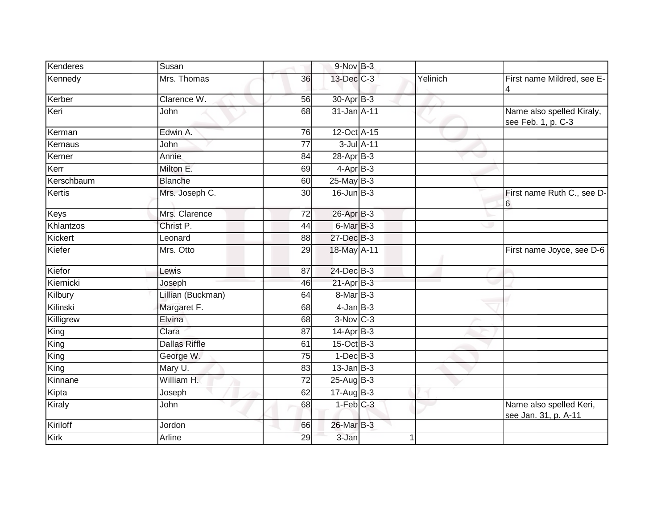| Kenderes   | Susan                |                 | 9-Nov B-3              |          |                                                 |
|------------|----------------------|-----------------|------------------------|----------|-------------------------------------------------|
| Kennedy    | Mrs. Thomas          | 36              | 13-Dec C-3             | Yelinich | First name Mildred, see E-<br>4                 |
| Kerber     | Clarence W.          | 56              | 30-Apr B-3             |          |                                                 |
| Keri       | John                 | 68              | 31-Jan A-11            |          | Name also spelled Kiraly,<br>see Feb. 1, p. C-3 |
| Kerman     | Edwin A.             | 76              | 12-Oct A-15            |          |                                                 |
| Kernaus    | John                 | $\overline{77}$ | 3-Jul A-11             |          |                                                 |
| Kerner     | Annie                | 84              | 28-Apr B-3             |          | w                                               |
| Kerr       | Milton E.            | 69              | $4-AprB-3$             |          |                                                 |
| Kerschbaum | <b>Blanche</b>       | 60              | $25$ -May B-3          |          |                                                 |
| Kertis     | Mrs. Joseph C.       | 30              | $16$ -Jun $B-3$        |          | First name Ruth C., see D-<br>6                 |
| Keys       | Mrs. Clarence        | $\overline{72}$ | 26-Apr B-3             |          |                                                 |
| Khlantzos  | Christ P.            | 44              | $6$ -Mar $B$ -3        |          |                                                 |
| Kickert    | Leonard              | 88              | 27-Dec B-3             |          |                                                 |
| Kiefer     | Mrs. Otto            | 29              | 18-May A-11            |          | First name Joyce, see D-6                       |
| Kiefor     | Lewis                | 87              | 24-Dec B-3             |          |                                                 |
| Kiernicki  | Joseph               | 46              | $21-AprB-3$            |          |                                                 |
| Kilbury    | Lillian (Buckman)    | 64              | 8-Mar B-3              |          |                                                 |
| Kilinski   | Margaret F.          | 68              | $4$ -Jan $B-3$         |          |                                                 |
| Killigrew  | Elvina               | 68              | $3-Nov$ <sub>C-3</sub> |          |                                                 |
| King       | Clara                | 87              | $14$ -Apr $B-3$        |          |                                                 |
| King       | <b>Dallas Riffle</b> | 61              | 15-Oct B-3             |          |                                                 |
| King       | George W.            | 75              | $1-Dec$ B-3            |          |                                                 |
| King       | Mary U.              | 83              | $13$ -Jan B-3          |          |                                                 |
| Kinnane    | William H.           | 72              | 25-Aug B-3             |          |                                                 |
| Kipta      | Joseph               | 62              | 17-Aug B-3             |          |                                                 |
| Kiraly     | John                 | 68              | $1-Feb$ $C-3$          |          | Name also spelled Keri,<br>see Jan. 31, p. A-11 |
| Kiriloff   | Jordon               | 66              | 26-Mar B-3             |          |                                                 |
| Kirk       | Arline               | 29              | 3-Jan                  |          |                                                 |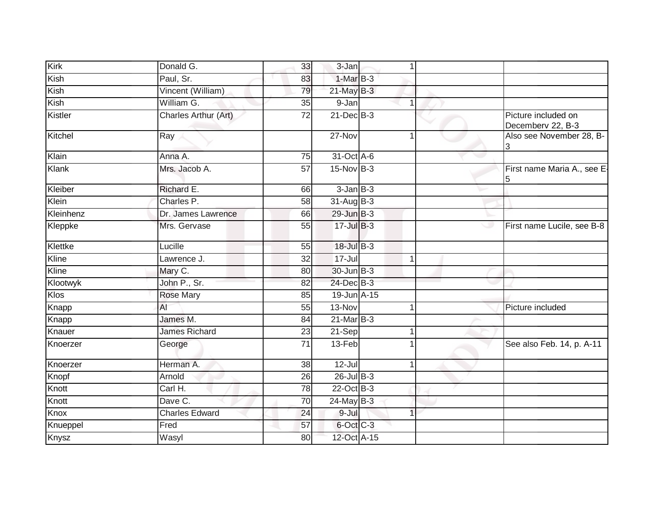| Kirk      | Donald G.             | 33              | 3-Jan           | 1 |                                          |
|-----------|-----------------------|-----------------|-----------------|---|------------------------------------------|
| Kish      | Paul, Sr.             | 83              | 1-Mar B-3       |   |                                          |
| Kish      | Vincent (William)     | 79              | $21$ -May B-3   |   |                                          |
| Kish      | William G.            | 35              | 9-Jan           | 1 |                                          |
| Kistler   | Charles Arthur (Art)  | $\overline{72}$ | $21$ -Dec $B-3$ |   | Picture included on<br>Decemberv 22, B-3 |
| Kitchel   | Ray                   |                 | 27-Nov          | 1 | Also see November 28, B-                 |
| Klain     | Anna A.               | 75              | 31-Oct A-6      |   |                                          |
| Klank     | Mrs. Jacob A.         | $\overline{57}$ | $15-Nov$ B-3    |   | First name Maria A., see E-<br>5         |
| Kleiber   | Richard E.            | 66              | $3 - Jan$ $B-3$ |   |                                          |
| Klein     | Charles P.            | 58              | $31-Aug$ B-3    |   |                                          |
| Kleinhenz | Dr. James Lawrence    | 66              | $29$ -Jun $B-3$ |   |                                          |
| Kleppke   | Mrs. Gervase          | 55              | $17 -$ Jul B-3  |   | First name Lucile, see B-8<br>ت          |
| Klettke   | Lucille               | 55              | 18-Jul B-3      |   |                                          |
| Kline     | Lawrence J.           | 32              | $17 -$ Jul      | 1 |                                          |
| Kline     | Mary C.               | 80              | 30-Jun B-3      |   |                                          |
| Klootwyk  | John P., Sr.          | 82              | 24-Dec B-3      |   |                                          |
| Klos      | <b>Rose Mary</b>      | 85              | 19-Jun A-15     |   |                                          |
| Knapp     | AI                    | 55              | 13-Nov          | 1 | Picture included                         |
| Knapp     | James M.              | 84              | $21$ -Mar $B-3$ |   |                                          |
| Knauer    | <b>James Richard</b>  | 23              | 21-Sep          | 1 |                                          |
| Knoerzer  | George                | 71              | 13-Feb          |   | See also Feb. 14, p. A-11                |
| Knoerzer  | Herman A.             | 38              | $12$ -Jul       | 1 |                                          |
| Knopf     | Arnold                | 26              | 26-Jul B-3      |   |                                          |
| Knott     | Carl H.               | 78              | 22-Oct B-3      |   |                                          |
| Knott     | Dave C.               | $\overline{70}$ | 24-May B-3      |   |                                          |
| Knox      | <b>Charles Edward</b> | 24              | 9-Jul           | 1 |                                          |
| Knueppel  | Fred                  | 57              | 6-Oct C-3       |   |                                          |
| Knysz     | Wasyl                 | 80              | 12-Oct A-15     |   |                                          |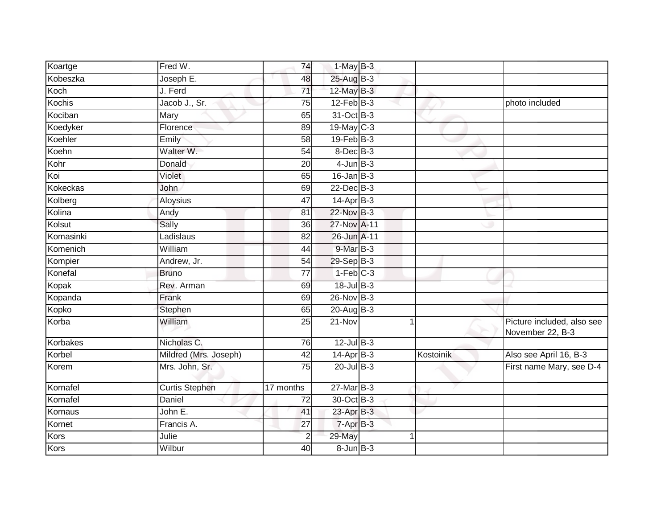| Koartge   | Fred W.               | 74              | $1-MayB-3$        |           |                                                |
|-----------|-----------------------|-----------------|-------------------|-----------|------------------------------------------------|
| Kobeszka  | Joseph E.             | 48              | 25-Aug B-3        |           |                                                |
|           |                       |                 |                   |           |                                                |
| Koch      | J. Ferd               | $\overline{71}$ | $12$ -May B-3     |           |                                                |
| Kochis    | Jacob J., Sr.         | 75              | $12$ -Feb $ B-3 $ |           | photo included                                 |
| Kociban   | Mary                  | 65              | 31-Oct B-3        |           |                                                |
| Koedyker  | Florence              | 89              | 19-May C-3        |           |                                                |
| Koehler   | Emily                 | 58              | $19$ -Feb $B-3$   |           |                                                |
| Koehn     | Walter W.             | 54              | $8$ -Dec $B$ -3   |           |                                                |
| Kohr      | Donald                | 20              | $4$ -Jun $B-3$    |           |                                                |
| Koi       | Violet                | 65              | $16$ -Jan $B-3$   |           |                                                |
| Kokeckas  | John                  | 69              | $22$ -Dec $B-3$   |           |                                                |
| Kolberg   | Aloysius              | 47              | $14-Apr$ B-3      |           |                                                |
| Kolina    | Andy                  | 81              | 22-Nov B-3        |           |                                                |
| Kolsut    | Sally                 | 36              | 27-Nov A-11       |           |                                                |
| Komasinki | Ladislaus             | 82              | 26-Jun A-11       |           |                                                |
| Komenich  | William               | 44              | 9-Mar B-3         |           |                                                |
| Kompier   | Andrew, Jr.           | 54              | 29-Sep B-3        |           |                                                |
| Konefal   | <b>Bruno</b>          | 77              | $1-Feb$ C-3       |           |                                                |
| Kopak     | Rev. Arman            | 69              | 18-Jul B-3        |           |                                                |
| Kopanda   | Frank                 | 69              | 26-Nov B-3        |           |                                                |
| Kopko     | Stephen               | 65              | $20$ -Aug $B-3$   |           |                                                |
| Korba     | William               | $\overline{25}$ | $21 - Nov$        | 1         | Picture included, also see<br>November 22, B-3 |
| Korbakes  | Nicholas C.           | 76              | $12$ -Jul B-3     |           |                                                |
| Korbel    | Mildred (Mrs. Joseph) | 42              | $14$ -Apr $B-3$   | Kostoinik | Also see April 16, B-3                         |
| Korem     | Mrs. John, Sr.        | 75              | $20$ -Jul B-3     |           | First name Mary, see D-4                       |
| Kornafel  | <b>Curtis Stephen</b> | 17 months       | $27$ -Mar $B-3$   |           |                                                |
| Kornafel  | Daniel                | 72              | 30-Oct B-3        |           |                                                |
| Kornaus   | John $E$ .            | 41              | 23-Apr B-3        |           |                                                |
| Kornet    | Francis A.            | 27              | $7 - Apr$ $B-3$   |           |                                                |
| Kors      | Julie                 | 2               | 29-May            |           |                                                |
| Kors      | Wilbur                | 40              | $8 - Jun$ $B - 3$ |           |                                                |
|           |                       |                 |                   |           |                                                |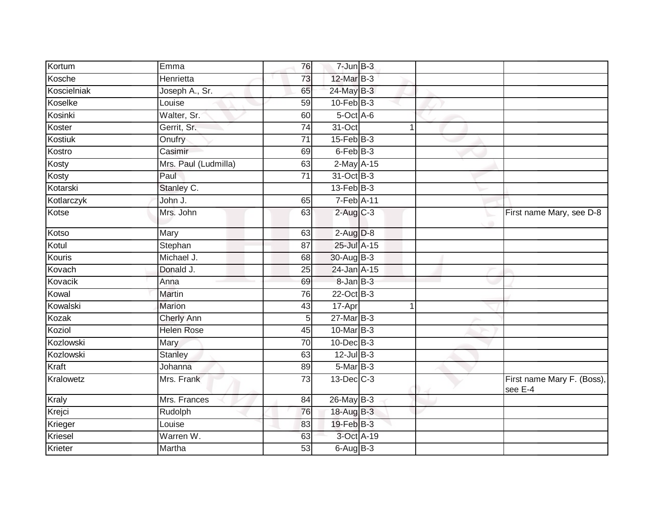| Kortum      | Emma                 | 76              | $7 - Jun$ B-3         |             |                                       |
|-------------|----------------------|-----------------|-----------------------|-------------|---------------------------------------|
| Kosche      | Henrietta            | 73              | 12-Mar B-3            |             |                                       |
| Koscielniak | Joseph A., Sr.       | 65              | 24-May B-3            |             |                                       |
| Koselke     | Louise               | 59              | $10$ -Feb $B-3$       |             |                                       |
| Kosinki     | Walter, Sr.          | 60              | 5-Oct A-6             |             |                                       |
| Koster      | Gerrit, Sr.          | $\overline{74}$ | $31-Oct$              | $\mathbf 1$ |                                       |
| Kostiuk     | Onufry               | 71              | $15$ -Feb $B$ -3      |             |                                       |
| Kostro      | Casimir              | 69              | 6-Feb B-3             |             |                                       |
| Kosty       | Mrs. Paul (Ludmilla) | 63              | 2-May A-15            |             |                                       |
| Kosty       | Paul                 | $\overline{71}$ | 31-Oct B-3            |             |                                       |
| Kotarski    | Stanley C.           |                 | $13$ -Feb $B-3$       |             |                                       |
| Kotlarczyk  | John J.              | 65              | 7-Feb A-11            |             |                                       |
| Kotse       | Mrs. John            | 63              | $2$ -Aug C-3          |             | First name Mary, see D-8              |
| Kotso       | Mary                 | 63              | $2-Aug$ $D-8$         |             |                                       |
| Kotul       | Stephan              | $\overline{87}$ | 25-Jul A-15           |             |                                       |
| Kouris      | Michael J.           | 68              | 30-Aug B-3            |             |                                       |
| Kovach      | Donald J.            | 25              | 24-Jan A-15           |             |                                       |
| Kovacik     | Anna                 | 69              | 8-Jan B-3             |             |                                       |
| Kowal       | Martin               | 76              | 22-Oct B-3            |             |                                       |
| Kowalski    | <b>Marion</b>        | 43              | 17-Apr                | $\mathbf 1$ |                                       |
| Kozak       | <b>Cherly Ann</b>    | 5 <sup>1</sup>  | $27$ -Mar $B-3$       |             |                                       |
| Koziol      | <b>Helen Rose</b>    | 45              | 10-Mar B-3            |             |                                       |
| Kozlowski   | Mary                 | 70              | $10$ -Dec $B-3$       |             |                                       |
| Kozlowski   | <b>Stanley</b>       | 63              | $12$ -Jul $B-3$       |             |                                       |
| Kraft       | Johanna              | 89              | 5-Mar B-3             |             |                                       |
| Kralowetz   | Mrs. Frank           | 73              | 13-Dec C-3            |             | First name Mary F. (Boss),<br>see E-4 |
| Kraly       | Mrs. Frances         | 84              | $26$ -May B-3         |             |                                       |
| Krejci      | Rudolph              | 76              | 18-Aug B-3            |             |                                       |
| Krieger     | Louise               | 83              | 19-Feb <sup>B-3</sup> |             |                                       |
| Kriesel     | Warren W.            | 63              | 3-Oct A-19            |             |                                       |
| Krieter     | Martha               | 53              | $6$ -Aug $B$ -3       |             |                                       |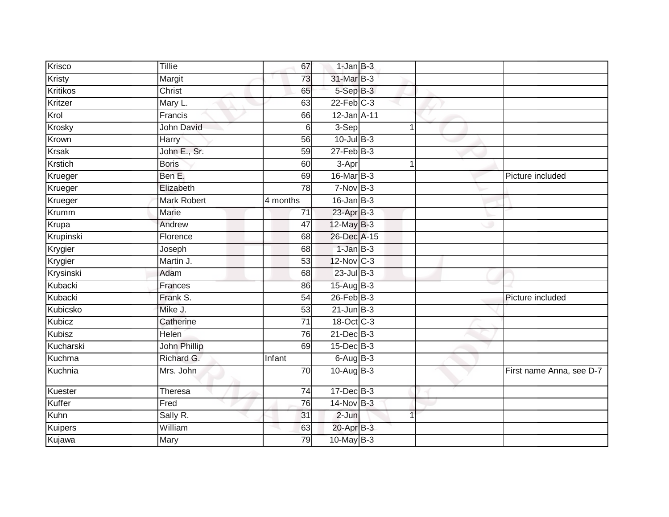| Krisco          | <b>Tillie</b>       | 67              | $1$ -Jan $B-3$   |   |                          |
|-----------------|---------------------|-----------------|------------------|---|--------------------------|
| Kristy          | Margit              | 73              | 31-Mar B-3       |   |                          |
| <b>Kritikos</b> | <b>Christ</b>       | 65              | 5-Sep B-3        |   |                          |
| Kritzer         | Mary L.             | 63              | $22$ -Feb $C-3$  |   |                          |
| Krol            | Francis             | 66              | 12-Jan A-11      |   |                          |
| Krosky          | John David          | 6               | 3-Sep            | 1 |                          |
| Krown           | Harry               | 56              | $10$ -Jul $B-3$  |   |                          |
| <b>Krsak</b>    | John E., Sr.        | 59              | $27$ -Feb $B-3$  |   |                          |
| Krstich         | <b>Boris</b>        | 60              | 3-Apr            |   |                          |
| Krueger         | Ben E.              | 69              | $16$ -Mar $B-3$  |   | Picture included         |
| Krueger         | Elizabeth           | 78              | $7-Nov$ B-3      |   |                          |
| Krueger         | Mark Robert         | 4 months        | $16$ -Jan $B-3$  |   |                          |
| Krumm           | Marie               | 71              | 23-Apr B-3       |   |                          |
| Krupa           | Andrew              | 47              | 12-May B-3       |   |                          |
| Krupinski       | Florence            | 68              | 26-Dec A-15      |   |                          |
| Krygier         | Joseph              | 68              | $1-Jan$ B-3      |   |                          |
| Krygier         | Martin J.           | 53              | 12-Nov C-3       |   |                          |
| Krysinski       | Adam                | 68              | $23$ -Jul B-3    |   |                          |
| Kubacki         | Frances             | 86              | $15-Auq$ B-3     |   |                          |
| Kubacki         | Frank S.            | 54              | $26$ -Feb $B-3$  |   | Picture included         |
| Kubicsko        | Mike J.             | 53              | $21$ -Jun $B-3$  |   |                          |
| Kubicz          | Catherine           | $\overline{71}$ | 18-Oct C-3       |   |                          |
| Kubisz          | Helen               | 76              | $21$ -Dec $B-3$  |   |                          |
| Kucharski       | <b>John Phillip</b> | 69              | $15$ -Dec $B$ -3 |   |                          |
| Kuchma          | Richard G.          | Infant          | $6-AugB-3$       |   |                          |
| Kuchnia         | Mrs. John           | 70              | $10-Aug$ B-3     |   | First name Anna, see D-7 |
| Kuester         | <b>Theresa</b>      | 74              | 17-Dec B-3       |   |                          |
| Kuffer          | Fred                | 76              | $14$ -Nov B-3    |   |                          |
| Kuhn            | Sally R.            | 31              | $2-Jun$          | 1 |                          |
| Kuipers         | William             | 63              | 20-Apr B-3       |   |                          |
| Kujawa          | Mary                | 79              | 10-May B-3       |   |                          |
|                 |                     |                 |                  |   |                          |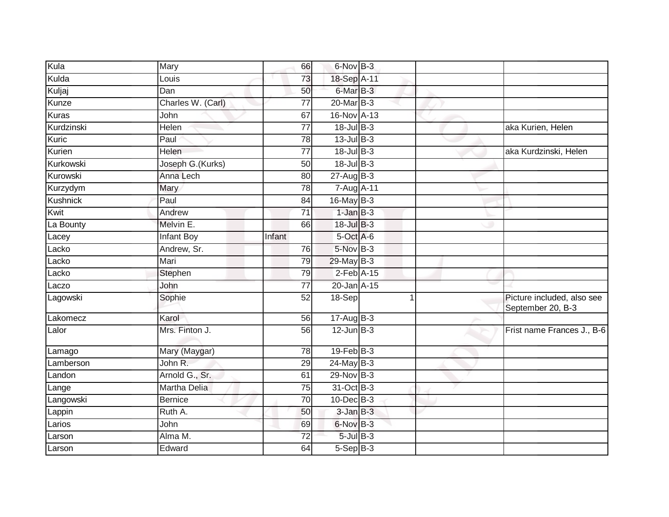| Kula         | Mary                  | 66              | 6-Nov B-3       |                |                                                 |
|--------------|-----------------------|-----------------|-----------------|----------------|-------------------------------------------------|
| Kulda        | Louis                 | 73              | 18-Sep A-11     |                |                                                 |
| Kuljaj       | Dan                   | 50              | $6$ -Mar $B-3$  |                |                                                 |
| Kunze        | Charles W. (Carl)     | 77              | 20-Mar B-3      |                |                                                 |
| <b>Kuras</b> | John                  | 67              | 16-Nov A-13     |                |                                                 |
| Kurdzinski   | Helen                 | $\overline{77}$ | $18 -$ Jul B-3  |                | aka Kurien, Helen                               |
| Kuric        | Paul                  | 78              | $13$ -Jul B-3   |                |                                                 |
| Kurien       | Helen                 | $\overline{77}$ | 18-Jul B-3      |                | aka Kurdzinski, Helen                           |
| Kurkowski    | Joseph G. (Kurks)     | 50              | $18$ -Jul $B-3$ |                |                                                 |
| Kurowski     | Anna Lech             | 80              | $27$ -Aug $B-3$ |                |                                                 |
| Kurzydym     | Mary                  | 78              | 7-Aug A-11      |                |                                                 |
| Kushnick     | Paul                  | 84              | $16$ -May B-3   |                |                                                 |
| Kwit         | Andrew                | $\overline{71}$ | $1-JanB-3$      |                |                                                 |
| La Bounty    | Melvin E.             | 66              | 18-Jul B-3      |                |                                                 |
| Lacey        | <b>Infant Boy</b>     | Infant          | 5-Oct A-6       |                |                                                 |
| Lacko        | Andrew, Sr.           | 76              | 5-Nov B-3       |                |                                                 |
| Lacko        | Mari                  | 79              | 29-May B-3      |                |                                                 |
| Lacko        | Stephen               | 79              | $2$ -Feb $A-15$ |                |                                                 |
| Laczo        | John                  | $\overline{77}$ | 20-Jan A-15     |                |                                                 |
| Lagowski     | Sophie                | 52              | 18-Sep          | $\overline{1}$ | Picture included, also see<br>September 20, B-3 |
| Lakomecz     | Karol                 | 56              | $17-Aug$ B-3    |                |                                                 |
| Lalor        | Mrs. Finton J.        | 56              | $12$ -Jun $B-3$ |                | Frist name Frances J., B-6                      |
| Lamago       | Mary (Maygar)         | $\overline{78}$ | $19$ -Feb $B-3$ |                |                                                 |
| Lamberson    | John R.               | 29              | 24-May B-3      |                |                                                 |
| Landon       | Arnold G., Sr.        | 61              | 29-Nov B-3      |                |                                                 |
| Lange        | <b>Martha Delia</b>   | 75              | 31-Oct B-3      |                |                                                 |
| Langowski    | <b>Bernice</b>        | $\overline{70}$ | 10-Dec B-3      |                |                                                 |
| Lappin       | $\overline{R}$ uth A. | 50              | $3$ -Jan $B-3$  |                |                                                 |
| Larios       | John                  | 69              | 6-Nov B-3       |                |                                                 |
| Larson       | Alma M.               | $\overline{72}$ | $5$ -Jul $B-3$  |                |                                                 |
| Larson       | Edward                | 64              | $5-$ Sep $B-3$  |                |                                                 |
|              |                       |                 |                 |                |                                                 |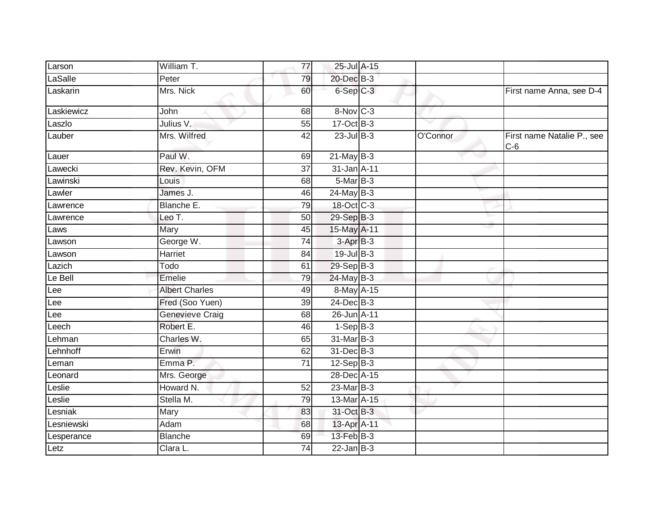| Larson     | William T.            | 77              | 25-Jul A-15            |          |                                     |
|------------|-----------------------|-----------------|------------------------|----------|-------------------------------------|
| LaSalle    | Peter                 | 79              | 20-Dec B-3             |          |                                     |
| Laskarin   | Mrs. Nick             | 60              | $6-Sep$ $C-3$          |          | First name Anna, see D-4            |
| Laskiewicz | John                  | 68              | 8-Nov C-3              |          |                                     |
| Laszlo     | Julius V.             | 55              | 17-Oct B-3             |          |                                     |
| Lauber     | Mrs. Wilfred          | 42              | $23$ -Jul B-3          | O'Connor | First name Natalie P., see<br>$C-6$ |
| Lauer      | Paul W.               | 69              | $21$ -May $B-3$        |          |                                     |
| Lawecki    | Rev. Kevin, OFM       | $\overline{37}$ | 31-Jan A-11            |          |                                     |
| Lawinski   | Louis                 | 68              | $5-MarB-3$             |          |                                     |
| Lawler     | James J.              | 46              | $24$ -May B-3          |          |                                     |
| Lawrence   | Blanche E.            | 79              | 18-Oct C-3             |          |                                     |
| Lawrence   | Leo T.                | 50              | 29-Sep B-3             |          |                                     |
| Laws       | <b>Mary</b>           | 45              | 15-May A-11            |          |                                     |
| Lawson     | George W.             | 74              | 3-Apr B-3              |          |                                     |
| Lawson     | Harriet               | 84              | $19$ -Jul B-3          |          |                                     |
| Lazich     | Todo                  | 61              | 29-Sep B-3             |          |                                     |
| Le Bell    | Emelie                | 79              | 24-May B-3             |          |                                     |
| Lee        | <b>Albert Charles</b> | 49              | 8-May A-15             |          |                                     |
| Lee        | Fred (Soo Yuen)       | 39              | $24$ -Dec $B-3$        |          |                                     |
| Lee        | Genevieve Craig       | 68              | 26-Jun A-11            |          |                                     |
| Leech      | Robert E.             | 46              | $1-Sep$ $B-3$          |          |                                     |
| Lehman     | Charles W.            | 65              | 31-Mar <sub>B</sub> -3 |          |                                     |
| Lehnhoff   | Erwin                 | 62              | 31-Dec B-3             |          |                                     |
| Leman      | Emma P.               | $\overline{71}$ | $12-Sep$ B-3           |          |                                     |
| Leonard    | Mrs. George           |                 | 28-Dec A-15            |          |                                     |
| Leslie     | Howard N.             | 52              | 23-Mar B-3             |          |                                     |
| Leslie     | Stella M.             | 79              | 13-Mar A-15            |          |                                     |
| Lesniak    | Mary                  | 83              | 31-Oct B-3             |          |                                     |
| Lesniewski | Adam                  | 68              | 13-Apr A-11            |          |                                     |
| Lesperance | <b>Blanche</b>        | 69              | 13-Feb B-3             |          |                                     |
| Letz       | Clara L.              | 74              | $22$ -Jan $B-3$        |          |                                     |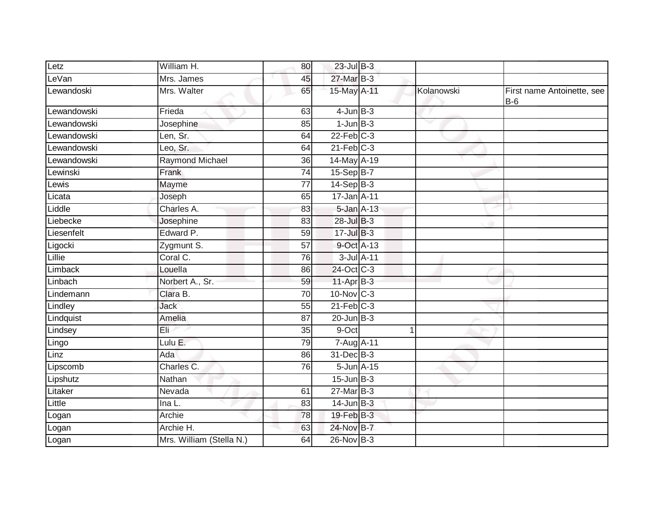| Letz        | William H.               | 80              | $23$ -Jul $B-3$   |                 |            |                                     |
|-------------|--------------------------|-----------------|-------------------|-----------------|------------|-------------------------------------|
| LeVan       | Mrs. James               | 45              | 27-Mar B-3        |                 |            |                                     |
| Lewandoski  | Mrs. Walter              | 65              | 15-May A-11       |                 | Kolanowski | First name Antoinette, see<br>$B-6$ |
| Lewandowski | Frieda                   | 63              | $4$ -Jun $B-3$    |                 |            |                                     |
| Lewandowski | Josephine                | 85              | $1$ -Jun $B-3$    |                 | v          |                                     |
| Lewandowski | Len, Sr.                 | 64              | $22$ -Feb $C-3$   |                 |            |                                     |
| Lewandowski | Leo, Sr.                 | 64              | $21$ -Feb $C-3$   |                 |            |                                     |
| Lewandowski | <b>Raymond Michael</b>   | $\overline{36}$ | 14-May A-19       |                 |            |                                     |
| Lewinski    | Frank                    | 74              | 15-Sep B-7        |                 |            |                                     |
| Lewis       | Mayme                    | 77              | $14-SepB-3$       |                 |            |                                     |
| Licata      | Joseph                   | 65              | $17$ -Jan $A$ -11 |                 |            |                                     |
| Liddle      | Charles A.               | 83              | 5-Jan A-13        |                 |            |                                     |
| Liebecke    | Josephine                | 83              | 28-Jul B-3        |                 |            |                                     |
| Liesenfelt  | Edward P.                | 59              | $17 -$ Jul B-3    |                 |            |                                     |
| Ligocki     | Zygmunt S.               | 57              | 9-Oct A-13        |                 |            |                                     |
| Lillie      | Coral C.                 | 76              |                   | $3$ -Jul $A-11$ |            |                                     |
| Limback     | Louella                  | 86              | 24-Oct C-3        |                 |            |                                     |
| Linbach     | Norbert A., Sr.          | 59              | $11-AprB-3$       |                 |            |                                     |
| Lindemann   | Clara B.                 | 70              | $10$ -Nov $ C-3 $ |                 |            |                                     |
| Lindley     | <b>Jack</b>              | 55              | $21$ -Feb $C-3$   |                 |            |                                     |
| Lindquist   | Amelia                   | 87              | $20$ -Jun $B-3$   |                 |            |                                     |
| Lindsey     | Eli <sup>2</sup>         | 35              | 9-Oct             | 1               |            |                                     |
| Lingo       | Lulu $E$ .               | 79              | 7-Aug A-11        |                 |            |                                     |
| Linz        | Ada                      | 86              | 31-Dec B-3        |                 |            |                                     |
| Lipscomb    | Charles C.               | 76              | 5-Jun A-15        |                 |            |                                     |
| Lipshutz    | Nathan                   |                 | $15$ -Jun $B-3$   |                 |            |                                     |
| Litaker     | Nevada                   | 61              | $27$ -Mar $B-3$   |                 |            |                                     |
| Little      | Ina L.                   | 83              | $14$ -Jun $B-3$   |                 |            |                                     |
| Logan       | Archie                   | 78              | 19-Feb B-3        |                 |            |                                     |
| Logan       | Archie H.                | 63              | 24-Nov B-7        |                 |            |                                     |
| Logan       | Mrs. William (Stella N.) | 64              | 26-Nov B-3        |                 |            |                                     |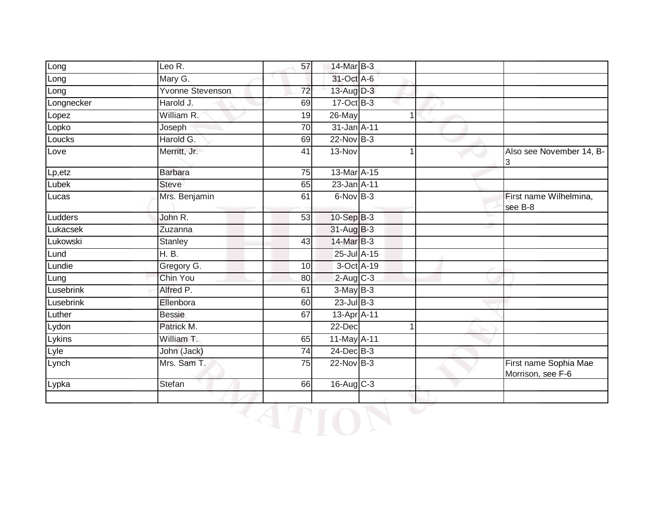| Long       | Leo R.                  | 57              | 14-Mar B-3      |                |                                            |
|------------|-------------------------|-----------------|-----------------|----------------|--------------------------------------------|
| Long       | Mary G.                 |                 | 31-Oct A-6      |                |                                            |
| Long       | <b>Yvonne Stevenson</b> | $\overline{72}$ | 13-Aug D-3      |                |                                            |
| Longnecker | Harold J.               | 69              | 17-Oct B-3      |                |                                            |
| Lopez      | William R.              | 19              | 26-May          | 1              |                                            |
| Lopko      | Joseph                  | 70              | 31-Jan A-11     |                |                                            |
| Loucks     | Harold G.               | 69              | $22$ -Nov $B-3$ |                |                                            |
| Love       | Merritt, Jr.            | 41              | 13-Nov          | 1              | Also see November 14, B-<br>3              |
| Lp, etz    | <b>Barbara</b>          | 75              | 13-Mar A-15     |                |                                            |
| Lubek      | <b>Steve</b>            | 65              | 23-Jan A-11     |                |                                            |
| Lucas      | Mrs. Benjamin           | 61              | $6-NovB-3$      |                | First name Wilhelmina,<br>see B-8          |
| Ludders    | John R.                 | 53              | $10-Sep$ B-3    |                |                                            |
| Lukacsek   | Zuzanna                 |                 | 31-Aug B-3      |                |                                            |
| Lukowski   | Stanley                 | 43              | 14-Mar B-3      |                |                                            |
| Lund       | H. B.                   |                 | 25-Jul A-15     |                |                                            |
| Lundie     | Gregory G.              | 10              | 3-Oct A-19      |                |                                            |
| Lung       | Chin You                | 80              | $2-Aug$ $C-3$   |                |                                            |
| Lusebrink  | Alfred P.               | 61              | $3-May$ B-3     |                |                                            |
| Lusebrink  | Ellenbora               | 60              | $23$ -Jul $B-3$ |                |                                            |
| Luther     | <b>Bessie</b>           | 67              | 13-Apr A-11     |                |                                            |
| Lydon      | Patrick M.              |                 | 22-Dec          | $\overline{1}$ |                                            |
| Lykins     | William T.              | 65              | 11-May A-11     |                |                                            |
| Lyle       | John (Jack)             | 74              | $24$ -Dec $B-3$ |                |                                            |
| Lynch      | Mrs. Sam T.             | 75              | $22-Nov$ B-3    |                | First name Sophia Mae<br>Morrison, see F-6 |
| Lypka      | Stefan                  | 66              | 16-Aug C-3      |                |                                            |
|            |                         |                 |                 |                |                                            |
|            |                         |                 |                 |                |                                            |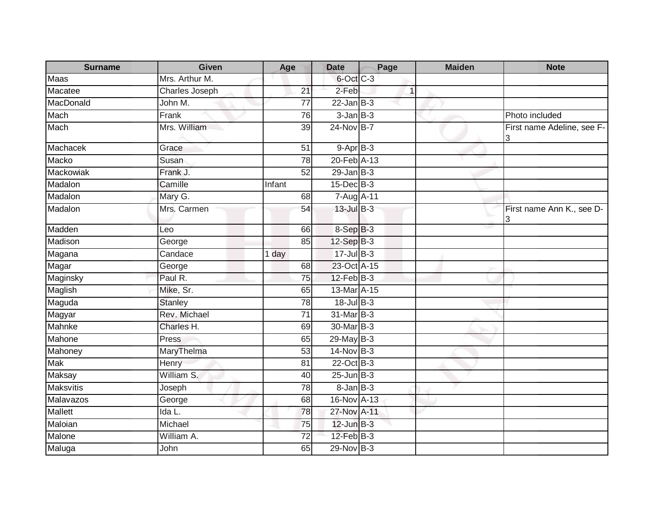| <b>Surname</b>   | <b>Given</b>   | Age             | <b>Date</b>     | Page | <b>Maiden</b> | <b>Note</b>                     |
|------------------|----------------|-----------------|-----------------|------|---------------|---------------------------------|
| Maas             | Mrs. Arthur M. |                 | 6-Oct C-3       |      |               |                                 |
| Macatee          | Charles Joseph | 21              | 2-Feb           | 1    |               |                                 |
| MacDonald        | John M.        | 77              | $22$ -Jan B-3   |      |               |                                 |
| Mach             | Frank          | 76              | $3$ -Jan $B-3$  |      |               | Photo included                  |
| Mach             | Mrs. William   | 39              | 24-Nov B-7      |      |               | First name Adeline, see F-<br>3 |
| Machacek         | Grace          | 51              | $9-$ Apr $B-3$  |      |               |                                 |
| Macko            | Susan          | $\overline{78}$ | 20-Feb A-13     |      |               |                                 |
| Mackowiak        | Frank J.       | 52              | $29$ -Jan B-3   |      |               |                                 |
| Madalon          | Camille        | Infant          | 15-Dec B-3      |      |               |                                 |
| Madalon          | Mary G.        | 68              | 7-Aug A-11      |      |               |                                 |
| Madalon          | Mrs. Carmen    | 54              | 13-Jul B-3      |      |               | First name Ann K., see D-<br>3  |
| Madden           | Leo            | 66              | 8-Sep B-3       |      |               |                                 |
| Madison          | George         | 85              | 12-Sep B-3      |      |               |                                 |
| Magana           | Candace        | 1 day           | $17 -$ Jul B-3  |      |               |                                 |
| Magar            | George         | 68              | 23-Oct A-15     |      |               |                                 |
| Maginsky         | Paul R.        | 75              | $12$ -Feb $B-3$ |      |               |                                 |
| Maglish          | Mike, Sr.      | 65              | 13-Mar A-15     |      |               |                                 |
| Maguda           | <b>Stanley</b> | 78              | 18-Jul B-3      |      |               |                                 |
| Magyar           | Rev. Michael   | 71              | 31-Mar B-3      |      |               |                                 |
| Mahnke           | Charles H.     | 69              | 30-Mar B-3      |      |               |                                 |
| Mahone           | Press          | 65              | 29-May B-3      |      |               |                                 |
| Mahoney          | MaryThelma     | 53              | $14$ -Nov $B-3$ |      |               |                                 |
| Mak              | Henry          | 81              | 22-Oct B-3      |      |               |                                 |
| <b>Maksay</b>    | William S.     | 40              | $25$ -Jun $B-3$ |      |               |                                 |
| <b>Maksvitis</b> | Joseph         | 78              | $8 - Jan$ $B-3$ |      |               |                                 |
| Malavazos        | George         | 68              | 16-Nov A-13     |      |               |                                 |
| <b>Mallett</b>   | Ida L.         | 78              | 27-Nov A-11     |      |               |                                 |
| Maloian          | Michael        | 75              | $12$ -Jun $B-3$ |      |               |                                 |
| Malone           | William A.     | $\overline{72}$ | 12-Feb B-3      |      |               |                                 |
| Maluga           | John           | 65              | 29-Nov B-3      |      |               |                                 |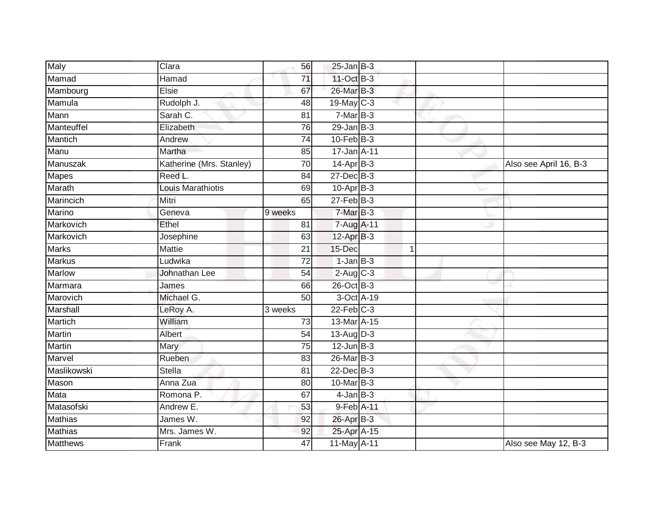| Maly            | Clara                    | 56                   | $25$ -Jan B-3   |   |                        |
|-----------------|--------------------------|----------------------|-----------------|---|------------------------|
| Mamad           | Hamad                    | 71                   | 11-Oct B-3      |   |                        |
| Mambourg        | Elsie                    | 67                   | 26-Mar B-3      |   |                        |
| Mamula          | Rudolph J.               | 48                   | 19-May C-3      |   |                        |
| Mann            | Sarah C.                 | $\overline{81}$      | $7-MarB-3$      |   |                        |
| Manteuffel      | Elizabeth                | 76                   | $29$ -Jan B-3   |   |                        |
| Mantich         | Andrew                   | 74                   | $10$ -Feb $B-3$ |   |                        |
| Manu            | Martha                   | 85                   | 17-Jan A-11     |   |                        |
| Manuszak        | Katherine (Mrs. Stanley) | 70                   | $14-Apr$ B-3    |   | Also see April 16, B-3 |
| <b>Mapes</b>    | Reed L.                  | 84                   | $27$ -Dec $B-3$ |   |                        |
| Marath          | <b>Louis Marathiotis</b> | 69                   | $10-Apr$ B-3    |   |                        |
| Marincich       | Mitri                    | 65                   | $27$ -Feb $B-3$ |   |                        |
| Marino          | Geneva                   | 9 weeks              | $7-MarB-3$      |   |                        |
| Markovich       | Ethel                    | 81                   | 7-Aug A-11      |   |                        |
| Markovich       | Josephine                | 63                   | 12-Apr B-3      |   |                        |
| <b>Marks</b>    | Mattie                   | 21                   | 15-Dec          | 1 |                        |
| <b>Markus</b>   | Ludwika                  | $\overline{72}$      | $1-Jan$ B-3     |   |                        |
| <b>Marlow</b>   | Johnathan Lee            | 54                   | $2-Aug$ C-3     |   |                        |
| Marmara         | James                    | 66                   | 26-Oct B-3      |   |                        |
| Marovich        | Michael G.               | $\overline{50}$      | 3-Oct A-19      |   |                        |
| Marshall        | LeRoy A.                 | $\overline{3}$ weeks | $22$ -Feb $C-3$ |   |                        |
| Martich         | William                  | 73                   | 13-Mar A-15     |   |                        |
| Martin          | Albert                   | 54                   | 13-Aug $D-3$    |   |                        |
| <b>Martin</b>   | <b>Mary</b>              | 75                   | $12$ -Jun $B-3$ |   |                        |
| Marvel          | Rueben                   | 83                   | 26-Mar B-3      |   |                        |
| Maslikowski     | <b>Stella</b>            | 81                   | 22-Dec B-3      |   |                        |
| Mason           | Anna Zua                 | 80                   | $10$ -Mar $B-3$ |   |                        |
| Mata            | Romona P.                | 67                   | $4$ -Jan $B-3$  |   |                        |
| Matasofski      | Andrew E.                | 53                   | 9-Feb A-11      |   |                        |
| <b>Mathias</b>  | James W.                 | 92                   | 26-Apr B-3      |   |                        |
| <b>Mathias</b>  | Mrs. James W.            | 92                   | 25-Apr A-15     |   |                        |
| <b>Matthews</b> | Frank                    | 47                   | 11-May A-11     |   | Also see May 12, B-3   |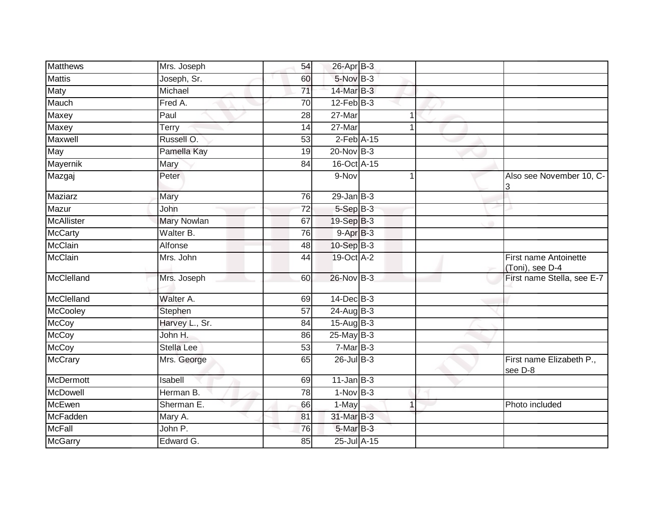| <b>Matthews</b>  | Mrs. Joseph        | 54              | 26-Apr B-3       |   |                                          |
|------------------|--------------------|-----------------|------------------|---|------------------------------------------|
| <b>Mattis</b>    | Joseph, Sr.        | 60              | $5-Nov$ B-3      |   |                                          |
| Maty             | Michael            | 71              | 14-Mar B-3       |   |                                          |
| Mauch            | Fred A.            | $\overline{70}$ | $12$ -Feb $B-3$  |   |                                          |
| Maxey            | Paul               | $\overline{28}$ | $27$ -Mar        | 1 |                                          |
| Maxey            | <b>Terry</b>       | 14              | 27-Mar           | 1 |                                          |
| Maxwell          | Russell O.         | 53              | $2$ -Feb $A-15$  |   |                                          |
| May              | Pamella Kay        | 19              | $20$ -Nov $B-3$  |   |                                          |
| Mayernik         | Mary               | 84              | 16-Oct A-15      |   |                                          |
| Mazgaj           | Peter              |                 | 9-Nov            |   | Also see November 10, C-                 |
| Maziarz          | Mary               | 76              | $29$ -Jan $B-3$  |   |                                          |
| Mazur            | John               | $\overline{72}$ | $5-$ Sep $B-3$   |   |                                          |
| McAllister       | <b>Mary Nowlan</b> | 67              | 19-Sep B-3       |   |                                          |
| <b>McCarty</b>   | Walter B.          | 76              | $9-AprB-3$       |   |                                          |
| McClain          | Alfonse            | 48              | 10-Sep B-3       |   |                                          |
| McClain          | Mrs. John          | 44              | 19-Oct A-2       |   | First name Antoinette<br>(Toni), see D-4 |
| McClelland       | Mrs. Joseph        | 60              | 26-Nov B-3       |   | First name Stella, see E-7               |
| McClelland       | Walter A.          | 69              | 14-Dec B-3       |   |                                          |
| McCooley         | Stephen            | 57              | 24-Aug B-3       |   |                                          |
| <b>McCoy</b>     | Harvey L., Sr.     | 84              | $15-Aug$ B-3     |   |                                          |
| <b>McCoy</b>     | John H.            | 86              | $25$ -May $B-3$  |   |                                          |
| <b>McCoy</b>     | <b>Stella Lee</b>  | 53              | $7-Mar$ B-3      |   |                                          |
| <b>McCrary</b>   | Mrs. George        | 65              | $26$ -Jul B-3    |   | First name Elizabeth P.,<br>see D-8      |
| <b>McDermott</b> | Isabell            | 69              | $11$ -Jan B-3    |   |                                          |
| McDowell         | Herman B.          | 78              | $1-Nov$ B-3      |   |                                          |
| <b>McEwen</b>    | Sherman E.         | 66              | 1-May            | 1 | Photo included                           |
| McFadden         | Mary A.            | 81              | 31-Mar B-3       |   |                                          |
| <b>McFall</b>    | John P.            | 76              | $5$ -Mar $B-3$   |   |                                          |
| <b>McGarry</b>   | Edward G.          | 85              | $25$ -Jul $A-15$ |   |                                          |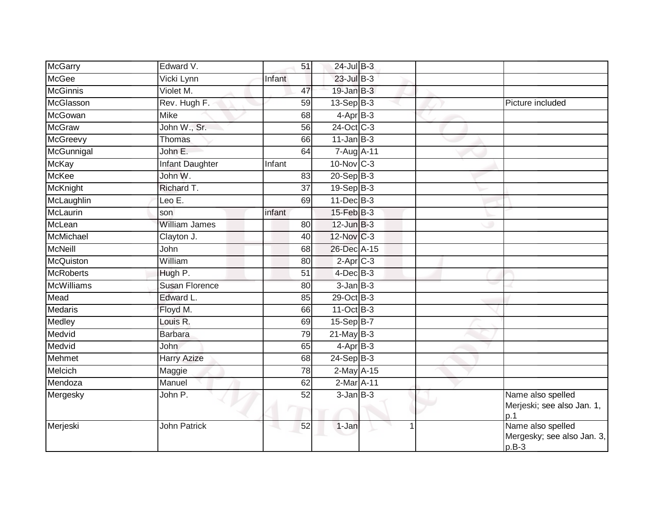| McGarry           | Edward V.              | 51     | $24$ -Jul B-3               |   |                                                            |
|-------------------|------------------------|--------|-----------------------------|---|------------------------------------------------------------|
| <b>McGee</b>      | Vicki Lynn             | Infant | $23$ -Jul B-3               |   |                                                            |
| <b>McGinnis</b>   | Violet M.              | 47     | $19 - Jan$ $B-3$            |   |                                                            |
| McGlasson         | Rev. Hugh F.           | 59     | $13-Sep$ B-3                |   | Picture included                                           |
| McGowan           | <b>Mike</b>            | 68     | $4-AprB-3$                  |   |                                                            |
| <b>McGraw</b>     | John W., Sr.           | 56     | 24-Oct C-3                  |   |                                                            |
| McGreevy          | <b>Thomas</b>          | 66     | $11$ -Jan $B-3$             |   |                                                            |
| McGunnigal        | John E.                | 64     | 7-Aug A-11                  |   |                                                            |
| <b>McKay</b>      | <b>Infant Daughter</b> | Infant | 10-Nov C-3                  |   |                                                            |
| <b>McKee</b>      | John W.                | 83     | 20-Sep B-3                  |   |                                                            |
| McKnight          | Richard T.             | 37     | $19-Sep$ B-3                |   |                                                            |
| McLaughlin        | Leo E.                 | 69     | $11$ -Dec $B-3$             |   |                                                            |
| McLaurin          | son                    | infant | $15$ -Feb $B-3$             |   |                                                            |
| McLean            | <b>William James</b>   | 80     | $12$ -Jun $B-3$             |   |                                                            |
| McMichael         | Clayton J.             | 40     | 12-Nov C-3                  |   |                                                            |
| <b>McNeill</b>    | John                   | 68     | 26-Dec A-15                 |   |                                                            |
| McQuiston         | William                | 80     | $2-Apr$ C-3                 |   |                                                            |
| <b>McRoberts</b>  | Hugh P.                | 51     | $4$ -Dec $B$ -3             |   |                                                            |
| <b>McWilliams</b> | <b>Susan Florence</b>  | 80     | $3$ -Jan $B-3$              |   |                                                            |
| Mead              | Edward L.              | 85     | 29-Oct B-3                  |   |                                                            |
| <b>Medaris</b>    | Floyd M.               | 66     | 11-Oct B-3                  |   |                                                            |
| Medley            | Louis R.               | 69     | 15-Sep B-7                  |   |                                                            |
| Medvid            | <b>Barbara</b>         | 79     | $21$ -May B-3               |   |                                                            |
| Medvid            | <b>John</b>            | 65     | $4-AprB-3$                  |   |                                                            |
| Mehmet            | <b>Harry Azize</b>     | 68     | $24-Sep$ B-3                |   |                                                            |
| Melcich           | Maggie                 | 78     | $2$ -May $A-15$             |   |                                                            |
| Mendoza           | Manuel                 | 62     | $2$ -Mar $\overline{A}$ -11 |   |                                                            |
| Mergesky          | John P.                | 52     | $3$ -Jan $B-3$              |   | Name also spelled<br>Merjeski; see also Jan. 1,<br>p.1     |
| Merjeski          | <b>John Patrick</b>    | 52     | $1-Jan$                     | 1 | Name also spelled<br>Mergesky; see also Jan. 3,<br>$p.B-3$ |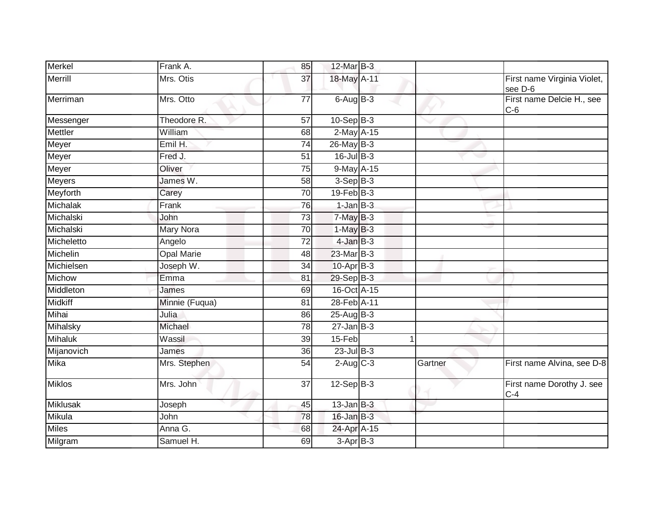| Merkel          | Frank A.          | 85              | 12-Mar B-3      |         |                                        |
|-----------------|-------------------|-----------------|-----------------|---------|----------------------------------------|
| Merrill         | Mrs. Otis         | 37              | 18-May A-11     |         | First name Virginia Violet,<br>see D-6 |
| Merriman        | Mrs. Otto         | $\overline{77}$ | $6$ -Aug $B$ -3 |         | First name Delcie H., see<br>$C-6$     |
| Messenger       | Theodore R.       | $\overline{57}$ | $10-Sep$ B-3    |         |                                        |
| Mettler         | William           | 68              | 2-May A-15      |         |                                        |
| Meyer           | Emil H.           | $\overline{74}$ | 26-May B-3      |         |                                        |
| Meyer           | Fred J.           | 51              | $16$ -Jul B-3   |         |                                        |
| Meyer           | Oliver            | $\overline{75}$ | 9-May A-15      |         |                                        |
| <b>Meyers</b>   | James W.          | 58              | $3-Sep B-3$     |         |                                        |
| Meyforth        | Carey             | $\overline{70}$ | $19$ -Feb $B-3$ |         |                                        |
| Michalak        | Frank             | 76              | $1$ -Jan $B-3$  |         |                                        |
| Michalski       | John              | 73              | $7$ -May $B-3$  |         |                                        |
| Michalski       | Mary Nora         | $\overline{70}$ | $1-MayB-3$      |         |                                        |
| Micheletto      | Angelo            | 72              | $4$ -Jan $B-3$  |         |                                        |
| Michelin        | <b>Opal Marie</b> | 48              | $23$ -Mar $B-3$ |         |                                        |
| Michielsen      | Joseph W.         | 34              | $10$ -Apr $B-3$ |         |                                        |
| Michow          | Emma              | 81              | 29-Sep B-3      |         |                                        |
| Middleton       | James             | 69              | 16-Oct A-15     |         |                                        |
| <b>Midkiff</b>  | Minnie (Fuqua)    | 81              | 28-Feb A-11     |         |                                        |
| Mihai           | Julia             | 86              | $25-AugB-3$     |         |                                        |
| Mihalsky        | Michael           | 78              | $27$ -Jan B-3   |         |                                        |
| <b>Mihaluk</b>  | Wassil            | 39              | 15-Feb          |         |                                        |
| Mijanovich      | James             | 36              | $23$ -Jul B-3   |         |                                        |
| <b>Mika</b>     | Mrs. Stephen      | 54              | $2$ -Aug $C-3$  | Gartner | First name Alvina, see D-8             |
| <b>Miklos</b>   | Mrs. John         | 37              | $12-Sep B-3$    |         | First name Dorothy J. see<br>$C-4$     |
| <b>Miklusak</b> | Joseph            | 45              | $13$ -Jan B-3   |         |                                        |
| Mikula          | John              | 78              | $16$ -Jan $B-3$ |         |                                        |
| <b>Miles</b>    | Anna G.           | 68              | 24-Apr A-15     |         |                                        |
| Milgram         | Samuel H.         | 69              | $3-AprB-3$      |         |                                        |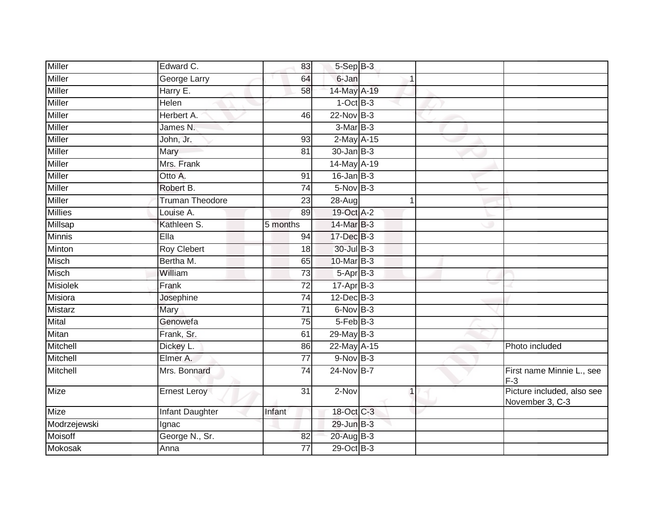| Miller<br>Edward C.              | 83              | $5-$ Sep $B-3$   |             |                                               |
|----------------------------------|-----------------|------------------|-------------|-----------------------------------------------|
| Miller<br>George Larry           | 64              | 6-Jan            |             |                                               |
| <b>Miller</b><br>Harry E.        | 58              | 14-May A-19      |             |                                               |
| Miller<br>Helen                  |                 | $1-Oct$ B-3      |             |                                               |
| Miller<br>Herbert A.             | 46              | 22-Nov B-3       |             |                                               |
| <b>Miller</b><br>James N.        |                 | 3-Mar B-3        |             |                                               |
| Miller<br>John, Jr.              | 93              | 2-May A-15       |             |                                               |
| Miller<br>Mary                   | 81              | $30 - Jan$ $B-3$ |             |                                               |
| Miller<br>Mrs. Frank             |                 | 14-May A-19      |             |                                               |
| <b>Miller</b><br>Otto A.         | 91              | $16$ -Jan B-3    |             |                                               |
| Miller<br>Robert B.              | $\overline{74}$ | $5-Nov$ B-3      |             |                                               |
| Miller<br><b>Truman Theodore</b> | 23              | $28-Aug$         | 1           |                                               |
| <b>Millies</b><br>Louise A.      | 89              | 19-Oct A-2       |             |                                               |
| Millsap<br>Kathleen S.           | 5 months        | 14-Mar B-3       |             |                                               |
| <b>Minnis</b><br>Ella            | 94              | 17-Dec B-3       |             |                                               |
| <b>Roy Clebert</b><br>Minton     | 18              | 30-Jul B-3       |             |                                               |
| <b>Misch</b><br>Bertha M.        | 65              | 10-Mar B-3       |             |                                               |
| Misch<br>William                 | $\overline{73}$ | $5-Apr$ B-3      |             |                                               |
| <b>Misiolek</b><br>Frank         | 72              | $17-Apr$ B-3     |             |                                               |
| Misiora<br>Josephine             | $\overline{74}$ | $12$ -Dec $B-3$  |             |                                               |
| Mistarz<br>Mary                  | 71              | 6-Nov B-3        |             |                                               |
| Mital<br>Genowefa                | 75              | $5-FebB-3$       |             |                                               |
| Mitan<br>Frank, Sr.              | 61              | 29-May B-3       |             |                                               |
| Mitchell<br>Dickey L.            | 86              | 22-May A-15      |             | Photo included                                |
| Mitchell<br>Elmer A.             | 77              | $9-Nov$ B-3      |             |                                               |
| Mitchell<br>Mrs. Bonnard         | 74              | 24-Nov B-7       |             | First name Minnie L., see<br>$F-3$            |
| <b>Mize</b><br>Ernest Leroy      | $\overline{31}$ | 2-Nov            | $\mathbf 1$ | Picture included, also see<br>November 3, C-3 |
| Mize<br><b>Infant Daughter</b>   | Infant          | 18-Oct C-3       |             |                                               |
| Modrzejewski<br>Ignac            |                 | $29$ -Jun $B-3$  |             |                                               |
| Moisoff<br>George N., Sr.        | 82              | 20-Aug B-3       |             |                                               |
| Mokosak<br>Anna                  | 77              | $29$ -Oct B-3    |             |                                               |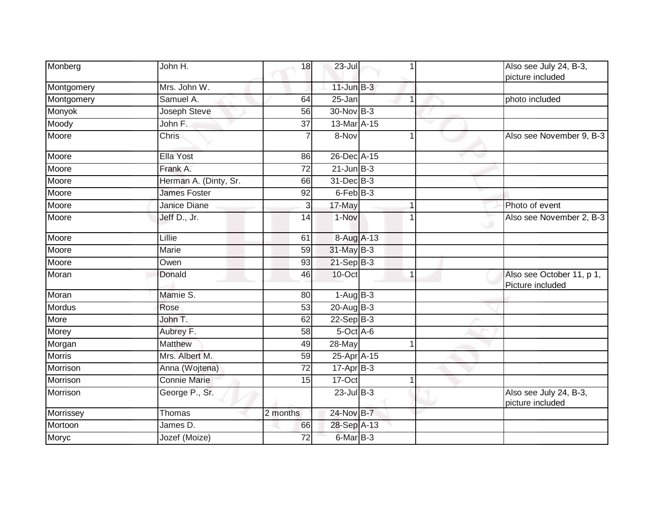| Monberg       | John H.               | 18              | $23 -$ Jul           |                      | Also see July 24, B-3,<br>picture included    |
|---------------|-----------------------|-----------------|----------------------|----------------------|-----------------------------------------------|
| Montgomery    | Mrs. John W.          |                 | $11$ -Jun $B-3$      |                      |                                               |
| Montgomery    | Samuel A.             | 64              | $25 - Jan$           | $\overline{1}$       | photo included                                |
| Monyok        | Joseph Steve          | 56              | 30-Nov B-3           |                      |                                               |
| Moody         | John F.               | $\overline{37}$ | 13-Mar A-15          |                      |                                               |
| Moore         | <b>Chris</b>          |                 | 8-Nov                | $\blacktriangleleft$ | Also see November 9, B-3                      |
| Moore         | Ella Yost             | 86              | 26-Dec A-15          |                      |                                               |
| Moore         | Frank A.              | $\overline{72}$ | $21$ -Jun $B-3$      |                      |                                               |
| Moore         | Herman A. (Dinty, Sr. | 66              | 31-Dec B-3           |                      |                                               |
| Moore         | <b>James Foster</b>   | 92              | 6-Feb <sup>B-3</sup> |                      |                                               |
| Moore         | Janice Diane          | 3               | 17-May               |                      | Photo of event                                |
| Moore         | Jeff D., Jr.          | 14              | 1-Nov                | 1                    | Also see November 2, B-3                      |
| Moore         | Lillie                | 61              | 8-Aug A-13           |                      |                                               |
| Moore         | Marie                 | 59              | 31-May B-3           |                      |                                               |
| Moore         | Owen                  | 93              | $21-Sep$ B-3         |                      |                                               |
| Moran         | Donald                | 46              | $10$ -Oct            | 1                    | Also see October 11, p 1,<br>Picture included |
| Moran         | Mamie S.              | 80              | $1-AugB-3$           |                      |                                               |
| <b>Mordus</b> | Rose                  | 53              | $20$ -Aug B-3        |                      |                                               |
| More          | John T.               | 62              | $22-Sep$ B-3         |                      |                                               |
| Morey         | Aubrey F.             | 58              | 5-Oct A-6            |                      |                                               |
| Morgan        | Matthew               | 49              | 28-May               |                      |                                               |
| <b>Morris</b> | Mrs. Albert M.        | 59              | 25-Apr A-15          |                      |                                               |
| Morrison      | Anna (Wojtena)        | $\overline{72}$ | $17 - Apr$ B-3       |                      |                                               |
| Morrison      | <b>Connie Marie</b>   | 15              | 17-Oct               |                      |                                               |
| Morrison      | George P., Sr.        |                 | $23$ -Jul $B-3$      |                      | Also see July 24, B-3,<br>picture included    |
| Morrissey     | Thomas                | 2 months        | 24-Nov B-7           |                      |                                               |
| Mortoon       | James D.              | 66              | 28-Sep A-13          |                      |                                               |
| Moryc         | Jozef (Moize)         | 72              | 6-Mar B-3            |                      |                                               |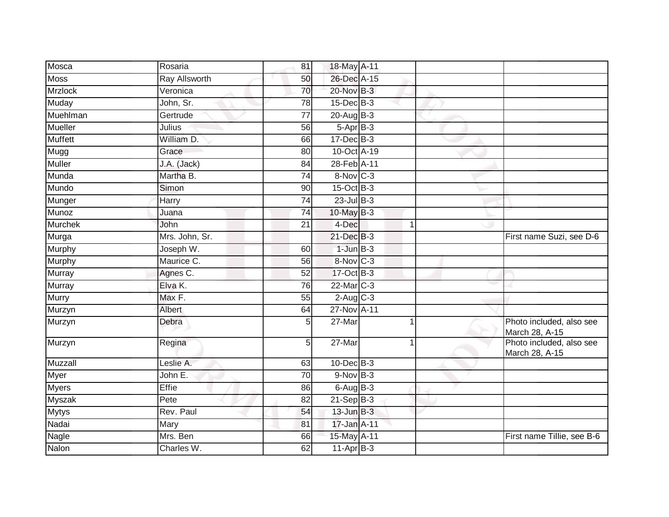| Mosca          | Rosaria              | 81              | 18-May A-11            |   |                                            |
|----------------|----------------------|-----------------|------------------------|---|--------------------------------------------|
| <b>Moss</b>    | <b>Ray Allsworth</b> | 50              | 26-Dec A-15            |   |                                            |
| <b>Mrzlock</b> | Veronica             | $\overline{70}$ | $20$ -Nov $B-3$        |   |                                            |
| Muday          | John, Sr.            | 78              | $15$ -Dec $B$ -3       |   |                                            |
| Muehlman       | Gertrude             | $\overline{77}$ | $20$ -Aug $B-3$        |   |                                            |
| <b>Mueller</b> | Julius               | 56              | $5-AprB-3$             |   |                                            |
| <b>Muffett</b> | William D.           | 66              | $17 - Dec$ B-3         |   |                                            |
| Mugg           | Grace                | 80              | 10-Oct A-19            |   |                                            |
| <b>Muller</b>  | J.A. (Jack)          | 84              | 28-Feb <sup>A-11</sup> |   |                                            |
| Munda          | Martha B.            | 74              | 8-Nov C-3              |   |                                            |
| Mundo          | Simon                | 90              | 15-Oct B-3             |   |                                            |
| Munger         | Harry                | 74              | $23$ -Jul B-3          |   |                                            |
| Munoz          | Juana                | 74              | 10-May B-3             |   |                                            |
| <b>Murchek</b> | John                 | 21              | 4-Dec                  | 1 |                                            |
| Murga          | Mrs. John, Sr.       |                 | 21-Dec B-3             |   | First name Suzi, see D-6                   |
| Murphy         | Joseph W.            | 60              | $1$ -Jun $B-3$         |   |                                            |
| Murphy         | Maurice C.           | 56              | 8-Nov C-3              |   |                                            |
| Murray         | Agnes C.             | 52              | 17-Oct B-3             |   |                                            |
| Murray         | Elva K.              | 76              | 22-Mar C-3             |   |                                            |
| <b>Murry</b>   | Max F.               | $\overline{55}$ | $2-Aug$ $C-3$          |   |                                            |
| Murzyn         | Albert               | 64              | 27-Nov A-11            |   |                                            |
| Murzyn         | Debra                | 5               | 27-Mar                 | 1 | Photo included, also see<br>March 28, A-15 |
| Murzyn         | Regina               | 5               | 27-Mar                 |   | Photo included, also see<br>March 28, A-15 |
| Muzzall        | Leslie A.            | 63              | $10$ -Dec $B-3$        |   |                                            |
| Myer           | John E.              | 70              | $9-Nov$ B-3            |   |                                            |
| <b>Myers</b>   | Effie                | 86              | $6$ -Aug $B$ -3        |   |                                            |
| Myszak         | Pete                 | 82              | $21-Sep$ B-3           |   |                                            |
| <b>Mytys</b>   | Rev. Paul            | 54              | $13$ -Jun $B-3$        |   |                                            |
| Nadai          | Mary                 | 81              | 17-Jan A-11            |   |                                            |
| Nagle          | Mrs. Ben             | 66              | 15-May A-11            |   | First name Tillie, see B-6                 |
| Nalon          | Charles W.           | 62              | $11-Apr$ B-3           |   |                                            |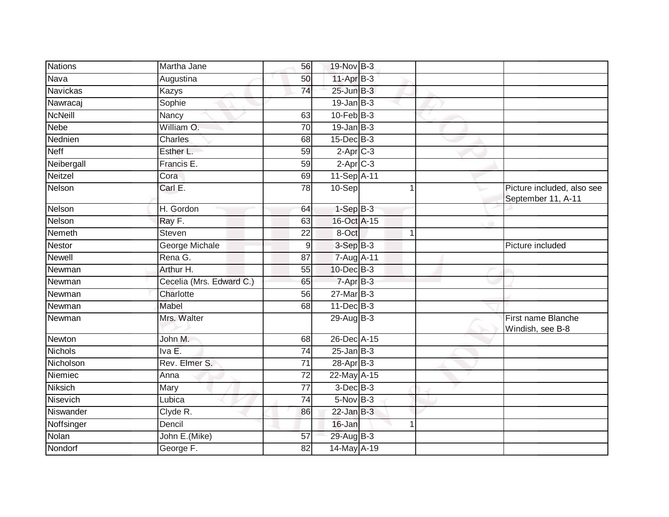| <b>Nations</b>  | Martha Jane              | 56               | 19-Nov B-3       |   |                                                  |
|-----------------|--------------------------|------------------|------------------|---|--------------------------------------------------|
| Nava            | Augustina                | 50               | $11-AprB-3$      |   |                                                  |
| <b>Navickas</b> | Kazys                    | 74               | $25 - Jun$ B-3   |   |                                                  |
| Nawracaj        | Sophie                   |                  | $19$ -Jan B-3    |   |                                                  |
| <b>NcNeill</b>  | Nancy                    | 63               | $10$ -Feb $B-3$  |   |                                                  |
| <b>Nebe</b>     | William O.               | $\overline{70}$  | $19$ -Jan B-3    |   |                                                  |
| Nednien         | <b>Charles</b>           | 68               | $15$ -Dec $B$ -3 |   |                                                  |
| <b>Neff</b>     | Esther L.                | 59               | $2-Apr$ C-3      |   |                                                  |
| Neibergall      | Francis E.               | 59               | $2$ -Apr $C-3$   |   |                                                  |
| Neitzel         | Cora                     | 69               | 11-Sep A-11      |   |                                                  |
| Nelson          | Carl E.                  | $\overline{78}$  | $10-Sep$         |   | Picture included, also see<br>September 11, A-11 |
| Nelson          | H. Gordon                | 64               | $1-Sep$ B-3      |   |                                                  |
| Nelson          | Ray F.                   | 63               | 16-Oct A-15      |   |                                                  |
| Nemeth          | Steven                   | 22               | 8-Oct            | 1 |                                                  |
| <b>Nestor</b>   | George Michale           | $\boldsymbol{9}$ | $3-SepB-3$       |   | Picture included                                 |
| <b>Newell</b>   | Rena G.                  | 87               | 7-Aug A-11       |   |                                                  |
| Newman          | Arthur H.                | 55               | $10$ -Dec $B-3$  |   |                                                  |
| Newman          | Cecelia (Mrs. Edward C.) | 65               | 7-Apr B-3        |   |                                                  |
| Newman          | Charlotte                | 56               | $27$ -Mar $B-3$  |   |                                                  |
| Newman          | <b>Mabel</b>             | 68               | $11 - Dec$ B-3   |   |                                                  |
| Newman          | Mrs. Walter              |                  | $29$ -Aug $B-3$  |   | First name Blanche<br>Windish, see B-8           |
| Newton          | John M.                  | 68               | 26-Dec A-15      |   |                                                  |
| Nichols         | Iva E.                   | 74               | $25$ -Jan $B-3$  |   |                                                  |
| Nicholson       | Rev. Elmer S.            | 71               | $28-Apr$ B-3     |   |                                                  |
| Niemiec         | Anna                     | 72               | 22-May A-15      |   |                                                  |
| Niksich         | Mary                     | 77               | $3$ -Dec $B-3$   |   |                                                  |
| Nisevich        | Lubica                   | $\overline{74}$  | $5-Nov$ B-3      |   |                                                  |
| Niswander       | Clyde R.                 | 86               | $22$ -Jan B-3    |   |                                                  |
| Noffsinger      | Dencil                   |                  | 16-Jan           | 1 |                                                  |
| Nolan           | John E.(Mike)            | 57               | 29-Aug B-3       |   |                                                  |
| Nondorf         | George F.                | 82               | 14-May A-19      |   |                                                  |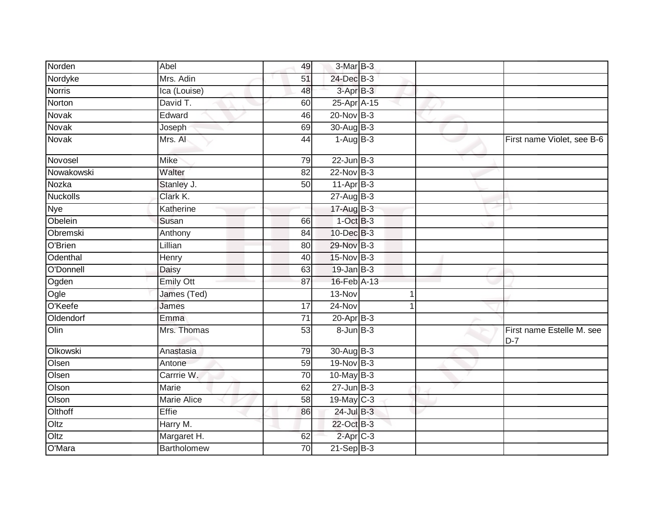| Norden          | Abel             | 49              | 3-Mar B-3            |  |                                    |
|-----------------|------------------|-----------------|----------------------|--|------------------------------------|
| Nordyke         | Mrs. Adin        | 51              | 24-Dec B-3           |  |                                    |
| <b>Norris</b>   | Ica (Louise)     | 48              | $3$ -Apr $B-3$       |  |                                    |
| Norton          | David T.         | 60              | 25-Apr A-15          |  |                                    |
| Novak           | Edward           | 46              | $20$ -Nov $B-3$      |  |                                    |
| Novak           | Joseph           | 69              | 30-Aug B-3           |  |                                    |
| Novak           | Mrs. Al          | 44              | $1-AugB-3$           |  | First name Violet, see B-6         |
| Novosel         | <b>Mike</b>      | 79              | $22$ -Jun $B-3$      |  |                                    |
| Nowakowski      | Walter           | 82              | $22$ -Nov $B-3$      |  |                                    |
| Nozka           | Stanley J.       | 50              | $11-AprB-3$          |  |                                    |
| <b>Nuckolls</b> | Clark K.         |                 | $27$ -Aug $B-3$      |  |                                    |
| <b>Nye</b>      | Katherine        |                 | 17-Aug B-3           |  |                                    |
| Obelein         | Susan            | 66              | $1-OctB-3$           |  |                                    |
| Obremski        | Anthony          | 84              | 10-Dec B-3           |  |                                    |
| O'Brien         | Lillian          | 80              | 29-Nov B-3           |  |                                    |
| Odenthal        | Henry            | 40              | 15-Nov B-3           |  |                                    |
| O'Donnell       | Daisy            | 63              | $19$ -Jan B-3        |  |                                    |
| Ogden           | <b>Emily Ott</b> | 87              | 16-Feb A-13          |  |                                    |
| Ogle            | James (Ted)      |                 | 13-Nov               |  |                                    |
| O'Keefe         | James            | $\overline{17}$ | $24-Nov$             |  |                                    |
| Oldendorf       | Emma             | $\overline{71}$ | $20 - Apr$ B-3       |  |                                    |
| Olin            | Mrs. Thomas      | $\overline{53}$ | 8-Jun B-3            |  | First name Estelle M. see<br>$D-7$ |
| Olkowski        | Anastasia        | 79              | 30-Aug B-3           |  |                                    |
| Olsen           | Antone           | 59              | 19-Nov B-3           |  |                                    |
| Olsen           | Carrrie W.       | 70              | $10$ -May B-3        |  |                                    |
| Olson           | Marie            | 62              | $27 - Jun$ $B-3$     |  |                                    |
| Olson           | Marie Alice      | 58              | 19-May C-3           |  |                                    |
| Olthoff         | Effie            | 86              | 24-Jul B-3           |  |                                    |
| Oltz            | Harry M.         |                 | 22-Oct B-3           |  |                                    |
| Oltz            | Margaret H.      | 62              | 2-Apr <sub>C-3</sub> |  |                                    |
| O'Mara          | Bartholomew      | 70              | $21-Sep$ B-3         |  |                                    |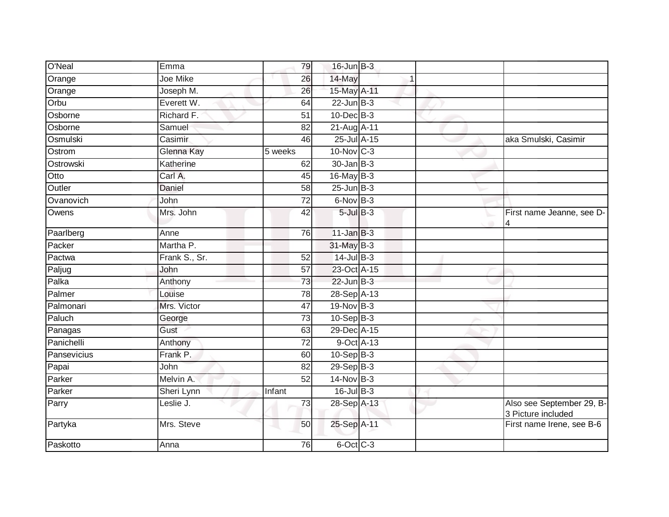| O'Neal      | Emma          | 79              | $16$ -Jun $B-3$  |  |                                                 |
|-------------|---------------|-----------------|------------------|--|-------------------------------------------------|
| Orange      | Joe Mike      | 26              | 14-May           |  |                                                 |
| Orange      | Joseph M.     | $\overline{26}$ | 15-May A-11      |  |                                                 |
| Orbu        | Everett W.    | 64              | $22$ -Jun $B-3$  |  |                                                 |
| Osborne     | Richard F.    | 51              | $10$ -Dec $B-3$  |  |                                                 |
| Osborne     | Samuel        | 82              | 21-Aug A-11      |  |                                                 |
| Osmulski    | Casimir       | 46              | 25-Jul A-15      |  | aka Smulski, Casimir                            |
| Ostrom      | Glenna Kay    | 5 weeks         | 10-Nov C-3       |  |                                                 |
| Ostrowski   | Katherine     | 62              | $30 - Jan$ $B-3$ |  |                                                 |
| Otto        | Carl A.       | 45              | $16$ -May B-3    |  |                                                 |
| Outler      | Daniel        | 58              | $25$ -Jun $B-3$  |  |                                                 |
| Ovanovich   | John          | $\overline{72}$ | $6-NovB-3$       |  |                                                 |
| Owens       | Mrs. John     | 42              | $5$ -Jul $B-3$   |  | First name Jeanne, see D-                       |
| Paarlberg   | Anne          | 76              | $11$ -Jan $B-3$  |  |                                                 |
| Packer      | Martha P.     |                 | 31-May B-3       |  |                                                 |
| Pactwa      | Frank S., Sr. | 52              | $14$ -Jul B-3    |  |                                                 |
| Paljug      | John          | 57              | 23-Oct A-15      |  |                                                 |
| Palka       | Anthony       | 73              | $22$ -Jun $B-3$  |  |                                                 |
| Palmer      | Louise        | $\overline{78}$ | 28-Sep A-13      |  |                                                 |
| Palmonari   | Mrs. Victor   | 47              | $19-Nov$ B-3     |  |                                                 |
| Paluch      | George        | 73              | $10-Sep$ B-3     |  |                                                 |
| Panagas     | Gust          | 63              | 29-Dec A-15      |  |                                                 |
| Panichelli  | Anthony       | 72              | 9-Oct A-13       |  |                                                 |
| Pansevicius | Frank P.      | 60              | $10-Sep$ B-3     |  |                                                 |
| Papai       | John          | $\overline{82}$ | $29-Sep$ $B-3$   |  |                                                 |
| Parker      | Melvin A.     | 52              | $14$ -Nov B-3    |  |                                                 |
| Parker      | Sheri Lynn    | Infant          | $16$ -Jul B-3    |  |                                                 |
| Parry       | Leslie J.     | $\overline{73}$ | 28-Sep A-13      |  | Also see September 29, B-<br>3 Picture included |
| Partyka     | Mrs. Steve    | 50              | 25-Sep A-11      |  | First name Irene, see B-6                       |
| Paskotto    | Anna          | 76              | $6$ -Oct $C$ -3  |  |                                                 |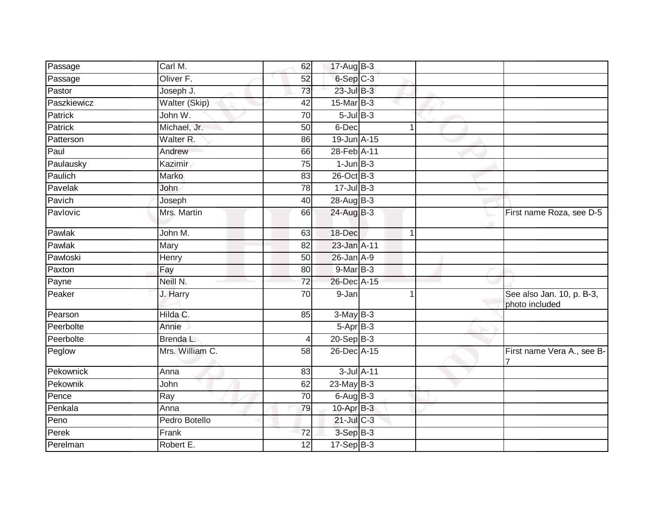| Passage     | Carl M.              | 62              | 17-Aug B-3        |                |                                             |
|-------------|----------------------|-----------------|-------------------|----------------|---------------------------------------------|
| Passage     | Oliver <sub>F.</sub> | 52              | $6-Sep$ $C-3$     |                |                                             |
| Pastor      | Joseph J.            | 73              | $23$ -Jul B-3     |                |                                             |
| Paszkiewicz | Walter (Skip)        | 42              | 15-Mar B-3        |                |                                             |
| Patrick     | John W.              | $\overline{70}$ | $5$ -Jul $B-3$    |                |                                             |
| Patrick     | Michael, Jr.         | 50              | 6-Dec             | $\overline{1}$ |                                             |
| Patterson   | Walter R.            | 86              | 19-Jun A-15       |                |                                             |
| Paul        | Andrew               | 66              | 28-Feb A-11       |                |                                             |
| Paulausky   | Kazimir              | $\overline{75}$ | $1$ -Jun $B-3$    |                |                                             |
| Paulich     | Marko                | 83              | 26-Oct B-3        |                |                                             |
| Pavelak     | John                 | 78              | $17 -$ Jul B-3    |                |                                             |
| Pavich      | Joseph               | 40              | $28$ -Aug $B-3$   |                |                                             |
| Pavlovic    | Mrs. Martin          | 66              | 24-Aug B-3        |                | First name Roza, see D-5                    |
| Pawlak      | John M.              | 63              | 18-Dec            | 1              |                                             |
| Pawlak      | Mary                 | 82              | 23-Jan A-11       |                |                                             |
| Pawloski    | Henry                | 50              | 26-Jan A-9        |                |                                             |
| Paxton      | Fay                  | 80              | 9-Mar B-3         |                |                                             |
| Payne       | Neill N.             | 72              | 26-Dec A-15       |                |                                             |
| Peaker      | J. Harry             | 70              | 9-Jan             |                | See also Jan. 10, p. B-3,<br>photo included |
| Pearson     | Hilda C.             | 85              | $3-MayB-3$        |                |                                             |
| Peerbolte   | Annie                |                 | $5 -$ Apr $B - 3$ |                |                                             |
| Peerbolte   | Brenda L.            | 4               | $20-Sep$ B-3      |                |                                             |
| Peglow      | Mrs. William C.      | 58              | 26-Dec A-15       |                | First name Vera A., see B-                  |
| Pekownick   | Anna                 | 83              | 3-Jul A-11        |                |                                             |
| Pekownik    | John                 | 62              | $23$ -May $B-3$   |                |                                             |
| Pence       | Ray                  | 70              | $6$ -Aug $B$ -3   |                |                                             |
| Penkala     | Anna                 | 79              | 10-Apr B-3        |                |                                             |
| Peno        | Pedro Botello        |                 | 21-Jul C-3        |                |                                             |
| Perek       | Frank                | $\overline{72}$ | $3-Sep$ B-3       |                |                                             |
| Perelman    | Robert E.            | $\overline{12}$ | $17-Sep$ B-3      |                |                                             |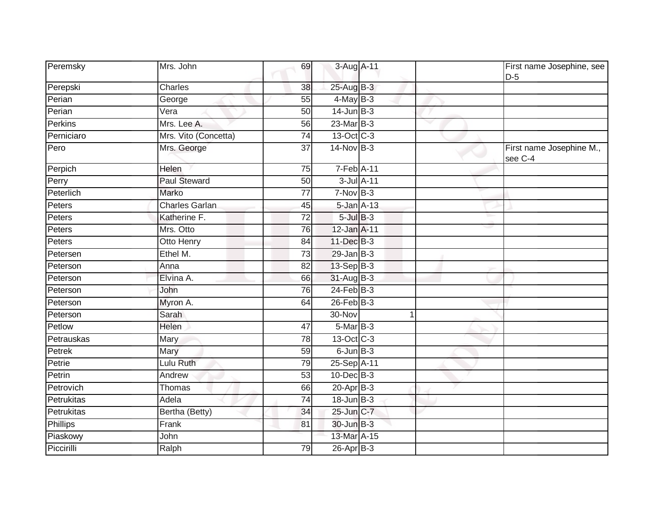| Peremsky   | Mrs. John             | 69              | 3-Aug A-11       |   | First name Josephine, see<br>$D-5$  |
|------------|-----------------------|-----------------|------------------|---|-------------------------------------|
| Perepski   | <b>Charles</b>        | 38              | 25-Aug B-3       |   |                                     |
| Perian     | George                | $\overline{55}$ | $4$ -May B-3     |   |                                     |
| Perian     | Vera                  | 50              | $14$ -Jun $B-3$  |   |                                     |
| Perkins    | Mrs. Lee A.           | 56              | 23-Mar B-3       |   |                                     |
| Perniciaro | Mrs. Vito (Concetta)  | 74              | 13-Oct C-3       |   |                                     |
| Pero       | Mrs. George           | $\overline{37}$ | $14$ -Nov B-3    |   | First name Josephine M.,<br>see C-4 |
| Perpich    | Helen                 | $\overline{75}$ | $7-Feb$ A-11     |   |                                     |
| Perry      | <b>Paul Steward</b>   | 50              | 3-Jul A-11       |   |                                     |
| Peterlich  | <b>Marko</b>          | $\overline{77}$ | $7-NovB-3$       |   |                                     |
| Peters     | <b>Charles Garlan</b> | 45              | $5$ -Jan $A-13$  |   |                                     |
| Peters     | Katherine F.          | 72              | $5$ -Jul $B-3$   |   |                                     |
| Peters     | Mrs. Otto             | 76              | 12-Jan A-11      |   |                                     |
| Peters     | Otto Henry            | 84              | 11-Dec B-3       |   |                                     |
| Petersen   | Ethel M.              | $\overline{73}$ | $29$ -Jan B-3    |   |                                     |
| Peterson   | Anna                  | 82              | 13-Sep B-3       |   |                                     |
| Peterson   | Elvina A.             | 66              | 31-Aug B-3       |   |                                     |
| Peterson   | John                  | 76              | $24$ -Feb $B-3$  |   |                                     |
| Peterson   | Myron A.              | 64              | $26$ -Feb $B-3$  |   |                                     |
| Peterson   | Sarah                 |                 | 30-Nov           | 1 |                                     |
| Petlow     | Helen                 | 47              | 5-Mar B-3        |   |                                     |
| Petrauskas | Mary                  | 78              | 13-Oct C-3       |   |                                     |
| Petrek     | Mary                  | 59              | $6$ -Jun $B$ -3  |   |                                     |
| Petrie     | Lulu Ruth             | 79              | 25-Sep A-11      |   |                                     |
| Petrin     | Andrew                | $\overline{53}$ | $10$ -Dec $B-3$  |   |                                     |
| Petrovich  | Thomas                | 66              | 20-Apr B-3       |   |                                     |
| Petrukitas | Adela                 | $\overline{74}$ | $18$ -Jun $B-3$  |   |                                     |
| Petrukitas | Bertha (Betty)        | 34              | 25-Jun C-7       |   |                                     |
| Phillips   | Frank                 | 81              | 30-Jun B-3       |   |                                     |
| Piaskowy   | John                  |                 | 13-Mar A-15      |   |                                     |
| Piccirilli | Ralph                 | 79              | $26$ -Apr $B$ -3 |   |                                     |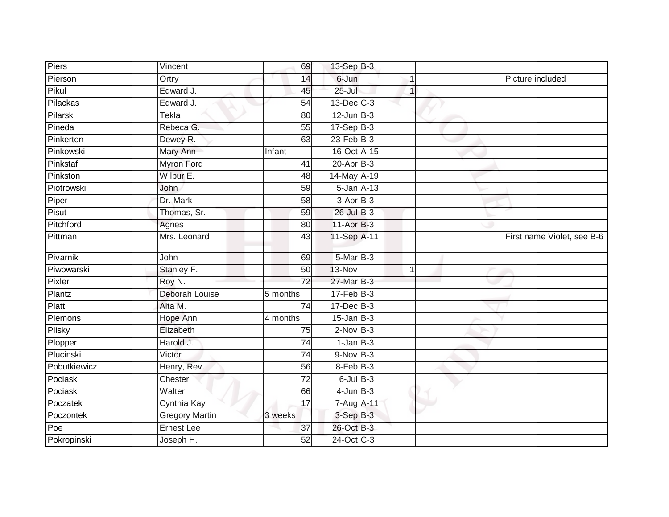| Piers        | Vincent               | 69              | $13-Sep$ B-3    |                |                            |
|--------------|-----------------------|-----------------|-----------------|----------------|----------------------------|
| Pierson      | Ortry                 | 14              | 6-Jun           | 1              | Picture included           |
| Pikul        | Edward J.             | 45              | $25 -$ Jul      | $\mathbf{1}$   |                            |
| Pilackas     | Edward J.             | 54              | $13$ -Dec $C-3$ |                |                            |
| Pilarski     | Tekla                 | 80              | $12$ -Jun $B-3$ |                |                            |
| Pineda       | Rebeca G.             | 55              | $17-SepB-3$     |                |                            |
| Pinkerton    | Dewey R.              | 63              | $23$ -Feb $B-3$ |                |                            |
| Pinkowski    | Mary Ann              | Infant          | 16-Oct A-15     |                |                            |
| Pinkstaf     | <b>Myron Ford</b>     | 41              | $20 - Apr$ B-3  |                |                            |
| Pinkston     | Wilbur E.             | 48              | 14-May A-19     |                |                            |
| Piotrowski   | John                  | 59              | 5-Jan A-13      |                |                            |
| Piper        | Dr. Mark              | 58              | $3-AprB-3$      |                |                            |
| Pisut        | Thomas, Sr.           | 59              | $26$ -Jul B-3   |                |                            |
| Pitchford    | Agnes                 | 80              | 11-Apr B-3      |                |                            |
| Pittman      | Mrs. Leonard          | 43              | 11-Sep A-11     |                | First name Violet, see B-6 |
| Pivarnik     | John                  | 69              | $5-MarB-3$      |                |                            |
| Piwowarski   | Stanley F.            | 50              | 13-Nov          | $\overline{1}$ |                            |
| Pixler       | Roy N.                | 72              | 27-Mar B-3      |                |                            |
| Plantz       | Deborah Louise        | 5 months        | $17$ -Feb $B-3$ |                |                            |
| Platt        | Alta M.               | 74              | 17-Dec B-3      |                |                            |
| Plemons      | Hope Ann              | 4 months        | $15$ -Jan B-3   |                |                            |
| Plisky       | Elizabeth             | 75              | $2-Nov$ B-3     |                |                            |
| Plopper      | Harold J.             | $\overline{74}$ | $1$ -Jan $B-3$  |                |                            |
| Plucinski    | Victor                | 74              | $9-Nov$ B-3     |                |                            |
| Pobutkiewicz | Henry, Rev.           | 56              | 8-Feb B-3       |                |                            |
| Pociask      | Chester               | 72              | $6$ -Jul $B$ -3 |                |                            |
| Pociask      | Walter                | 66              | $4$ -Jun $B-3$  |                |                            |
| Poczatek     | Cynthia Kay           | 17              | 7-Aug A-11      |                |                            |
| Poczontek    | <b>Gregory Martin</b> | 3 weeks         | 3-Sep B-3       |                |                            |
| Poe          | <b>Ernest Lee</b>     | 37              | 26-Oct B-3      |                |                            |
| Pokropinski  | Joseph H.             | 52              | 24-Oct C-3      |                |                            |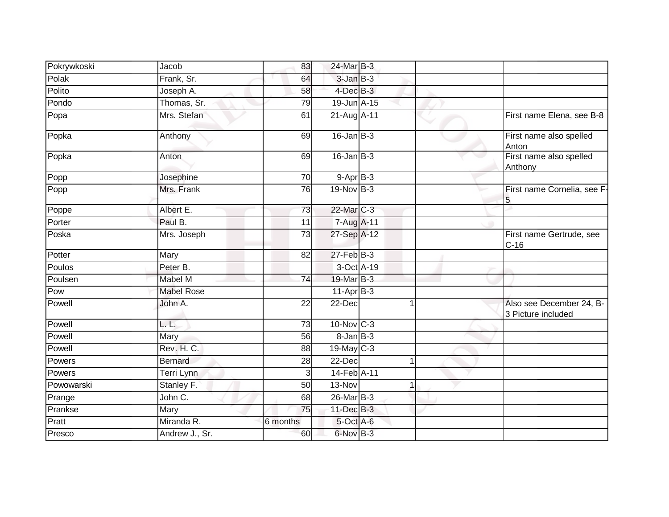| Pokrywkoski        | Jacob             | 83              | 24-Mar B-3      |   |                                                |
|--------------------|-------------------|-----------------|-----------------|---|------------------------------------------------|
| Polak              | Frank, Sr.        | 64              | $3$ -Jan $B-3$  |   |                                                |
| Polito             | Joseph A.         | 58              | $4$ -Dec $B-3$  |   |                                                |
| Pondo              | Thomas, Sr.       | 79              | 19-Jun A-15     |   |                                                |
| $\overline{P}$ opa | Mrs. Stefan       | 61              | 21-Aug A-11     |   | First name Elena, see B-8                      |
| Popka              | Anthony           | 69              | $16$ -Jan $B-3$ |   | First name also spelled<br>Anton               |
| Popka              | Anton             | 69              | $16$ -Jan $B-3$ |   | First name also spelled<br>Anthony             |
| Popp               | Josephine         | 70              | $9 - Apr$ $B-3$ |   |                                                |
| Popp               | Mrs. Frank        | 76              | $19-Nov$ B-3    |   | First name Cornelia, see F-<br>5               |
| Poppe              | Albert E.         | 73              | 22-Mar C-3      |   |                                                |
| Porter             | Paul B.           | 11              | 7-Aug A-11      |   |                                                |
| Poska              | Mrs. Joseph       | 73              | 27-Sep A-12     |   | First name Gertrude, see<br>$C-16$             |
| Potter             | Mary              | 82              | $27$ -Feb $B-3$ |   |                                                |
| Poulos             | Peter B.          |                 | 3-Oct A-19      |   |                                                |
| Poulsen            | Mabel M           | 74              | 19-Mar B-3      |   |                                                |
| Pow                | <b>Mabel Rose</b> |                 | 11-Apr B-3      |   |                                                |
| Powell             | John A.           | 22              | 22-Dec          |   | Also see December 24, B-<br>3 Picture included |
| Powell             | L. L.             | 73              | 10-Nov C-3      |   |                                                |
| Powell             | <b>Mary</b>       | $\overline{56}$ | $8 - JanB - 3$  |   |                                                |
| Powell             | Rev. H. C.        | 88              | 19-May C-3      |   |                                                |
| Powers             | <b>Bernard</b>    | 28              | 22-Dec          |   |                                                |
| Powers             | Terri Lynn        | 3               | 14-Feb A-11     |   |                                                |
| Powowarski         | Stanley F.        | 50              | 13-Nov          | 1 |                                                |
| Prange             | John C.           | 68              | 26-Mar B-3      |   |                                                |
| Prankse            | Mary              | 75              | 11-Dec B-3      |   |                                                |
| Pratt              | Miranda R.        | 6 months        | 5-Oct A-6       |   |                                                |
| Presco             | Andrew J., Sr.    | 60              | 6-Nov B-3       |   |                                                |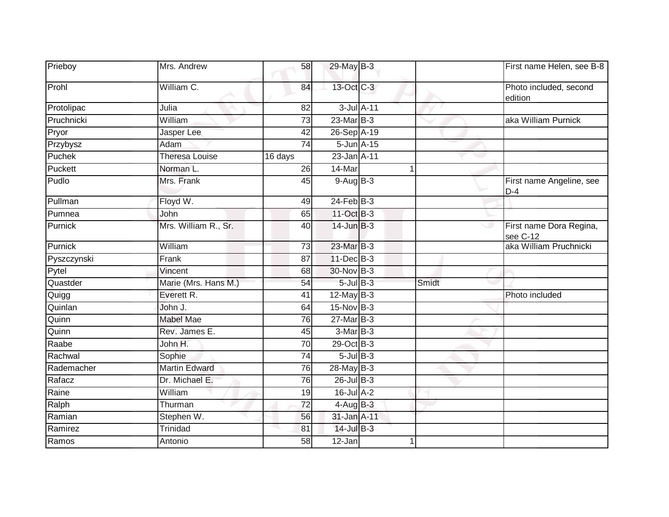| Prieboy     | Mrs. Andrew           | 58              | 29-May B-3      |       | First name Helen, see B-8           |
|-------------|-----------------------|-----------------|-----------------|-------|-------------------------------------|
| Prohl       | William C.            | 84              | 13-Oct C-3      |       | Photo included, second<br>edition   |
| Protolipac  | Julia                 | 82              | 3-Jul A-11      |       |                                     |
| Pruchnicki  | William               | 73              | $23$ -Mar $B-3$ |       | aka William Purnick                 |
| Pryor       | Jasper Lee            | 42              | 26-Sep A-19     |       |                                     |
| Przybysz    | Adam                  | $\overline{74}$ | 5-Jun A-15      |       |                                     |
| Puchek      | <b>Theresa Louise</b> | 16 days         | 23-Jan A-11     |       | w                                   |
| Puckett     | Norman L.             | 26              | 14-Mar          | 1     |                                     |
| Pudlo       | Mrs. Frank            | 45              | $9-AugB-3$      |       | First name Angeline, see<br>$D-4$   |
| Pullman     | Floyd W.              | 49              | $24$ -Feb $B-3$ |       |                                     |
| Pumnea      | John                  | 65              | $11-Oct$ B-3    |       |                                     |
| Purnick     | Mrs. William R., Sr.  | 40              | $14$ -Jun $B-3$ |       | First name Dora Regina,<br>see C-12 |
| Purnick     | William               | 73              | 23-Mar B-3      |       | aka William Pruchnicki              |
| Pyszczynski | Frank                 | 87              | 11-Dec B-3      |       |                                     |
| Pytel       | Vincent               | 68              | 30-Nov B-3      |       |                                     |
| Quastder    | Marie (Mrs. Hans M.)  | 54              | $5$ -Jul $B$ -3 | Smidt |                                     |
| Quigg       | Everett R.            | 41              | $12$ -May B-3   |       | Photo included                      |
| Quinlan     | John J.               | 64              | 15-Nov B-3      |       |                                     |
| Quinn       | <b>Mabel Mae</b>      | 76              | 27-Mar B-3      |       |                                     |
| Quinn       | Rev. James E.         | 45              | 3-Mar B-3       |       |                                     |
| Raabe       | John H.               | $\overline{70}$ | 29-Oct B-3      |       |                                     |
| Rachwal     | Sophie                | 74              | $5$ -Jul B-3    |       |                                     |
| Rademacher  | <b>Martin Edward</b>  | 76              | 28-May B-3      |       |                                     |
| Rafacz      | Dr. Michael E.        | $\overline{76}$ | $26$ -Jul $B-3$ |       |                                     |
| Raine       | William               | 19              | 16-Jul A-2      |       |                                     |
| Ralph       | Thurman               | 72              | $4$ -Aug B-3    |       |                                     |
| Ramian      | Stephen W.            | 56              | 31-Jan A-11     |       |                                     |
| Ramirez     | <b>Trinidad</b>       | 81              | $14$ -Jul B-3   |       |                                     |
| Ramos       | Antonio               | 58              | 12-Jan          |       |                                     |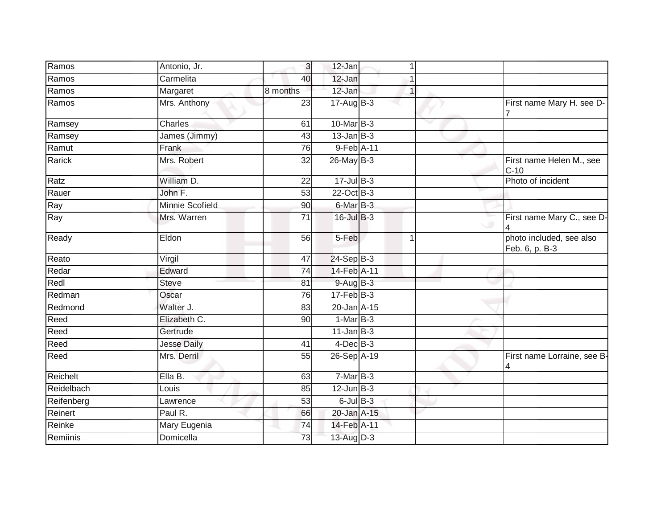| Ramos      | Antonio, Jr.       | $\overline{3}$ | $12$ -Jan        |   |                                              |
|------------|--------------------|----------------|------------------|---|----------------------------------------------|
| Ramos      | Carmelita          | 40             | 12-Jan           |   |                                              |
| Ramos      | Margaret           | 8 months       | 12-Jan           |   |                                              |
| Ramos      | Mrs. Anthony       | 23             | $17 - Aug$ B-3   |   | First name Mary H. see D-                    |
| Ramsey     | Charles            | 61             | 10-Mar B-3       |   |                                              |
| Ramsey     | James (Jimmy)      | 43             | $13$ -Jan B-3    |   |                                              |
| Ramut      | Frank              | 76             | 9-Feb A-11       |   |                                              |
| Rarick     | Mrs. Robert        | 32             | $26$ -May $B-3$  |   | First name Helen M., see<br>$C-10$           |
| Ratz       | William D.         | 22             | $17 -$ Jul B-3   |   | Photo of incident                            |
| Rauer      | John F.            | 53             | $22$ -Oct B-3    |   |                                              |
| Ray        | Minnie Scofield    | 90             | 6-Mar B-3        |   |                                              |
| Ray        | Mrs. Warren        | 71             | 16-Jul B-3       |   | First name Mary C., see D-<br>$\overline{4}$ |
| Ready      | Eldon              | 56             | 5-Feb            | 1 | photo included, see also<br>Feb. 6, p. B-3   |
| Reato      | Virgil             | 47             | 24-Sep B-3       |   |                                              |
| Redar      | Edward             | 74             | 14-Feb A-11      |   |                                              |
| Redl       | Steve              | 81             | $9-AugB-3$       |   |                                              |
| Redman     | Oscar              | 76             | $17 - Feb$ $B-3$ |   |                                              |
| Redmond    | Walter J.          | 83             | 20-Jan A-15      |   |                                              |
| Reed       | Elizabeth C.       | 90             | $1-MarB-3$       |   |                                              |
| Reed       | Gertrude           |                | $11$ -Jan $B-3$  |   |                                              |
| Reed       | <b>Jesse Daily</b> | 41             | $4$ -Dec $B-3$   |   |                                              |
| Reed       | Mrs. Derril        | 55             | 26-Sep A-19      |   | First name Lorraine, see B-<br>4             |
| Reichelt   | Ella B.            | 63             | $7-MarB-3$       |   |                                              |
| Reidelbach | Louis              | 85             | $12$ -Jun $B-3$  |   |                                              |
| Reifenberg | Lawrence           | 53             | $6$ -Jul $B$ -3  |   |                                              |
| Reinert    | Paul R.            | 66             | 20-Jan A-15      |   |                                              |
| Reinke     | Mary Eugenia       | 74             | 14-Feb A-11      |   |                                              |
| Remiinis   | Domicella          | 73             | $13$ -Aug $D-3$  |   |                                              |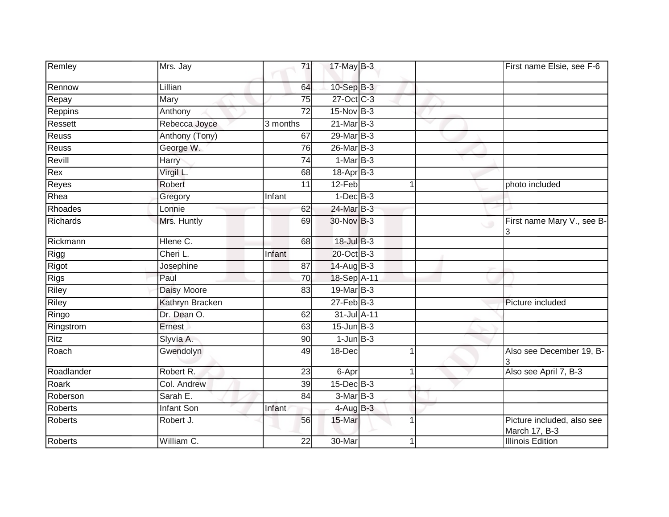| Remley         | Mrs. Jay           | 71       | $17$ -May B-3    |   | First name Elsie, see F-6                                   |
|----------------|--------------------|----------|------------------|---|-------------------------------------------------------------|
| Rennow         | Lillian            | 64       | 10-Sep B-3       |   |                                                             |
| Repay          | Mary               | 75       | 27-Oct C-3       |   |                                                             |
| Reppins        | Anthony            | 72       | 15-Nov B-3       |   |                                                             |
| Ressett        | Rebecca Joyce      | 3 months | 21-Mar B-3       |   |                                                             |
| Reuss          | Anthony (Tony)     | 67       | 29-Mar B-3       |   |                                                             |
| Reuss          | George W.          | 76       | 26-Mar B-3       |   |                                                             |
| Revill         | Harry              | 74       | $1-MarB-3$       |   |                                                             |
| Rex            | Virgil L.          | 68       | 18-Apr B-3       |   |                                                             |
| Reyes          | Robert             | 11       | 12-Feb           |   | photo included                                              |
| Rhea           | Gregory            | Infant   | $1-Dec$ B-3      |   |                                                             |
| Rhoades        | Lonnie             | 62       | 24-Mar B-3       |   |                                                             |
| Richards       | Mrs. Huntly        | 69       | 30-Nov B-3       |   | First name Mary V., see B-<br>$\overline{\phantom{0}}$<br>3 |
| Rickmann       | Hlene C.           | 68       | 18-Jul B-3       |   |                                                             |
| Rigg           | Cheri L.           | Infant   | 20-Oct B-3       |   |                                                             |
| Rigot          | Josephine          | 87       | 14-Aug B-3       |   |                                                             |
| <b>Rigs</b>    | Paul               | 70       | 18-Sep A-11      |   |                                                             |
| Riley          | <b>Daisy Moore</b> | 83       | 19-Mar B-3       |   |                                                             |
| Riley          | Kathryn Bracken    |          | $27$ -Feb $B-3$  |   | Picture included                                            |
| Ringo          | Dr. Dean O.        | 62       | 31-Jul A-11      |   |                                                             |
| Ringstrom      | Ernest             | 63       | $15$ -Jun $B-3$  |   |                                                             |
| <b>Ritz</b>    | Slyvia A.          | 90       | $1$ -Jun $B-3$   |   |                                                             |
| Roach          | Gwendolyn          | 49       | 18-Dec           |   | Also see December 19, B-<br>3                               |
| Roadlander     | Robert R.          | 23       | 6-Apr            |   | Also see April 7, B-3                                       |
| Roark          | Col. Andrew        | 39       | 15-Dec B-3       |   |                                                             |
| Roberson       | Sarah E.           | 84       | 3-Mar B-3        |   |                                                             |
| <b>Roberts</b> | Infant Son         | Infant   | $4$ -Aug $B - 3$ |   |                                                             |
| <b>Roberts</b> | Robert J.          | 56       | 15-Mar           | 1 | Picture included, also see<br>March 17, B-3                 |
| <b>Roberts</b> | William C.         | 22       | 30-Mar           |   | <b>Illinois Edition</b>                                     |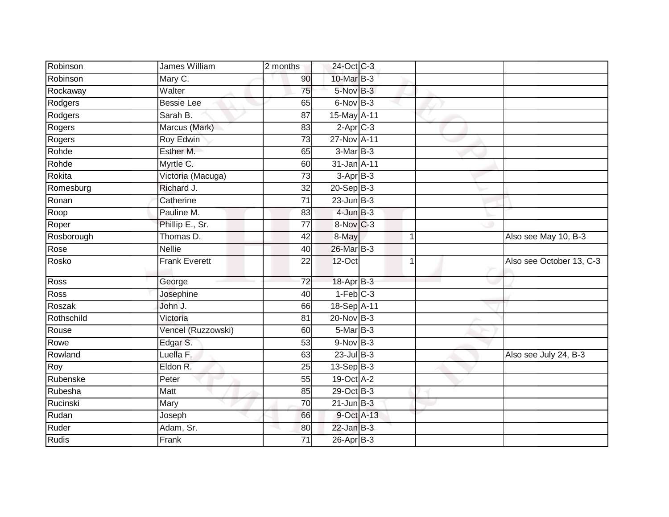| Robinson     | James William        | 2 months        | 24-Oct C-3       |             |                          |
|--------------|----------------------|-----------------|------------------|-------------|--------------------------|
| Robinson     | Mary C.              | 90              | 10-Mar B-3       |             |                          |
| Rockaway     | Walter               | 75              | 5-Nov B-3        |             |                          |
| Rodgers      | <b>Bessie Lee</b>    | 65              | 6-Nov B-3        |             |                          |
| Rodgers      | Sarah B.             | $\overline{87}$ | 15-May A-11      |             |                          |
| Rogers       | Marcus (Mark)        | 83              | $2$ -Apr $C-3$   |             |                          |
| Rogers       | Roy Edwin            | 73              | 27-Nov A-11      |             |                          |
| Rohde        | Esther M.            | 65              | 3-Mar B-3        |             |                          |
| Rohde        | Myrtle C.            | 60              | 31-Jan A-11      |             |                          |
| Rokita       | Victoria (Macuga)    | $\overline{73}$ | $3-AprB-3$       |             |                          |
| Romesburg    | Richard J.           | $\overline{32}$ | $20 - Sep$ B-3   |             |                          |
| Ronan        | Catherine            | 71              | $23$ -Jun $B-3$  |             |                          |
| Roop         | Pauline M.           | 83              | $4$ -Jun $B-3$   |             |                          |
| Roper        | Phillip E., Sr.      | 77              | 8-Nov C-3        |             |                          |
| Rosborough   | Thomas D.            | 42              | 8-May            |             | Also see May 10, B-3     |
| Rose         | <b>Nellie</b>        | 40              | 26-Mar B-3       |             |                          |
| Rosko        | <b>Frank Everett</b> | 22              | 12-Oct           | $\mathbf 1$ | Also see October 13, C-3 |
| Ross         | George               | $\overline{72}$ | 18-Apr B-3       |             |                          |
| Ross         | Josephine            | 40              | $1-Feb$ $C-3$    |             |                          |
| Roszak       | John J.              | 66              | 18-Sep A-11      |             |                          |
| Rothschild   | Victoria             | 81              | 20-Nov B-3       |             |                          |
| Rouse        | Vencel (Ruzzowski)   | 60              | $5$ -Mar $B-3$   |             |                          |
| Rowe         | Edgar S.             | 53              | $9-Nov$ B-3      |             |                          |
| Rowland      | Luella F.            | 63              | $23$ -Jul B-3    |             | Also see July 24, B-3    |
| Roy          | Eldon R.             | 25              | $13-Sep$ B-3     |             |                          |
| Rubenske     | Peter                | 55              | 19-Oct A-2       |             |                          |
| Rubesha      | <b>Matt</b>          | 85              | 29-Oct B-3       |             |                          |
| Rucinski     | Mary                 | 70              | $21$ -Jun $B-3$  |             |                          |
| Rudan        | Joseph               | 66              | 9-Oct A-13       |             |                          |
| Ruder        | Adam, Sr.            | 80              | $22$ -Jan B-3    |             |                          |
| <b>Rudis</b> | Frank                | 71              | $26$ -Apr $B$ -3 |             |                          |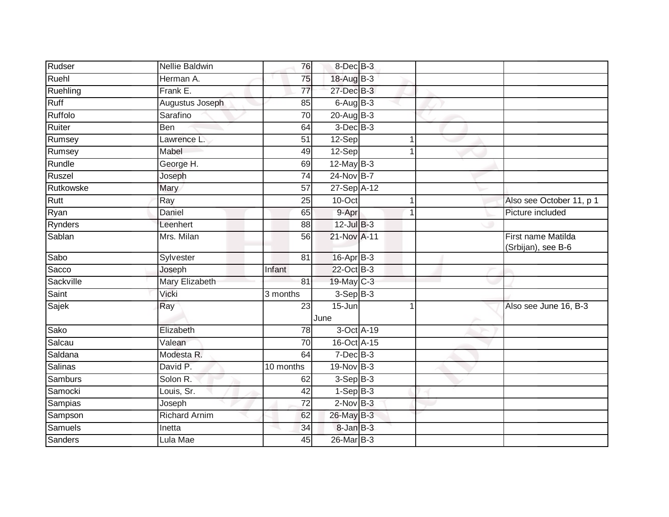| Rudser         | Nellie Baldwin       | 76              | 8-Dec <sup>B-3</sup> |                |                                          |
|----------------|----------------------|-----------------|----------------------|----------------|------------------------------------------|
| Ruehl          | Herman A.            | 75              | 18-Aug B-3           |                |                                          |
| Ruehling       | Frank E.             | 77              | 27-Dec B-3           |                |                                          |
| Ruff           | Augustus Joseph      | 85              | $6$ -Aug $B$ -3      |                |                                          |
| Ruffolo        | Sarafino             | $\overline{70}$ | $20$ -Aug $B-3$      |                |                                          |
| Ruiter         | Ben                  | 64              | $3$ -Dec $B-3$       |                |                                          |
| Rumsey         | Lawrence L.          | 51              | 12-Sep               | 1              |                                          |
| Rumsey         | Mabel                | 49              | 12-Sep               | 1              |                                          |
| Rundle         | George H.            | 69              | $12$ -May $B-3$      |                |                                          |
| Ruszel         | Joseph               | $\overline{74}$ | 24-Nov B-7           |                |                                          |
| Rutkowske      | Mary                 | 57              | 27-Sep A-12          |                |                                          |
| Rutt           | Ray                  | 25              | 10-Oct               | $\mathbf 1$    | Also see October 11, p 1                 |
| Ryan           | Daniel               | 65              | 9-Apr                | 1              | Picture included                         |
| Rynders        | Leenhert             | 88              | $12$ -Jul $B-3$      |                |                                          |
| Sablan         | Mrs. Milan           | $\overline{56}$ | 21-Nov A-11          |                | First name Matilda<br>(Srbijan), see B-6 |
| Sabo           | Sylvester            | 81              | 16-Apr B-3           |                |                                          |
| Sacco          | Joseph               | Infant          | 22-Oct B-3           |                |                                          |
| Sackville      | Mary Elizabeth       | 81              | 19-May C-3           |                |                                          |
| Saint          | Vicki                | 3 months        | $3-Sep B-3$          |                |                                          |
| Sajek          | Ray                  | $\overline{23}$ | $15 - Jun$<br>June   | $\overline{1}$ | Also see June 16, B-3                    |
| Sako           | Elizabeth            | 78              | 3-Oct A-19           |                |                                          |
| Salcau         | Valean               | $\overline{70}$ | 16-Oct A-15          |                |                                          |
| Saldana        | Modesta R.           | 64              | $7$ -Dec $B-3$       |                |                                          |
| Salinas        | David P.             | 10 months       | 19-Nov B-3           |                |                                          |
| Samburs        | Solon R.             | 62              | $3-SepB-3$           |                |                                          |
| Samocki        | Louis, Sr.           | $\overline{42}$ | $1-Sep$ B-3          |                |                                          |
| Sampias        | Joseph               | $\overline{72}$ | $2-Nov$ B-3          |                |                                          |
| Sampson        | <b>Richard Arnim</b> | 62              | 26-May B-3           |                |                                          |
| <b>Samuels</b> | Inetta               | 34              | 8-Jan B-3            |                |                                          |
| Sanders        | Lula Mae             | 45              | 26-Mar B-3           |                |                                          |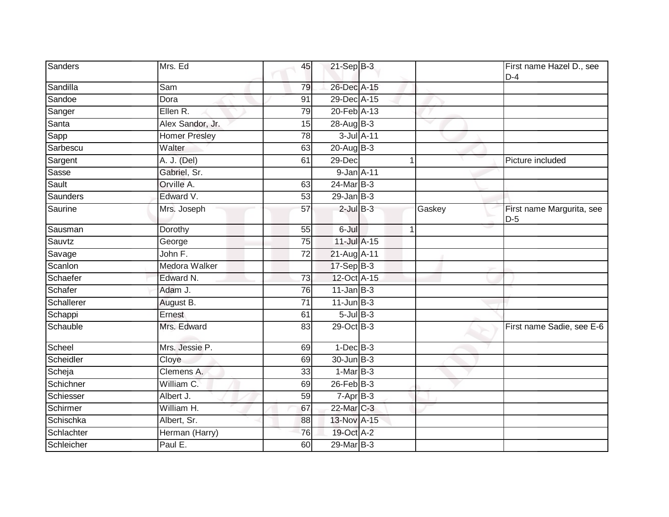| Sanders    | Mrs. Ed              | 45              | $21-Sep$ B-3    |              |        | First name Hazel D., see<br>$D-4$  |
|------------|----------------------|-----------------|-----------------|--------------|--------|------------------------------------|
| Sandilla   | Sam                  | 79              | 26-Dec A-15     |              |        |                                    |
| Sandoe     | Dora                 | $\overline{91}$ | 29-Dec A-15     |              |        |                                    |
| Sanger     | Ellen R.             | 79              | 20-Feb A-13     |              |        |                                    |
| Santa      | Alex Sandor, Jr.     | 15              | 28-Aug B-3      |              |        |                                    |
| Sapp       | <b>Homer Presley</b> | 78              | 3-Jul A-11      |              |        |                                    |
| Sarbescu   | Walter               | 63              | $20$ -Aug $B-3$ |              |        |                                    |
| Sargent    | A. J. (Del)          | 61              | 29-Dec          |              |        | Picture included                   |
| Sasse      | Gabriel, Sr.         |                 | 9-Jan A-11      |              |        |                                    |
| Sault      | Orville A.           | 63              | $24$ -Mar B-3   |              |        |                                    |
| Saunders   | Edward V.            | 53              | $29$ -Jan $B-3$ |              |        |                                    |
| Saurine    | Mrs. Joseph          | 57              | $2$ -Jul $B-3$  |              | Gaskey | First name Margurita, see<br>$D-5$ |
| Sausman    | Dorothy              | 55              | 6-Jul           | $\mathbf{1}$ |        |                                    |
| Sauvtz     | George               | 75              | 11-Jul A-15     |              |        |                                    |
| Savage     | John F.              | 72              | 21-Aug A-11     |              |        |                                    |
| Scanlon    | <b>Medora Walker</b> |                 | $17-Sep$ B-3    |              |        |                                    |
| Schaefer   | Edward N.            | 73              | 12-Oct A-15     |              |        |                                    |
| Schafer    | Adam J.              | 76              | $11$ -Jan $B-3$ |              |        |                                    |
| Schallerer | August B.            | 71              | $11$ -Jun $B-3$ |              |        |                                    |
| Schappi    | Ernest               | 61              | $5$ -Jul $B$ -3 |              |        |                                    |
| Schauble   | Mrs. Edward          | 83              | 29-Oct B-3      |              |        | First name Sadie, see E-6          |
| Scheel     | Mrs. Jessie P.       | 69              | $1-Dec$ B-3     |              |        |                                    |
| Scheidler  | Cloye                | 69              | $30 - Jun$ B-3  |              |        |                                    |
| Scheja     | Clemens A.           | 33              | $1-MarB-3$      |              |        |                                    |
| Schichner  | William C.           | 69              | $26$ -Feb $B-3$ |              |        |                                    |
| Schiesser  | Albert J.            | 59              | $7-Apr$ B-3     |              |        |                                    |
| Schirmer   | William H.           | 67              | 22-Mar C-3      |              |        |                                    |
| Schischka  | Albert, Sr.          | 88              | 13-Nov A-15     |              |        |                                    |
| Schlachter | Herman (Harry)       | 76              | 19-Oct A-2      |              |        |                                    |
| Schleicher | Paul E.              | 60              | 29-Mar B-3      |              |        |                                    |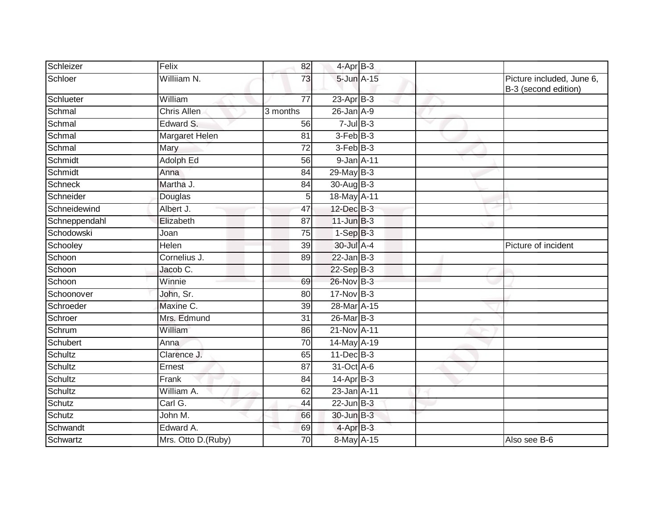| Schleizer      | Felix              | 82              | 4-Apr B-3       |   |                                                   |
|----------------|--------------------|-----------------|-----------------|---|---------------------------------------------------|
| Schloer        | Williiam N.        | 73              | 5-Jun A-15      |   | Picture included, June 6,<br>B-3 (second edition) |
| Schlueter      | William            | $\overline{77}$ | $23$ -Apr $B-3$ |   |                                                   |
| Schmal         | Chris Allen        | 3 months        | $26$ -Jan $A-9$ |   |                                                   |
| Schmal         | Edward S.          | 56              | $7$ -Jul $B-3$  | ▽ |                                                   |
| Schmal         | Margaret Helen     | 81              | $3-FebB-3$      |   |                                                   |
| Schmal         | Mary               | 72              | $3-FebB-3$      |   |                                                   |
| Schmidt        | Adolph Ed          | 56              | 9-Jan A-11      |   |                                                   |
| Schmidt        | Anna               | 84              | $29$ -May B-3   |   |                                                   |
| <b>Schneck</b> | Martha J.          | 84              | $30$ -AugB-3    |   |                                                   |
| Schneider      | Douglas            | 5               | 18-May A-11     |   |                                                   |
| Schneidewind   | Albert J.          | 47              | 12-Dec B-3      |   |                                                   |
| Schneppendahl  | Elizabeth          | $\overline{87}$ | $11$ -Jun $B-3$ |   |                                                   |
| Schodowski     | Joan               | 75              | $1-Sep$ B-3     |   |                                                   |
| Schooley       | Helen              | 39              | 30-Jul A-4      |   | Picture of incident                               |
| Schoon         | Cornelius J.       | 89              | $22$ -Jan $B-3$ |   |                                                   |
| Schoon         | Jacob C.           |                 | 22-Sep B-3      |   |                                                   |
| Schoon         | Winnie             | 69              | 26-Nov B-3      |   |                                                   |
| Schoonover     | John, Sr.          | 80              | $17$ -Nov B-3   |   |                                                   |
| Schroeder      | Maxine C.          | 39              | 28-Mar A-15     |   |                                                   |
| Schroer        | Mrs. Edmund        | 31              | 26-Mar B-3      |   |                                                   |
| Schrum         | William            | 86              | 21-Nov A-11     |   |                                                   |
| Schubert       | Anna               | 70              | $14$ -May A-19  |   |                                                   |
| Schultz        | Clarence J.        | 65              | $11 - Dec$ B-3  |   |                                                   |
| Schultz        | Ernest             | 87              | 31-Oct A-6      |   |                                                   |
| Schultz        | Frank              | 84              | $14-Apr$ B-3    |   |                                                   |
| Schultz        | William A.         | 62              | 23-Jan A-11     |   |                                                   |
| Schutz         | Carl G.            | 44              | $22$ -Jun $B-3$ |   |                                                   |
| Schutz         | John $M$ .         | 66              | 30-Jun B-3      |   |                                                   |
| Schwandt       | Edward A.          | 69              | $4$ -Apr $B-3$  |   |                                                   |
| Schwartz       | Mrs. Otto D.(Ruby) | 70              | 8-May A-15      |   | Also see B-6                                      |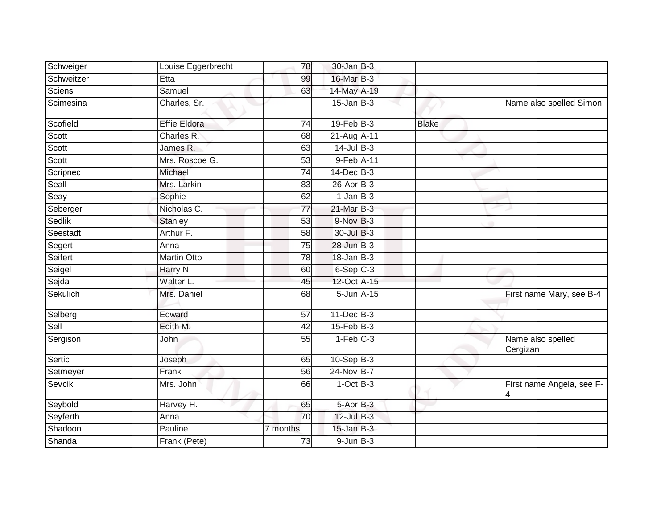| Schweiger      | Louise Eggerbrecht  | 78              | $30 - Jan$ $B-3$ |              |                                |
|----------------|---------------------|-----------------|------------------|--------------|--------------------------------|
| Schweitzer     | Etta                | 99              | 16-Mar B-3       |              |                                |
| <b>Sciens</b>  | Samuel              | 63              | 14-May A-19      |              |                                |
| Scimesina      | Charles, Sr.        |                 | $15$ -Jan $B-3$  |              | Name also spelled Simon        |
| Scofield       | <b>Effie Eldora</b> | 74              | $19$ -Feb $B-3$  | <b>Blake</b> |                                |
| Scott          | Charles R.          | 68              | 21-Aug A-11      |              |                                |
| Scott          | James R.            | 63              | $14$ -Jul B-3    |              |                                |
| Scott          | Mrs. Roscoe G.      | 53              | 9-Feb A-11       |              |                                |
| Scripnec       | Michael             | 74              | $14$ -Dec $B-3$  |              |                                |
| Seall          | Mrs. Larkin         | 83              | $26$ -Apr $B-3$  |              |                                |
| Seay           | Sophie              | 62              | $1-Jan$ B-3      |              |                                |
| Seberger       | Nicholas C.         | $\overline{77}$ | 21-Mar B-3       |              |                                |
| <b>Sedlik</b>  | <b>Stanley</b>      | 53              | $9-Nov$ B-3      |              |                                |
| Seestadt       | Arthur F.           | 58              | 30-Jul B-3       |              |                                |
| Segert         | Anna                | 75              | 28-Jun B-3       |              |                                |
| <b>Seifert</b> | <b>Martin Otto</b>  | 78              | $18$ -Jan $B-3$  |              |                                |
| Seigel         | Harry N.            | 60              | $6-Sep$ $C-3$    |              |                                |
| Sejda          | Walter L.           | 45              | 12-Oct A-15      |              |                                |
| Sekulich       | Mrs. Daniel         | 68              | $5$ -Jun $A$ -15 |              | First name Mary, see B-4       |
| Selberg        | Edward              | 57              | $11$ -Dec $B-3$  |              |                                |
| Sell           | Edith M.            | 42              | $15$ -Feb $B$ -3 |              |                                |
| Sergison       | John                | 55              | $1-Feb$ C-3      |              | Name also spelled<br>Cergizan  |
| Sertic         | Joseph              | 65              | $10-Sep$ B-3     |              |                                |
| Setmeyer       | Frank               | 56              | 24-Nov B-7       |              |                                |
| Sevcik         | Mrs. John           | 66              | $1-OctB-3$       |              | First name Angela, see F-<br>4 |
| Seybold        | Harvey H.           | 65              | 5-Apr B-3        |              |                                |
| Seyferth       | Anna                | 70              | $12$ -Jul $B-3$  |              |                                |
| Shadoon        | Pauline             | 7 months        | $15$ -Jan $B-3$  |              |                                |
| Shanda         | Frank (Pete)        | 73              | $9$ -Jun $B-3$   |              |                                |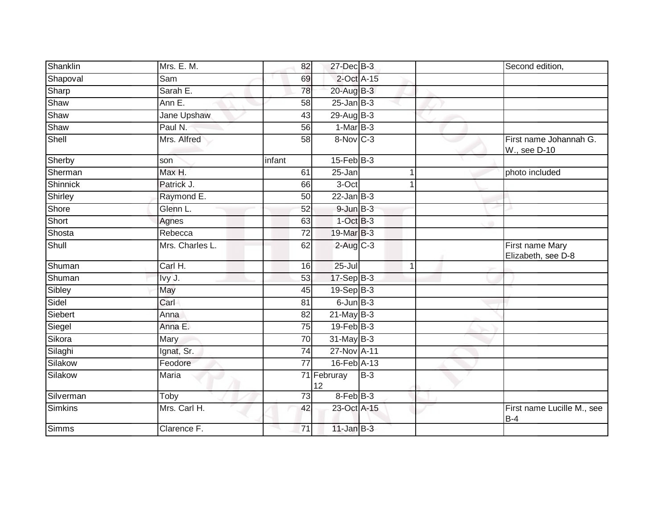| Shanklin        | Mrs. E. M.      | 82              | 27-Dec B-3           |       |              | Second edition,                        |
|-----------------|-----------------|-----------------|----------------------|-------|--------------|----------------------------------------|
| Shapoval        | Sam             | 69              | $2$ -Oct $A-15$      |       |              |                                        |
| Sharp           | Sarah E.        | 78              | 20-Aug B-3           |       |              |                                        |
| Shaw            | Ann E.          | 58              | $25 - Jan$ $B-3$     |       |              |                                        |
| Shaw            | Jane Upshaw     | 43              | 29-Aug B-3           |       |              |                                        |
| Shaw            | Paul N.         | 56              | $1-MarB-3$           |       |              |                                        |
| Shell           | Mrs. Alfred     | 58              | $8-Nov$ C-3          |       |              | First name Johannah G.<br>W., see D-10 |
| Sherby          | son             | infant          | $15$ -Feb $B$ -3     |       |              |                                        |
| Sherman         | Max H.          | 61              | 25-Jan               |       |              | photo included                         |
| <b>Shinnick</b> | Patrick J.      | 66              | 3-Oct                |       |              |                                        |
| Shirley         | Raymond E.      | 50              | $22$ -Jan $B-3$      |       |              |                                        |
| Shore           | Glenn L.        | 52              | $9$ -Jun $B-3$       |       |              |                                        |
| Short           | Agnes           | 63              | $1-OctB-3$           |       |              |                                        |
| Shosta          | Rebecca         | 72              | 19-Mar B-3           |       |              |                                        |
| Shull           | Mrs. Charles L. | 62              | $2$ -Aug C-3         |       |              | First name Mary<br>Elizabeth, see D-8  |
| Shuman          | Carl H.         | 16              | $25 -$ Jul           |       | $\mathbf{1}$ |                                        |
| Shuman          | Ivy J.          | 53              | 17-Sep B-3           |       |              |                                        |
| Sibley          | May             | 45              | $19-Sep$ $B-3$       |       |              |                                        |
| Sidel           | Carl            | 81              | $6$ -Jun $B$ -3      |       |              |                                        |
| Siebert         | Anna            | $\overline{82}$ | $21$ -May $B-3$      |       |              |                                        |
| Siegel          | Anna E.         | 75              | $19$ -Feb $B-3$      |       |              |                                        |
| Sikora          | Mary            | 70              | $31$ -May B-3        |       |              |                                        |
| Silaghi         | Ignat, Sr.      | 74              | 27-Nov A-11          |       |              |                                        |
| Silakow         | Feodore         | $\overline{77}$ | 16-Feb A-13          |       |              |                                        |
| Silakow         | <b>Maria</b>    |                 | 71 Februray<br>12    | $B-3$ |              |                                        |
| Silverman       | Toby            | 73              | 8-Feb <sup>B-3</sup> |       |              |                                        |
| <b>Simkins</b>  | Mrs. Carl H.    | 42              | 23-Oct A-15          |       |              | First name Lucille M., see<br>$B-4$    |
| <b>Simms</b>    | Clarence F.     | 71              | $11$ -Jan B-3        |       |              |                                        |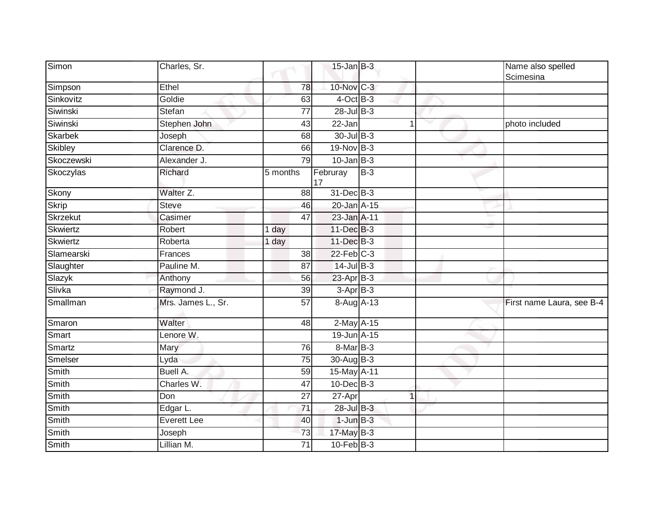| Simon           | Charles, Sr.       |                    | $15$ -Jan B-3   |              | Name also spelled<br>Scimesina |
|-----------------|--------------------|--------------------|-----------------|--------------|--------------------------------|
| Simpson         | Ethel              | 78                 | 10-Nov C-3      |              |                                |
| Sinkovitz       | Goldie             | 63                 | $4$ -Oct B-3    |              |                                |
| Siwinski        | Stefan             | 77                 | 28-Jul B-3      |              |                                |
| Siwinski        | Stephen John       | 43                 | 22-Jan          | $\mathbf{1}$ | photo included                 |
| <b>Skarbek</b>  | Joseph             | 68                 | 30-Jul B-3      |              |                                |
| Skibley         | Clarence D.        | 66                 | $19-Nov$ B-3    |              |                                |
| Skoczewski      | Alexander J.       | 79                 | $10$ -Jan B-3   |              |                                |
| Skoczylas       | Richard            | 5 months           | Februray<br>17  | $B-3$        |                                |
| Skony           | Walter Z.          | 88                 | 31-Dec B-3      |              |                                |
| <b>Skrip</b>    | <b>Steve</b>       | 46                 | 20-Jan A-15     |              |                                |
| Skrzekut        | Casimer            | 47                 | 23-Jan A-11     |              |                                |
| Skwiertz        | Robert             | $1$ day            | 11-Dec B-3      |              |                                |
| <b>Skwiertz</b> | Roberta            | $\overline{1}$ day | 11-Dec B-3      |              |                                |
| Slamearski      | Frances            | 38                 | $22$ -Feb $C-3$ |              |                                |
| Slaughter       | Pauline M.         | 87                 | $14$ -Jul B-3   |              |                                |
| Slazyk          | Anthony            | 56                 | $23$ -Apr $B-3$ |              |                                |
| Slivka          | Raymond J.         | 39                 | $3-AprB-3$      |              |                                |
| Smallman        | Mrs. James L., Sr. | $\overline{57}$    | 8-Aug A-13      |              | First name Laura, see B-4      |
| Smaron          | Walter             | 48                 | $2$ -May $A-15$ |              |                                |
| Smart           | Lenore W.          |                    | 19-Jun A-15     |              |                                |
| Smartz          | Mary               | 76                 | 8-Mar B-3       |              |                                |
| Smelser         | Lyda               | $\overline{75}$    | 30-Aug B-3      |              |                                |
| Smith           | Buell A.           | 59                 | 15-May A-11     |              |                                |
| Smith           | Charles W.         | 47                 | $10$ -Dec $B-3$ |              |                                |
| Smith           | Don                | 27                 | 27-Apr          | $\mathbf{1}$ |                                |
| Smith           | Edgar L.           | 71                 | 28-Jul B-3      |              |                                |
| Smith           | Everett Lee        | 40                 | $1$ -Jun $B-3$  |              |                                |
| Smith           | Joseph             | 73                 | 17-May B-3      |              |                                |
| Smith           | Lillian M.         | $\overline{71}$    | $10$ -Feb $B-3$ |              |                                |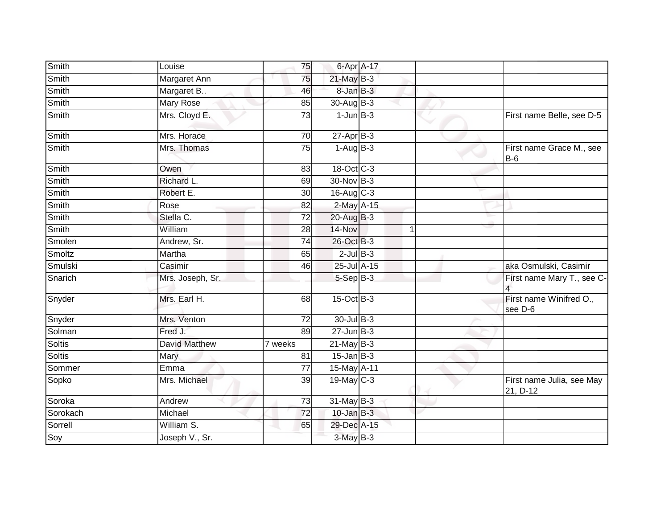| Smith         | Louise               | 75              | 6-Apr A-17       |   |                                       |
|---------------|----------------------|-----------------|------------------|---|---------------------------------------|
| Smith         | Margaret Ann         | 75              | 21-May B-3       |   |                                       |
| <b>Smith</b>  | Margaret B           | 46              | 8-Jan B-3        |   |                                       |
| Smith         | Mary Rose            | 85              | 30-Aug B-3       |   |                                       |
| Smith         | Mrs. Cloyd E.        | 73              | $1$ -Jun $B-3$   |   | First name Belle, see D-5             |
| Smith         | Mrs. Horace          | 70              | $27 - Apr$ B-3   |   |                                       |
| Smith         | Mrs. Thomas          | 75              | $1-AugB-3$       |   | First name Grace M., see<br>$B-6$     |
| Smith         | Owen                 | 83              | 18-Oct C-3       |   |                                       |
| Smith         | Richard L.           | 69              | 30-Nov B-3       |   |                                       |
| Smith         | Robert E.            | 30              | $16$ -Aug $C-3$  |   |                                       |
| Smith         | Rose                 | 82              | $2$ -May $A-15$  |   |                                       |
| Smith         | Stella C.            | $\overline{72}$ | $20$ -Aug $B-3$  |   |                                       |
| <b>Smith</b>  | William              | $\overline{28}$ | 14-Nov           | 1 |                                       |
| Smolen        | Andrew, Sr.          | 74              | 26-Oct B-3       |   |                                       |
| Smoltz        | Martha               | 65              | $2$ -Jul $B-3$   |   |                                       |
| Smulski       | Casimir              | 46              | 25-Jul A-15      |   | aka Osmulski, Casimir                 |
| Snarich       | Mrs. Joseph, Sr.     |                 | 5-Sep B-3        |   | First name Mary T., see C-            |
| Snyder        | Mrs. Earl H.         | 68              | 15-Oct B-3       |   | First name Winifred O.,<br>see D-6    |
| Snyder        | Mrs. Venton          | 72              | 30-Jul B-3       |   |                                       |
| Solman        | Fred J.              | 89              | $27 - Jun$ $B-3$ |   |                                       |
| <b>Soltis</b> | <b>David Matthew</b> | 7 weeks         | $21$ -May B-3    |   |                                       |
| <b>Soltis</b> | Mary                 | 81              | $15$ -Jan B-3    |   |                                       |
| Sommer        | <b>Emma</b>          | 77              | 15-May A-11      |   |                                       |
| Sopko         | Mrs. Michael         | 39              | $19$ -May C-3    |   | First name Julia, see May<br>21, D-12 |
| Soroka        | Andrew               | 73              | $31$ -May B-3    |   |                                       |
| Sorokach      | Michael              | $\overline{72}$ | $10$ -Jan $B-3$  |   |                                       |
| Sorrell       | William S.           | 65              | 29-Dec A-15      |   |                                       |
| Soy           | Joseph V., Sr.       |                 | 3-May B-3        |   |                                       |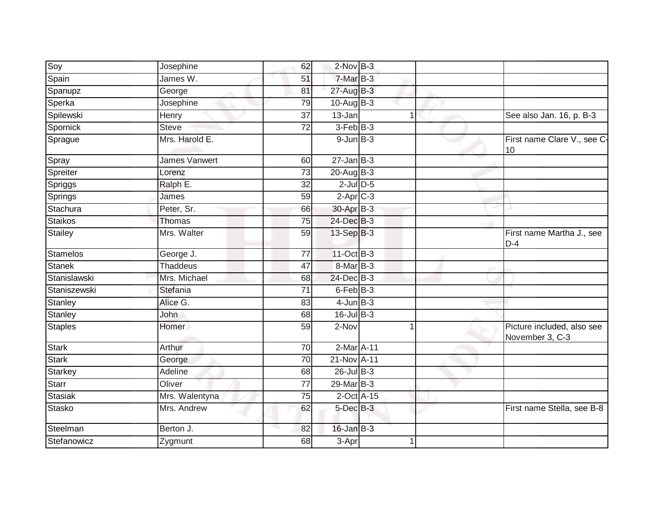|                 |                      | 62              | $2$ -Nov $B-3$         |   |                                               |
|-----------------|----------------------|-----------------|------------------------|---|-----------------------------------------------|
| Soy             | Josephine            |                 |                        |   |                                               |
| Spain           | James W.             | 51              | 7-Mar B-3              |   |                                               |
| Spanupz         | George               | 81              | $27$ -Aug $B-3$        |   |                                               |
| Sperka          | Josephine            | 79              | $10-Auq$ B-3           |   |                                               |
| Spilewski       | Henry                | $\overline{37}$ | $13 - Jan$             | 1 | See also Jan. 16, p. B-3                      |
| Spornick        | Steve                | 72              | $3-Feb$ $B-3$          |   |                                               |
| Sprague         | Mrs. Harold E.       |                 | $9$ -Jun $B-3$         |   | First name Clare V., see C-<br>10             |
| Spray           | <b>James Vanwert</b> | 60              | $27$ -Jan B-3          |   |                                               |
| Spreiter        | Lorenz               | 73              | 20-Aug B-3             |   |                                               |
| Spriggs         | Ralph E.             | 32              | $2$ -Jul $D-5$         |   |                                               |
| Springs         | James                | 59              | $2-Apr$ <sub>C-3</sub> |   |                                               |
| Stachura        | Peter, Sr.           | 66              | 30-Apr B-3             |   |                                               |
| <b>Staikos</b>  | Thomas               | 75              | 24-Dec B-3             |   |                                               |
| Stailey         | Mrs. Walter          | 59              | $13-Sep$ B-3           |   | First name Martha J., see<br>$D-4$            |
| <b>Stamelos</b> | George J.            | 77              | 11-Oct B-3             |   |                                               |
| <b>Stanek</b>   | <b>Thaddeus</b>      | 47              | 8-Mar B-3              |   |                                               |
| Stanislawski    | Mrs. Michael         | 68              | 24-Dec B-3             |   |                                               |
| Staniszewski    | Stefania             | $\overline{71}$ | $6$ -Feb $B-3$         |   |                                               |
| Stanley         | Alice G.             | 83              | $4$ -Jun $B-3$         |   |                                               |
| Stanley         | John                 | 68              | 16-Jul B-3             |   |                                               |
| <b>Staples</b>  | Homer                | 59              | 2-Nov                  |   | Picture included, also see<br>November 3, C-3 |
| <b>Stark</b>    | Arthur               | 70              | 2-Mar A-11             |   |                                               |
| <b>Stark</b>    | George               | $\overline{70}$ | 21-Nov A-11            |   |                                               |
| <b>Starkey</b>  | Adeline              | 68              | $26$ -Jul $B-3$        |   |                                               |
| Starr           | Oliver               | 77              | 29-Mar B-3             |   |                                               |
| <b>Stasiak</b>  | Mrs. Walentyna       | $\overline{75}$ | 2-Oct A-15             |   |                                               |
| Stasko          | Mrs. Andrew          | 62              | 5-Dec B-3              |   | First name Stella, see B-8                    |
| Steelman        | Berton J.            | 82              | $16$ -Jan $B-3$        |   |                                               |
| Stefanowicz     | Zygmunt              | 68              | $\overline{3}$ -Apr    | 1 |                                               |
|                 |                      |                 |                        |   |                                               |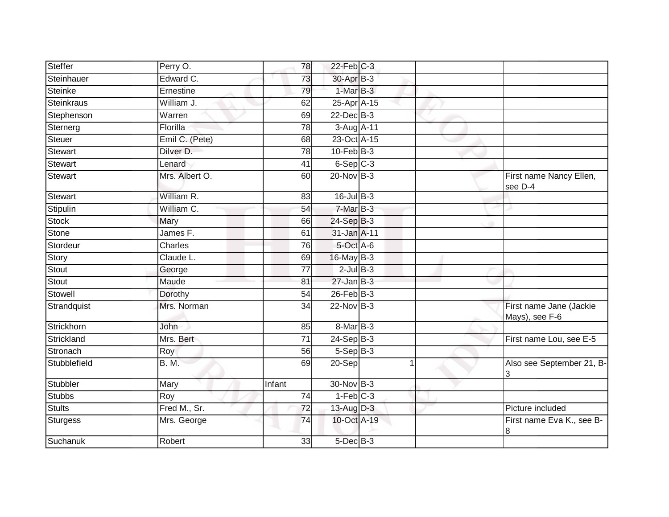| Steffer           | Perry O.       | 78              | $22$ -Feb $C-3$ |  |                                           |
|-------------------|----------------|-----------------|-----------------|--|-------------------------------------------|
| Steinhauer        | Edward C.      | 73              | 30-Apr B-3      |  |                                           |
| <b>Steinke</b>    | Ernestine      | 79              | $1-MarB-3$      |  |                                           |
| <b>Steinkraus</b> | William J.     | 62              | 25-Apr A-15     |  |                                           |
| Stephenson        | Warren         | 69              | $22$ -Dec $B-3$ |  |                                           |
| Sternerg          | Florilla       | 78              | 3-Aug A-11      |  |                                           |
| Steuer            | Emil C. (Pete) | 68              | 23-Oct A-15     |  |                                           |
| <b>Stewart</b>    | Dilver D.      | 78              | $10$ -Feb $B-3$ |  |                                           |
| <b>Stewart</b>    | Lenard         | 41              | $6-SepC-3$      |  |                                           |
| <b>Stewart</b>    | Mrs. Albert O. | 60              | 20-Nov B-3      |  | First name Nancy Ellen,<br>see D-4        |
| <b>Stewart</b>    | William R.     | 83              | $16$ -Jul B-3   |  |                                           |
| Stipulin          | William C.     | 54              | 7-Mar B-3       |  |                                           |
| <b>Stock</b>      | Mary           | 66              | $24-SepB-3$     |  |                                           |
| Stone             | James F.       | 61              | 31-Jan A-11     |  |                                           |
| Stordeur          | <b>Charles</b> | 76              | 5-Oct A-6       |  |                                           |
| Story             | Claude L.      | 69              | 16-May B-3      |  |                                           |
| Stout             | George         | 77              | $2$ -Jul B-3    |  |                                           |
| Stout             | Maude          | 81              | $27 - Jan$ B-3  |  |                                           |
| Stowell           | Dorothy        | 54              | $26$ -Feb $B-3$ |  |                                           |
| Strandquist       | Mrs. Norman    | 34              | 22-Nov B-3      |  | First name Jane (Jackie<br>Mays), see F-6 |
| Strickhorn        | John           | 85              | 8-Mar B-3       |  |                                           |
| Strickland        | Mrs. Bert      | $\overline{71}$ | $24-SepB-3$     |  | First name Lou, see E-5                   |
| Stronach          | Roy            | 56              | $5-Sep B-3$     |  |                                           |
| Stubblefield      | <b>B. M.</b>   | 69              | 20-Sep          |  | Also see September 21, B-<br>3            |
| Stubbler          | Mary           | Infant          | 30-Nov B-3      |  |                                           |
| <b>Stubbs</b>     | Roy            | $\overline{74}$ | $1-Feb$ $C-3$   |  |                                           |
| Stults            | Fred M., Sr.   | 72              | 13-Aug D-3      |  | Picture included                          |
| <b>Sturgess</b>   | Mrs. George    | 74              | 10-Oct A-19     |  | First name Eva K., see B-<br>8            |
| Suchanuk          | Robert         | 33              | $5$ -Dec $B$ -3 |  |                                           |
|                   |                |                 |                 |  |                                           |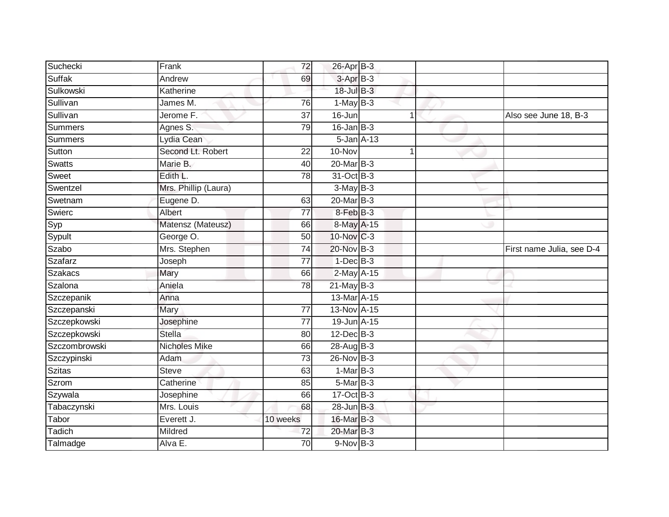| Suchecki       | Frank                | 72              | 26-Apr B-3     |             |                           |
|----------------|----------------------|-----------------|----------------|-------------|---------------------------|
| Suffak         | Andrew               | 69              | 3-Apr B-3      |             |                           |
| Sulkowski      | Katherine            |                 | 18-Jul B-3     |             |                           |
| Sullivan       | James M.             | 76              | $1-MayB-3$     |             |                           |
| Sullivan       | Jerome F.            | $\overline{37}$ | 16-Jun         | $\mathbf 1$ | Also see June 18, B-3     |
| Summers        | Agnes S.             | 79              | $16$ -Jan B-3  |             |                           |
| <b>Summers</b> | Lydia Cean           |                 | 5-Jan A-13     |             |                           |
| Sutton         | Second Lt. Robert    | 22              | 10-Nov         |             |                           |
| <b>Swatts</b>  | Marie B.             | 40              | 20-Mar B-3     |             |                           |
| Sweet          | Edith L.             | 78              | 31-Oct B-3     |             |                           |
| Swentzel       | Mrs. Phillip (Laura) |                 | $3-MayB-3$     |             |                           |
| Swetnam        | Eugene D.            | 63              | 20-Mar B-3     |             |                           |
| Swierc         | Albert               | 77              | 8-Feb B-3      |             |                           |
| Syp            | Matensz (Mateusz)    | 66              | 8-May A-15     |             |                           |
| Sypult         | George O.            | 50              | 10-Nov C-3     |             |                           |
| <b>Szabo</b>   | Mrs. Stephen         | $\overline{74}$ | 20-Nov B-3     |             | First name Julia, see D-4 |
| Szafarz        | Joseph               | $\overline{77}$ | $1$ -Dec $B-3$ |             |                           |
| <b>Szakacs</b> | Mary                 | 66              | 2-May A-15     |             |                           |
| Szalona        | Aniela               | 78              | $21$ -May B-3  |             |                           |
| Szczepanik     | Anna                 |                 | 13-Mar A-15    |             |                           |
| Szczepanski    | Mary                 | 77              | 13-Nov A-15    |             |                           |
| Szczepkowski   | Josephine            | $\overline{77}$ | 19-Jun A-15    |             |                           |
| Szczepkowski   | <b>Stella</b>        | 80              | 12-Dec B-3     |             |                           |
| Szczombrowski  | <b>Nicholes Mike</b> | 66              | 28-Aug B-3     |             |                           |
| Szczypinski    | Adam                 | $\overline{73}$ | 26-Nov B-3     |             |                           |
| <b>Szitas</b>  | <b>Steve</b>         | 63              | $1-MarB-3$     |             |                           |
| Szrom          | Catherine            | 85              | $5-MarB-3$     |             |                           |
| Szywala        | Josephine            | 66              | $17-Oct$ B-3   |             |                           |
| Tabaczynski    | Mrs. Louis           | 68              | 28-Jun B-3     |             |                           |
| Tabor          | Everett J.           | 10 weeks        | 16-Mar B-3     |             |                           |
| Tadich         | Mildred              | 72              | 20-Mar B-3     |             |                           |
| Talmadge       | Alva E.              | $\overline{70}$ | $9-NovB-3$     |             |                           |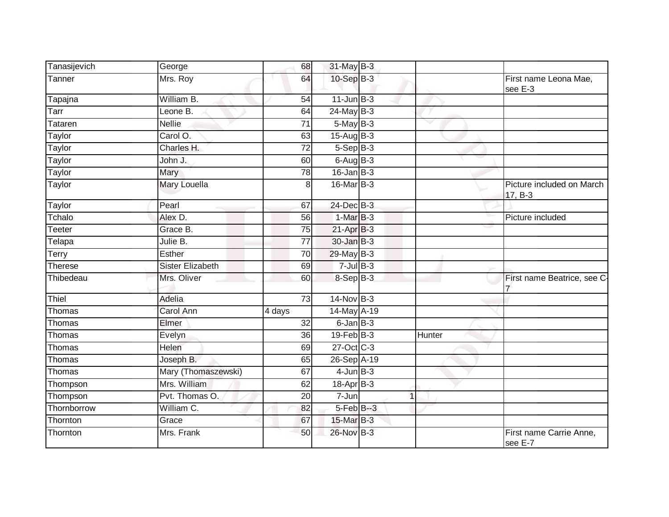| Tanasijevich  | George                  | 68              | 31-May B-3          |        |                                      |
|---------------|-------------------------|-----------------|---------------------|--------|--------------------------------------|
| Tanner        | Mrs. Roy                | 64              | 10-Sep B-3          |        | First name Leona Mae,<br>see E-3     |
| Tapajna       | William B.              | 54              | $11$ -Jun $B-3$     |        |                                      |
| Tarr          | Leone B.                | 64              | $24$ -May $B-3$     |        |                                      |
| Tataren       | <b>Nellie</b>           | 71              | 5-May B-3           |        |                                      |
| Taylor        | Carol O.                | 63              | 15-Aug B-3          |        |                                      |
| Taylor        | Charles H.              | 72              | $5-$ Sep $B-3$      |        |                                      |
| Taylor        | John J.                 | 60              | $6 - \text{AugB-3}$ |        |                                      |
| Taylor        | Mary                    | 78              | $16$ -Jan B-3       |        |                                      |
| Taylor        | Mary Louella            | 8 <sup>1</sup>  | 16-Mar B-3          |        | Picture included on March<br>17, B-3 |
| Taylor        | Pearl                   | 67              | $24$ -Dec $B-3$     |        |                                      |
| Tchalo        | Alex D.                 | 56              | $1-MarB-3$          |        | Picture included                     |
| Teeter        | Grace B.                | 75              | $21$ -Apr $B-3$     |        |                                      |
| Telapa        | Julie B.                | $\overline{77}$ | 30-Jan B-3          |        |                                      |
| Terry         | Esther                  | 70              | $29$ -May B-3       |        |                                      |
| Therese       | <b>Sister Elizabeth</b> | 69              | $7 -$ Jul $B - 3$   |        |                                      |
| Thibedeau     | Mrs. Oliver             | 60              | 8-Sep B-3           |        | First name Beatrice, see C-          |
| Thiel         | Adelia                  | 73              | 14-Nov B-3          |        |                                      |
| Thomas        | Carol Ann               | 4 days          | 14-May A-19         |        |                                      |
| Thomas        | Elmer                   | 32              | $6$ -Jan $B$ -3     |        |                                      |
| Thomas        | Evelyn                  | 36              | $19$ -Feb $B-3$     | Hunter |                                      |
| Thomas        | Helen                   | 69              | 27-Oct C-3          |        |                                      |
| Thomas        | Joseph B.               | 65              | 26-Sep A-19         |        |                                      |
| <b>Thomas</b> | Mary (Thomaszewski)     | 67              | $4$ -Jun $B-3$      |        |                                      |
| Thompson      | Mrs. William            | 62              | 18-Apr B-3          |        |                                      |
| Thompson      | Pvt. Thomas O.          | 20              | 7-Jun               |        |                                      |
| Thornborrow   | William C.              | 82              | $5-FebB-3$          |        |                                      |
| Thornton      | Grace                   | 67              | 15-Mar B-3          |        |                                      |
| Thornton      | Mrs. Frank              | 50              | 26-Nov B-3          |        | First name Carrie Anne,<br>see E-7   |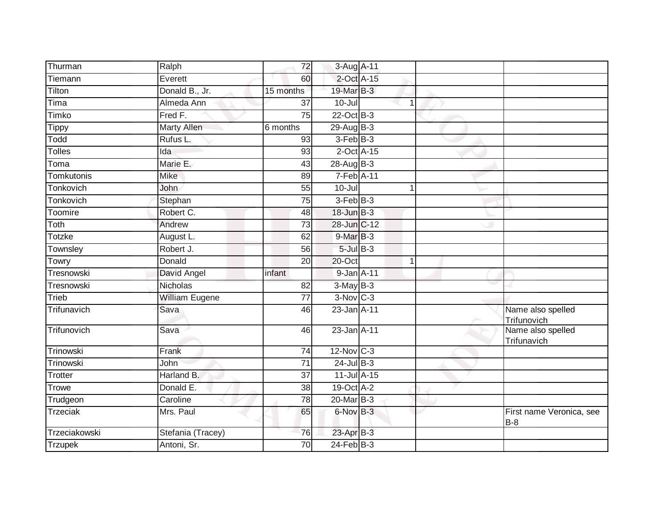| Thurman         | Ralph                 | 72              | 3-Aug A-11      |              |                                        |
|-----------------|-----------------------|-----------------|-----------------|--------------|----------------------------------------|
| Tiemann         | Everett               | 60              | 2-Oct A-15      |              |                                        |
| Tilton          | Donald B., Jr.        | 15 months       | 19-Mar B-3      |              |                                        |
| Tima            | Almeda Ann            | 37              | $10 -$ Jul      | 1            |                                        |
| Timko           | Fred F.               | 75              | $22$ -Oct B-3   |              |                                        |
| <b>Tippy</b>    | <b>Marty Allen</b>    | 6 months        | $29$ -Aug B-3   |              |                                        |
| Todd            | Rufus L.              | 93              | $3-FebB-3$      |              |                                        |
| <b>Tolles</b>   | Ida                   | 93              | $2$ -Oct $A-15$ |              |                                        |
| Toma            | Marie E.              | 43              | 28-Aug B-3      |              |                                        |
| Tomkutonis      | <b>Mike</b>           | 89              | $7-Feb$ A-11    |              |                                        |
| Tonkovich       | John                  | 55              | $10 -$ Jul      | 1            |                                        |
| Tonkovich       | Stephan               | 75              | $3-FebB-3$      |              |                                        |
| Toomire         | Robert C.             | 48              | 18-Jun B-3      |              |                                        |
| Toth            | Andrew                | $\overline{73}$ | 28-Jun C-12     |              |                                        |
| Totzke          | August L.             | 62              | 9-Mar B-3       |              |                                        |
| Townsley        | Robert J.             | 56              | $5$ -Jul $B-3$  |              |                                        |
| Towry           | Donald                | $\overline{20}$ | $20$ -Oct       | $\mathbf{1}$ |                                        |
| Tresnowski      | David Angel           | infant          | 9-Jan A-11      |              |                                        |
| Tresnowski      | Nicholas              | 82              | $3-MayB-3$      |              |                                        |
| Trieb           | <b>William Eugene</b> | $\overline{77}$ | $3-Nov$ $C-3$   |              |                                        |
| Trifunavich     | Sava                  | 46              | 23-Jan A-11     |              | Name also spelled<br>Trifunovich       |
| Trifunovich     | Sava                  | 46              | 23-Jan A-11     |              | Name also spelled<br>Trifunavich       |
| Trinowski       | Frank                 | 74              | 12-Nov C-3      |              |                                        |
| Trinowski       | John                  | 71              | $24$ -Jul B-3   |              |                                        |
| Trotter         | Harland B.            | $\overline{37}$ | 11-Jul A-15     |              |                                        |
| <b>Trowe</b>    | Donald E.             | 38              | 19-Oct A-2      |              |                                        |
| Trudgeon        | Caroline              | 78              | 20-Mar B-3      |              |                                        |
| <b>Trzeciak</b> | Mrs. Paul             | 65              | 6-Nov B-3       |              | First name Veronica, see<br><b>B-8</b> |
| Trzeciakowski   | Stefania (Tracey)     | 76              | 23-Apr B-3      |              |                                        |
| <b>Trzupek</b>  | Antoni, Sr.           | 70              | $24$ -Feb $B-3$ |              |                                        |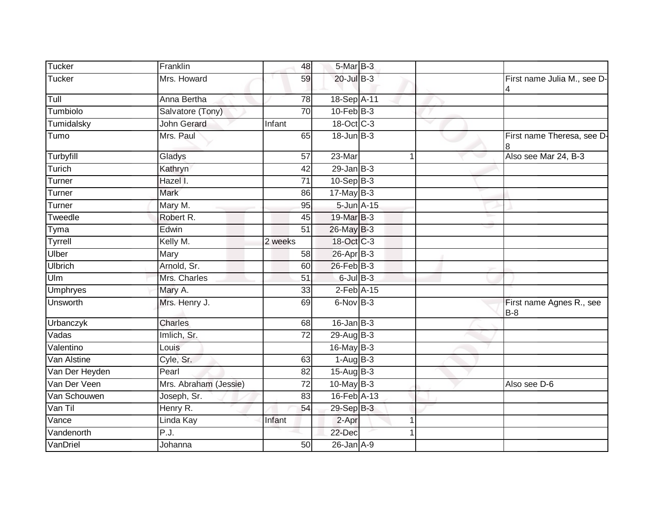| Tucker          | Franklin              | 48              | 5-Mar B-3                |   |                                   |
|-----------------|-----------------------|-----------------|--------------------------|---|-----------------------------------|
| <b>Tucker</b>   | Mrs. Howard           | 59              | $20$ -Jul B-3            |   | First name Julia M., see D-<br>4  |
| Tull            | Anna Bertha           | 78              | 18-Sep A-11              |   |                                   |
| Tumbiolo        | Salvatore (Tony)      | 70              | $10$ -Feb $B-3$          |   |                                   |
| Tumidalsky      | <b>John Gerard</b>    | Infant          | 18-Oct C-3               |   |                                   |
| Tumo            | Mrs. Paul             | 65              | $18 - Jun$ $B-3$         |   | First name Theresa, see D-<br>18  |
| Turbyfill       | Gladys                | 57              | 23-Mar                   | 1 | Also see Mar 24, B-3              |
| Turich          | Kathryn               | 42              | $29$ -Jan $B-3$          |   |                                   |
| Turner          | Hazel I.              | $\overline{71}$ | 10-Sep B-3               |   |                                   |
| Turner          | <b>Mark</b>           | 86              | $17$ -May B-3            |   |                                   |
| Turner          | Mary M.               | 95              | 5-Jun A-15               |   |                                   |
| Tweedle         | Robert R.             | 45              | 19-Mar B-3               |   |                                   |
| Tyma            | Edwin                 | $\overline{51}$ | 26-May B-3               |   |                                   |
| <b>Tyrrell</b>  | Kelly M.              | 2 weeks         | 18-Oct C-3               |   |                                   |
| Ulber           | Mary                  | 58              | 26-Apr B-3               |   |                                   |
| <b>Ulbrich</b>  | Arnold, Sr.           | 60              | 26-Feb B-3               |   |                                   |
| Ulm             | Mrs. Charles          | 51              | $6$ -Jul $B$ -3          |   |                                   |
| <b>Umphryes</b> | Mary A.               | 33              | $2$ -Feb $A-15$          |   |                                   |
| Unsworth        | Mrs. Henry J.         | 69              | $6$ -Nov $B-3$           |   | First name Agnes R., see<br>$B-8$ |
| Urbanczyk       | Charles               | 68              | $16$ -Jan $B-3$          |   |                                   |
| Vadas           | Imlich, Sr.           | $\overline{72}$ | 29-Aug B-3               |   |                                   |
| Valentino       | Louis                 |                 | 16-May B-3               |   |                                   |
| Van Alstine     | Cyle, Sr.             | 63              | $1-AugB-3$               |   |                                   |
| Van Der Heyden  | Pearl                 | 82              | $15 - \text{Aug } B - 3$ |   |                                   |
| Van Der Veen    | Mrs. Abraham (Jessie) | 72              | $10$ -May B-3            |   | Also see D-6                      |
| Van Schouwen    | Joseph, Sr.           | 83              | 16-Feb A-13              |   |                                   |
| Van Til         | Henry R.              | 54              | 29-Sep B-3               |   |                                   |
| Vance           | Linda Kay             | Infant          | $2-Apr$                  | 1 |                                   |
| Vandenorth      | P.J.                  |                 | 22-Dec                   |   |                                   |
| VanDriel        | Johanna               | $\overline{50}$ | $26$ -Jan $A-9$          |   |                                   |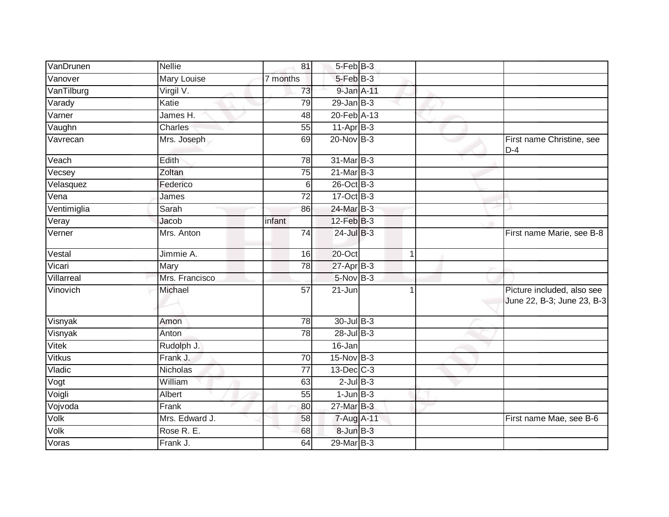| VanDrunen     | <b>Nellie</b>      | 81              | 5-Feb B-3       |             |                                                          |
|---------------|--------------------|-----------------|-----------------|-------------|----------------------------------------------------------|
| Vanover       | <b>Mary Louise</b> | 7 months        | $5-FebB-3$      |             |                                                          |
| VanTilburg    | $V$ irgil $V$ .    | 73              | 9-Jan A-11      |             |                                                          |
| Varady        | Katie              | 79              | $29$ -Jan $B-3$ |             |                                                          |
| Varner        | James H.           | 48              | 20-Feb A-13     |             |                                                          |
| Vaughn        | Charles            | 55              | $11-AprB-3$     |             |                                                          |
| Vavrecan      | Mrs. Joseph        | 69              | 20-Nov B-3      |             | First name Christine, see<br>$D-4$                       |
| Veach         | Edith              | $\overline{78}$ | 31-Mar B-3      |             |                                                          |
| Vecsey        | Zoltan             | 75              | 21-Mar B-3      |             |                                                          |
| Velasquez     | Federico           | 6               | 26-Oct B-3      |             |                                                          |
| Vena          | James              | $\overline{72}$ | 17-Oct B-3      |             |                                                          |
| Ventimiglia   | Sarah              | 86              | 24-Mar B-3      |             |                                                          |
| Veray         | Jacob              | infant          | $12$ -Feb $B-3$ |             |                                                          |
| Verner        | Mrs. Anton         | 74              | $24$ -Jul B-3   |             | First name Marie, see B-8                                |
| Vestal        | Jimmie A.          | 16              | 20-Oct          | $\mathbf 1$ |                                                          |
| Vicari        | Mary               | 78              | 27-Apr B-3      |             |                                                          |
| Villarreal    | Mrs. Francisco     |                 | 5-Nov B-3       |             |                                                          |
| Vinovich      | Michael            | $\overline{57}$ | 21-Jun          |             | Picture included, also see<br>June 22, B-3; June 23, B-3 |
| Visnyak       | Amon               | 78              | $30 -$ Jul B-3  |             |                                                          |
| Visnyak       | Anton              | 78              | $28$ -Jul B-3   |             |                                                          |
| Vitek         | Rudolph J.         |                 | 16-Jan          |             |                                                          |
| <b>Vitkus</b> | Frank J.           | 70              | 15-Nov B-3      |             |                                                          |
| Vladic        | Nicholas           | 77              | 13-Dec C-3      |             |                                                          |
| Vogt          | William            | 63              | $2$ -Jul $B-3$  |             |                                                          |
| Voigli        | Albert             | 55              | $1$ -Jun $B-3$  |             |                                                          |
| Vojvoda       | Frank              | 80              | 27-Mar B-3      |             |                                                          |
| Volk          | Mrs. Edward J.     | 58              | 7-Aug A-11      |             | First name Mae, see B-6                                  |
| Volk          | Rose R. E.         | 68              | 8-Jun B-3       |             |                                                          |
| Voras         | Frank J.           | 64              | 29-Mar B-3      |             |                                                          |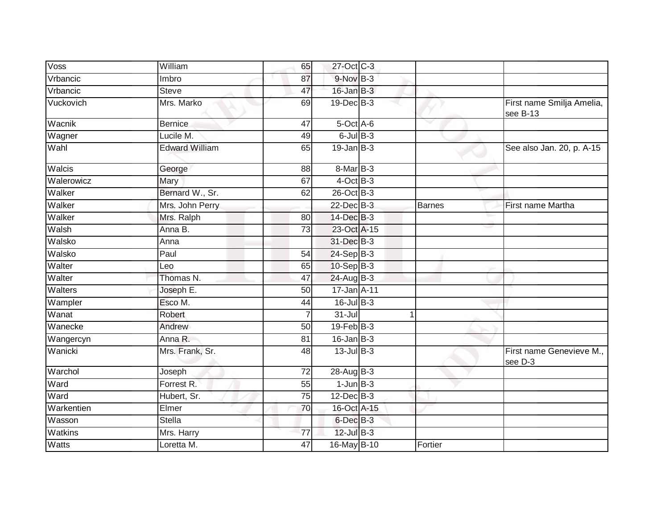| <b>Voss</b>    | William               | 65              | 27-Oct C-3        |               |                                       |
|----------------|-----------------------|-----------------|-------------------|---------------|---------------------------------------|
| Vrbancic       | Imbro                 | 87              | 9-Nov B-3         |               |                                       |
| Vrbancic       | <b>Steve</b>          | 47              | $16$ -Jan $B-3$   |               |                                       |
| Vuckovich      | Mrs. Marko            | 69              | $19$ -Dec $B$ -3  |               | First name Smilja Amelia,<br>see B-13 |
| Wacnik         | <b>Bernice</b>        | 47              | 5-Oct A-6         |               |                                       |
| Wagner         | Lucile M.             | 49              | $6$ -Jul $B$ -3   |               |                                       |
| Wahl           | <b>Edward William</b> | 65              | $19$ -Jan B-3     |               | See also Jan. 20, p. A-15             |
| Walcis         | George                | 88              | 8-Mar B-3         |               |                                       |
| Walerowicz     | Mary                  | 67              | $4$ -Oct B-3      |               |                                       |
| Walker         | Bernard W., Sr.       | 62              | 26-Oct B-3        |               |                                       |
| Walker         | Mrs. John Perry       |                 | $22$ -Dec $B-3$   | <b>Barnes</b> | First name Martha                     |
| Walker         | Mrs. Ralph            | 80              | 14-Dec B-3        |               |                                       |
| Walsh          | Anna B.               | $\overline{73}$ | 23-Oct A-15       |               |                                       |
| Walsko         | Anna                  |                 | 31-Dec B-3        |               |                                       |
| Walsko         | Paul                  | 54              | $24-Sep$ B-3      |               |                                       |
| Walter         | Leo                   | 65              | 10-Sep B-3        |               |                                       |
| Walter         | Thomas N.             | 47              | $24$ -Aug B-3     |               |                                       |
| <b>Walters</b> | Joseph E.             | 50              | 17-Jan A-11       |               |                                       |
| Wampler        | Esco M.               | 44              | $16$ -Jul $B-3$   |               |                                       |
| Wanat          | Robert                | 7               | $31 -$ Jul        | 1             |                                       |
| Wanecke        | Andrew                | 50              | $19$ -Feb $B - 3$ |               |                                       |
| Wangercyn      | Anna R.               | 81              | $16$ -Jan $B-3$   |               |                                       |
| Wanicki        | Mrs. Frank, Sr.       | 48              | $13$ -Jul B-3     |               | First name Genevieve M.,<br>see D-3   |
| Warchol        | Joseph                | 72              | 28-Aug B-3        |               |                                       |
| Ward           | Forrest R.            | 55              | $1$ -Jun $B-3$    |               |                                       |
| Ward           | Hubert, Sr.           | 75              | $12$ -Dec $B-3$   |               |                                       |
| Warkentien     | Elmer                 | 70              | 16-Oct A-15       |               |                                       |
| Wasson         | <b>Stella</b>         |                 | 6-Dec B-3         |               |                                       |
| Watkins        | Mrs. Harry            | $\overline{77}$ | 12-Jul B-3        |               |                                       |
| Watts          | Loretta M.            | $\overline{47}$ | 16-May B-10       | Fortier       |                                       |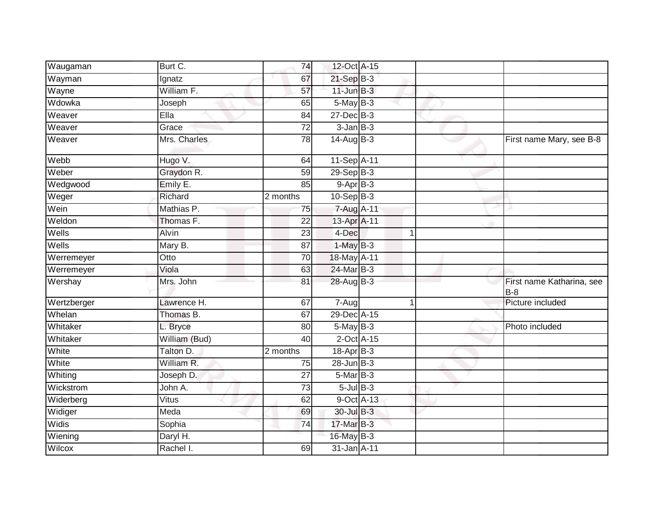| Waugaman    | Burt C.             | 74              | 12-Oct A-15              |   |                                    |
|-------------|---------------------|-----------------|--------------------------|---|------------------------------------|
| Wayman      | Ignatz              | 67              | 21-Sep B-3               |   |                                    |
| Wayne       | William F.          | $\overline{57}$ | $11$ -Jun $B-3$          |   |                                    |
| Wdowka      | Joseph              | 65              | 5-May B-3                |   |                                    |
| Weaver      | EIIa                | 84              | $27 - Dec$ B-3           |   |                                    |
| Weaver      | Grace               | $\overline{72}$ | $3 - Jan$ $B-3$          |   |                                    |
| Weaver      | Mrs. Charles        | 78              | $14 - \text{Aug } B - 3$ |   | First name Mary, see B-8           |
| Webb        | Hugo V.             | 64              | 11-Sep A-11              |   |                                    |
| Weber       | Graydon R.          | 59              | $29-Sep$ B-3             |   |                                    |
| Wedgwood    | Emily E.            | 85              | $9-AprB-3$               |   |                                    |
| Weger       | Richard             | 2 months        | $10-Sep$ B-3             |   |                                    |
| Wein        | Mathias P.          | 75              | 7-Aug A-11               |   |                                    |
| Weldon      | Thomas F.           | $\overline{22}$ | 13-Apr A-11              |   |                                    |
| Wells       | Alvin               | 23              | 4-Dec                    | 1 |                                    |
| Wells       | Mary B.             | $\overline{87}$ | $1-MayB-3$               |   |                                    |
| Werremeyer  | Otto                | 70              | 18-May A-11              |   |                                    |
| Werremeyer  | Viola               | 63              | 24-Mar B-3               |   |                                    |
| Wershay     | Mrs. John           | 81              | 28-Aug B-3               |   | First name Katharina, see<br>$B-8$ |
| Wertzberger | Lawrence H.         | 67              | 7-Aug                    | 1 | Picture included                   |
| Whelan      | Thomas B.           | 67              | 29-Dec A-15              |   |                                    |
| Whitaker    | L. Bryce            | 80              | $5$ -May $B-3$           |   | Photo included                     |
| Whitaker    | William (Bud)       | 40              | $2$ -Oct $A$ -15         |   |                                    |
| White       | Talton D.           | 2 months        | 18-Apr B-3               |   |                                    |
| White       | William R.          | 75              | $28$ -Jun $B-3$          |   |                                    |
| Whiting     | Joseph D.           | $\overline{27}$ | $5-MarB-3$               |   |                                    |
| Wickstrom   | John A.             | 73              | $5$ -Jul $B$ -3          |   |                                    |
| Widerberg   | $\overline{V}$ itus | 62              | 9-Oct A-13               |   |                                    |
| Widiger     | Meda                | 69              | 30-Jul B-3               |   |                                    |
| Widis       | Sophia              | 74              | $17$ -Mar $B-3$          |   |                                    |
| Wiening     | Daryl H.            |                 | 16-May B-3               |   |                                    |
| Wilcox      | Rachel I.           | 69              | 31-Jan A-11              |   |                                    |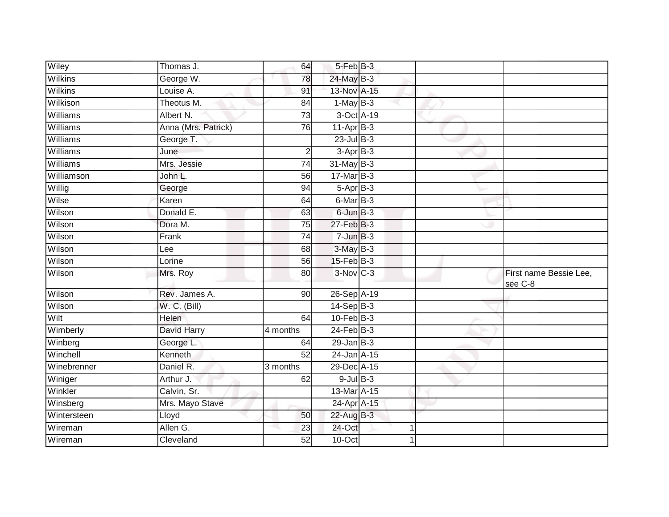| Wiley          | Thomas J.           | 64              | 5-Feb B-3              |             |                                   |
|----------------|---------------------|-----------------|------------------------|-------------|-----------------------------------|
| Wilkins        | George W.           | 78              | 24-May B-3             |             |                                   |
| <b>Wilkins</b> | Louise A.           | 91              | 13-Nov A-15            |             |                                   |
| Wilkison       | Theotus M.          | 84              | $1-MayB-3$             |             |                                   |
| Williams       | Albert N.           | 73              | 3-Oct A-19             |             |                                   |
| Williams       | Anna (Mrs. Patrick) | 76              | $11-AprB-3$            |             |                                   |
| Williams       | George T.           |                 | $23$ -Jul B-3          |             |                                   |
| Williams       | June                | $\overline{2}$  | $3-AprB-3$             |             |                                   |
| Williams       | Mrs. Jessie         | 74              | $31$ -May $B-3$        |             |                                   |
| Williamson     | John L.             | 56              | $17$ -Mar $B-3$        |             |                                   |
| Willig         | George              | 94              | $5-AprB-3$             |             |                                   |
| Wilse          | Karen               | 64              | $6$ -Mar $B$ -3        |             |                                   |
| Wilson         | Donald E.           | 63              | 6-Jun B-3              |             |                                   |
| Wilson         | Dora M.             | 75              | 27-Feb B-3             |             |                                   |
| Wilson         | Frank               | $\overline{74}$ | $7 - Jun$ $B-3$        |             |                                   |
| Wilson         | Lee                 | 68              | $3$ -May $B-3$         |             |                                   |
| Wilson         | Lorine              | 56              | $15$ -Feb $B$ -3       |             |                                   |
| Wilson         | Mrs. Roy            | 80              | $3-Nov$ <sub>C-3</sub> |             | First name Bessie Lee,<br>see C-8 |
| Wilson         | Rev. James A.       | 90              | 26-Sep A-19            |             |                                   |
| Wilson         | W. C. (Bill)        |                 | $14-Sep$ B-3           |             |                                   |
| Wilt           | Helen               | 64              | $10$ -Feb $B-3$        |             |                                   |
| Wimberly       | David Harry         | 4 months        | $24$ -Feb $B-3$        |             |                                   |
| Winberg        | George L.           | 64              | $29$ -Jan B-3          |             |                                   |
| Winchell       | Kenneth             | 52              | 24-Jan A-15            |             |                                   |
| Winebrenner    | Daniel R.           | 3 months        | 29-Dec A-15            |             |                                   |
| Winiger        | Arthur J.           | 62              | $9$ -Jul $B$ -3        |             |                                   |
| Winkler        | Calvin, Sr.         |                 | 13-Mar A-15            |             |                                   |
| Winsberg       | Mrs. Mayo Stave     |                 | 24-Apr A-15            |             |                                   |
| Wintersteen    | Lloyd               | 50              | 22-Aug B-3             |             |                                   |
| Wireman        | Allen G.            | 23              | 24-Oct                 | $\mathbf 1$ |                                   |
| Wireman        | Cleveland           | 52              | 10-Oct                 |             |                                   |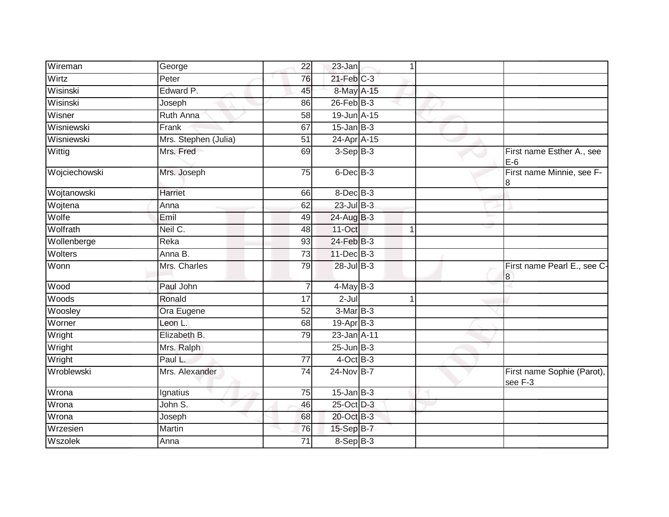| Wireman       | George               | 22              | 23-Jan          | 1 |                                       |
|---------------|----------------------|-----------------|-----------------|---|---------------------------------------|
| Wirtz         | Peter                | 76              | $21$ -Feb $C-3$ |   |                                       |
| Wisinski      | Edward P.            | 45              | 8-May A-15      |   |                                       |
| Wisinski      | Joseph               | 86              | $26$ -Feb $B-3$ |   |                                       |
| Wisner        | <b>Ruth Anna</b>     | $\overline{58}$ | 19-Jun A-15     |   |                                       |
| Wisniewski    | Frank                | 67              | $15$ -Jan B-3   |   |                                       |
| Wisniewski    | Mrs. Stephen (Julia) | 51              | 24-Apr A-15     |   |                                       |
| Wittig        | Mrs. Fred            | 69              | $3-Sep$ B-3     |   | First name Esther A., see<br>$E-6$    |
| Wojciechowski | Mrs. Joseph          | $\overline{75}$ | 6-Dec B-3       |   | First name Minnie, see F-<br>8        |
| Wojtanowski   | Harriet              | 66              | $8$ -Dec $B$ -3 |   |                                       |
| Wojtena       | Anna                 | 62              | $23$ -Jul $B-3$ |   |                                       |
| Wolfe         | Emil                 | 49              | $24$ -Aug $B-3$ |   |                                       |
| Wolfrath      | Neil C.              | 48              | 11-Oct          | 1 |                                       |
| Wollenberge   | Reka                 | 93              | 24-Feb B-3      |   |                                       |
| Wolters       | Anna B.              | 73              | 11-Dec B-3      |   |                                       |
| Wonn          | Mrs. Charles         | 79              | 28-Jul B-3      |   | First name Pearl E., see C-<br>8      |
| Wood          | Paul John            |                 | $4$ -May $B-3$  |   |                                       |
| Woods         | Ronald               | $\overline{17}$ | $2 -$ Jul       |   |                                       |
| Woosley       | Ora Eugene           | 52              | $3-MarB-3$      |   |                                       |
| Worner        | Leon L.              | 68              | $19-Apr$ B-3    |   |                                       |
| Wright        | Elizabeth B.         | 79              | 23-Jan A-11     |   |                                       |
| Wright        | Mrs. Ralph           |                 | $25$ -Jun $B-3$ |   |                                       |
| Wright        | Paul L.              | $\overline{77}$ | $4$ -Oct B-3    |   |                                       |
| Wroblewski    | Mrs. Alexander       | 74              | 24-Nov B-7      |   | First name Sophie (Parot),<br>see F-3 |
| Wrona         | Ignatius             | 75              | $15$ -Jan B-3   |   |                                       |
| Wrona         | John S.              | 46              | 25-Oct D-3      |   |                                       |
| Wrona         | Joseph               | 68              | 20-Oct B-3      |   |                                       |
| Wrzesien      | Martin               | 76              | 15-Sep B-7      |   |                                       |
| Wszolek       | Anna                 | 71              | 8-Sep B-3       |   |                                       |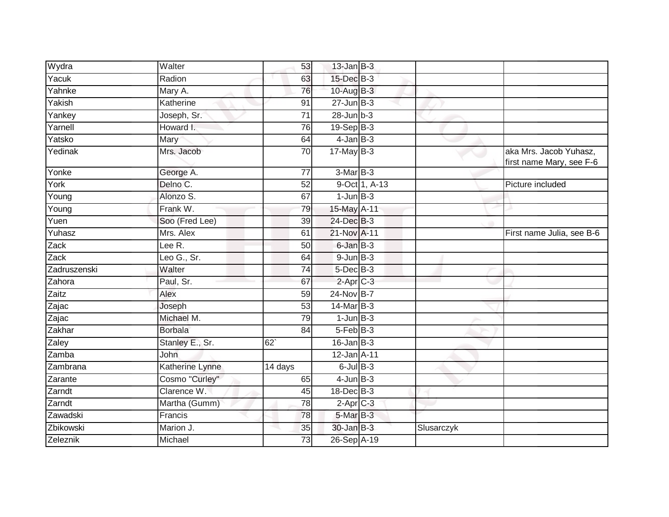| Wydra               | Walter                       | 53              | $13$ -Jan B-3              |               |            |                                                    |
|---------------------|------------------------------|-----------------|----------------------------|---------------|------------|----------------------------------------------------|
| Yacuk               | Radion                       | 63              | 15-Dec B-3                 |               |            |                                                    |
| Yahnke              | Mary A.                      | 76              | $10$ -Aug $B-3$            |               |            |                                                    |
| Yakish              | Katherine                    | 91              | $27$ -Jun $B-3$            |               |            |                                                    |
| Yankey              | Joseph, Sr.                  | $\overline{71}$ | $28$ -Jun $b-3$            |               |            |                                                    |
| Yarnell             | Howard I.                    | 76              | $19-$ Sep $\overline{B-3}$ |               |            |                                                    |
| Yatsko              | Mary                         | 64              | $4$ -Jan $B-3$             |               |            |                                                    |
| Yedinak             | Mrs. Jacob                   | 70              | $17$ -May B-3              |               |            | aka Mrs. Jacob Yuhasz,<br>first name Mary, see F-6 |
| Yonke               | George A.                    | 77              | 3-Mar B-3                  |               |            |                                                    |
| York                | Delno C.                     | 52              |                            | 9-Oct 1, A-13 |            | Picture included                                   |
| $\overline{Y}$ oung | Alonzo S.                    | 67              | $1$ -Jun $B-3$             |               |            |                                                    |
| Young               | Frank W.                     | 79              | 15-May A-11                |               |            |                                                    |
| Yuen                | Soo (Fred Lee)               | 39              | 24-Dec B-3                 |               |            |                                                    |
| Yuhasz              | Mrs. Alex                    | 61              | 21-Nov A-11                |               |            | First name Julia, see B-6                          |
| Zack                | Lee $\overline{\mathsf{R}.}$ | 50              | 6-Jan B-3                  |               |            |                                                    |
| Zack                | Leo G., Sr.                  | 64              | $9$ -Jun $B-3$             |               |            |                                                    |
| Zadruszenski        | Walter                       | 74              | $5$ -Dec $B$ -3            |               |            |                                                    |
| Zahora              | Paul, Sr.                    | 67              | $2$ -Apr $C-3$             |               |            |                                                    |
| Zaitz               | Alex                         | 59              | 24-Nov B-7                 |               |            |                                                    |
| Zajac               | Joseph                       | 53              | 14-Mar B-3                 |               |            |                                                    |
| Zajac               | Michael M.                   | 79              | $1$ -Jun $B-3$             |               |            |                                                    |
| Zakhar              | <b>Borbala</b>               | 84              | 5-Feb B-3                  |               |            |                                                    |
| Zaley               | Stanley E., Sr.              | 62              | $16$ -Jan B-3              |               |            |                                                    |
| Zamba               | <b>John</b>                  |                 | 12-Jan A-11                |               |            |                                                    |
| Zambrana            | Katherine Lynne              | 14 days         | $6$ -Jul $B$ -3            |               |            |                                                    |
| Zarante             | Cosmo "Curley"               | 65              | $4$ -Jun $B-3$             |               |            |                                                    |
| Zarndt              | Clarence W.                  | 45              | 18-Dec B-3                 |               |            |                                                    |
| Zarndt              | Martha (Gumm)                | 78              | $2-AprC-3$                 |               |            |                                                    |
| Zawadski            | Francis                      | 78              | 5-Mar B-3                  |               |            |                                                    |
| Zbikowski           | Marion J.                    | 35              | $30 - Jan$ $B-3$           |               | Slusarczyk |                                                    |
| Zeleznik            | Michael                      | 73              | 26-Sep A-19                |               |            |                                                    |